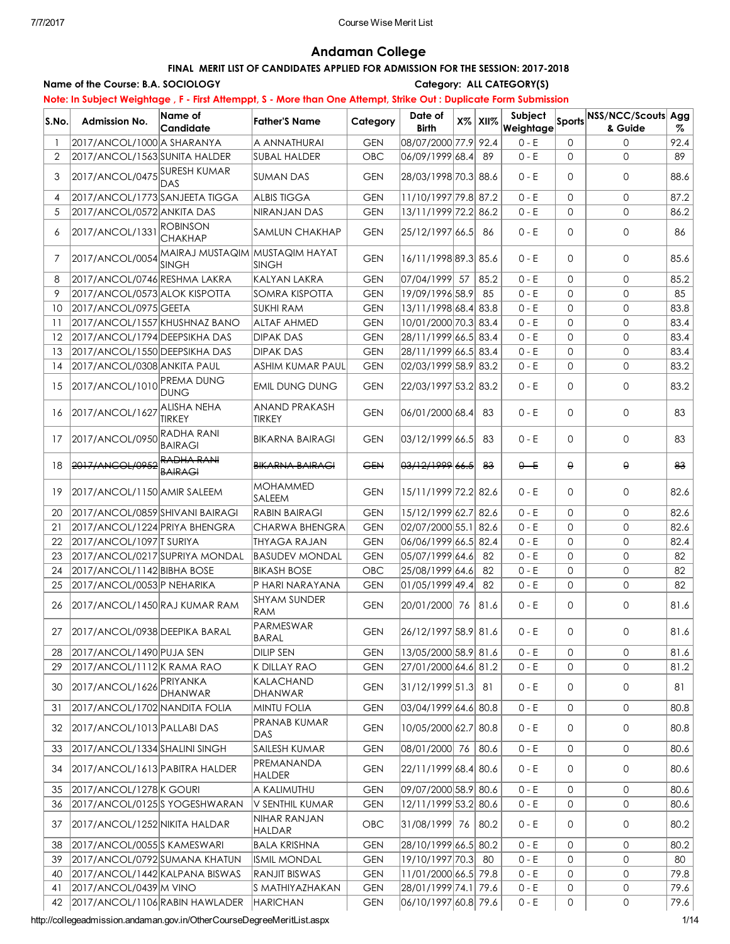# Andaman College

### FINAL MERIT LIST OF CANDIDATES APPLIED FOR ADMISSION FOR THE SESSION: 2017-2018

#### Name of the Course: B.A. SOCIOLOGY Category: ALL CATEGORY(S)

# Note: In Subject Weightage , F - First Attemppt, S - More than One Attempt, Strike Out : Duplicate Form Submission

|                |                                  | Name of                                                        |                                |            | Date of              |            |         |                     |                                            |      |
|----------------|----------------------------------|----------------------------------------------------------------|--------------------------------|------------|----------------------|------------|---------|---------------------|--------------------------------------------|------|
| S.No.          | Admission No.                    | Candidate                                                      | <b>Father'S Name</b>           | Category   | <b>Birth</b>         | $X\%$ XII% |         |                     | <b>Weightage Sports NSS/NCC/Scouts Agg</b> |      |
|                | 2017/ANCOL/1000 A SHARANYA       |                                                                | A ANNATHURAI                   | <b>GEN</b> | 08/07/2000 77.9 92.4 |            | $0 - E$ | 0                   | $\Omega$                                   | 92.4 |
| $\overline{2}$ | 2017/ANCOL/1563 SUNITA HALDER    |                                                                | <b>SUBAL HALDER</b>            | OBC        | 06/09/1999 68.4 89   |            | $0 - E$ | $\mathbf{0}$        | $\Omega$                                   | 89   |
| 3              | $ 2017/ANCOL/0475 $ SURESH KUMAR | DAS                                                            | <b>SUMAN DAS</b>               | <b>GEN</b> | 28/03/1998 70.3 88.6 |            | $0 - E$ | 0                   | $\mathbf{O}$                               | 88.6 |
| $\overline{4}$ | 2017/ANCOL/1773 SANJEETA TIGGA   |                                                                | <b>ALBIS TIGGA</b>             | <b>GEN</b> | 11/10/1997 79.8 87.2 |            | $0 - E$ | $\Omega$            | 0                                          | 87.2 |
| 5              | 2017/ANCOL/0572 ANKITA DAS       |                                                                | NIRANJAN DAS                   | <b>GEN</b> | 13/11/1999 72.2 86.2 |            | $0 - E$ | $\mathbf{0}$        | 0                                          | 86.2 |
| 6              | 2017/ANCOL/1331                  | <b>ROBINSON</b><br><b>CHAKHAP</b>                              | <b>SAMLUN CHAKHAP</b>          | <b>GEN</b> | 25/12/1997 66.5 86   |            | $0 - E$ | $\Omega$            | $\mathbf{0}$                               | 86   |
| 7              |                                  | 2017/ANCOL/0054 MAIRAJ MUSTAQIM MUSTAQIM HAYAT<br><b>SINGH</b> | <b>SINGH</b>                   | <b>GEN</b> | 16/11/1998 89.3 85.6 |            | $0 - E$ | $\mathbf{0}$        | 0                                          | 85.6 |
| 8              | 2017/ANCOL/0746 RESHMA LAKRA     |                                                                | KALYAN LAKRA                   | <b>GEN</b> | 07/04/1999 57        | 85.2       | $0 - E$ | $\mathbf{0}$        | $\mathbf{0}$                               | 85.2 |
| 9              | 2017/ANCOL/0573 ALOK KISPOTTA    |                                                                | SOMRA KISPOTTA                 | <b>GEN</b> | 19/09/1996 58.9      | 85         | $0 - E$ | $\mathbf{0}$        | $\mathbf{O}$                               | 85   |
| 10             | 2017/ANCOL/0975 GEETA            |                                                                | <b>SUKHI RAM</b>               | <b>GEN</b> | 13/11/1998 68.4 83.8 |            | $0 - E$ | $\mathbf{0}$        | $\mathbf{O}$                               | 83.8 |
| 11             | 2017/ANCOL/1557 KHUSHNAZ BANO    |                                                                | <b>ALTAF AHMED</b>             | <b>GEN</b> | 10/01/2000 70.3 83.4 |            | $0 - E$ | $\mathbf{0}$        | $\mathbf{O}$                               | 83.4 |
| 12             | 2017/ANCOL/1794 DEEPSIKHA DAS    |                                                                | <b>DIPAK DAS</b>               | <b>GEN</b> | 28/11/1999 66.5 83.4 |            | $0 - E$ | $\mathbf{0}$        | $\mathbf{O}$                               | 83.4 |
| 13             | 2017/ANCOL/1550 DEEPSIKHA DAS    |                                                                | <b>DIPAK DAS</b>               | <b>GEN</b> | 28/11/1999 66.5 83.4 |            | $0 - E$ | $\mathbf{0}$        | 0                                          | 83.4 |
| 14             | 2017/ANCOL/0308 ANKITA PAUL      |                                                                | <b>ASHIM KUMAR PAUL</b>        | <b>GEN</b> | 02/03/1999 58.9 83.2 |            | $0 - E$ | $\mathbf{0}$        | 0                                          | 83.2 |
| 15             | 2017/ANCOL/1010 PREMA DUNG       | <b>DUNG</b>                                                    | <b>EMIL DUNG DUNG</b>          | <b>GEN</b> | 22/03/1997 53.2 83.2 |            | $0 - E$ | 0                   | 0                                          | 83.2 |
| 16             | 2017/ANCOL/1627 ALISHA NEHA      | <b>TIRKEY</b>                                                  | ANAND PRAKASH<br><b>TIRKEY</b> | <b>GEN</b> | 06/01/2000 68.4      | 83         | $0 - E$ | $\mathbf{0}$        | $\mathbf{O}$                               | 83   |
| 17             | 2017/ANCOL/0950 RADHA RANI       | <b>BAIRAGI</b>                                                 | <b>BIKARNA BAIRAGI</b>         | <b>GEN</b> | 03/12/1999 66.5      | 83         | $0 - E$ | $\mathbf{0}$        | 0                                          | 83   |
| 18             | 2017/ANCOL/0952 RADHA RANI       | <b>BAIRAGI</b>                                                 | <b>BIKARNA BAIRAGI</b>         | <b>GEN</b> | 03/12/1999 66.5      | 83         | $0 - E$ | $\theta$            | θ                                          | 83   |
| 19             | 2017/ANCOL/1150 AMIR SALEEM      |                                                                | <b>MOHAMMED</b><br>SALEEM      | <b>GEN</b> | 15/11/1999 72.2 82.6 |            | $0 - E$ | $\Omega$            | 0                                          | 82.6 |
| 20             | 2017/ANCOL/0859 SHIVANI BAIRAGI  |                                                                | RABIN BAIRAGI                  | <b>GEN</b> | 15/12/1999 62.7 82.6 |            | $0 - E$ | $\mathbf{0}$        | 0                                          | 82.6 |
| 21             | 2017/ANCOL/1224 PRIYA BHENGRA    |                                                                | <b>CHARWA BHENGRA</b>          | <b>GEN</b> | 02/07/2000 55.1 82.6 |            | $0 - E$ | $\Omega$            | $\mathbf{O}$                               | 82.6 |
| 22             | 2017/ANCOL/1097 T SURIYA         |                                                                | THYAGA RAJAN                   | <b>GEN</b> | 06/06/1999 66.5 82.4 |            | $0 - E$ | $\Omega$            | $\mathbf{O}$                               | 82.4 |
| 23             | 2017/ANCOL/0217 SUPRIYA MONDAL   |                                                                | <b>BASUDEV MONDAL</b>          | <b>GEN</b> | 05/07/1999 64.6      | 82         | $0 - E$ | $\Omega$            | $\mathbf{O}$                               | 82   |
| 24             | 2017/ANCOL/1142 BIBHA BOSE       |                                                                | <b>BIKASH BOSE</b>             | OBC        | 25/08/1999 64.6      | 82         | $0 - E$ | $\mathbf{0}$        | $\mathbf{O}$                               | 82   |
| 25             | 2017/ANCOL/0053 P NEHARIKA       |                                                                | P HARI NARAYANA                | <b>GEN</b> | 01/05/1999 49.4      | 82         | $0 - E$ | $\mathbf{0}$        | 0                                          | 82   |
| 26             | 2017/ANCOL/1450 RAJ KUMAR RAM    |                                                                | <b>SHYAM SUNDER</b><br>RAM     | <b>GEN</b> | 20/01/2000 76        | 81.6       | $0 - E$ | $\Omega$            | $\mathbf{O}$                               | 81.6 |
| 27             | 2017/ANCOL/0938 DEEPIKA BARAL    |                                                                | PARMESWAR<br>BARAL             | <b>GEN</b> | 26/12/1997 58.9 81.6 |            | $0 - E$ | $\Omega$            | $\mathbf{O}$                               | 81.6 |
| 28             | 2017/ANCOL/1490 PUJA SEN         |                                                                | <b>DILIP SEN</b>               | <b>GEN</b> | 13/05/2000 58.9 81.6 |            | $0 - E$ | 0                   | 0                                          | 81.6 |
| 29             | 2017/ANCOL/1112 K RAMA RAO       |                                                                | K DILLAY RAO                   | <b>GEN</b> | 27/01/2000 64.6 81.2 |            | $0 - E$ | 0                   | 0                                          | 81.2 |
| 30             | 2017/ANCOL/1626 PRIYANKA         | <b>DHANWAR</b>                                                 | KALACHAND<br><b>DHANWAR</b>    | <b>GEN</b> | 31/12/1999 51.3      | 81         | $0 - E$ | 0                   | 0                                          | 81   |
| 31             | 2017/ANCOL/1702 NANDITA FOLIA    |                                                                | <b>MINTU FOLIA</b>             | <b>GEN</b> | 03/04/1999 64.6 80.8 |            | $0 - E$ | 0                   | 0                                          | 80.8 |
| 32             | 2017/ANCOL/1013 PALLABI DAS      |                                                                | <b>PRANAB KUMAR</b><br>DAS     | <b>GEN</b> | 10/05/2000 62.7 80.8 |            | 0 - E   | 0                   | 0                                          | 80.8 |
| 33             | 2017/ANCOL/1334 SHALINI SINGH    |                                                                | SAILESH KUMAR                  | <b>GEN</b> | 08/01/2000 76        | 80.6       | $0 - E$ | 0                   | 0                                          | 80.6 |
| 34             | 2017/ANCOL/1613 PABITRA HALDER   |                                                                | PREMANANDA<br><b>HALDER</b>    | <b>GEN</b> | 22/11/1999 68.4 80.6 |            | $0 - E$ | 0                   | 0                                          | 80.6 |
| 35             | 2017/ANCOL/1278 K GOURI          |                                                                | A KALIMUTHU                    | <b>GEN</b> | 09/07/2000 58.9 80.6 |            | $0 - E$ | $\mathbf{0}$        | 0                                          | 80.6 |
| 36             | 2017/ANCOL/0125 S YOGESHWARAN    |                                                                | V SENTHIL KUMAR                | <b>GEN</b> | 12/11/1999 53.2 80.6 |            | $0 - E$ | 0                   | 0                                          | 80.6 |
| 37             | 2017/ANCOL/1252 NIKITA HALDAR    |                                                                | NIHAR RANJAN<br><b>HALDAR</b>  | OBC        | 31/08/1999 76        | 80.2       | 0 - E   | 0                   | 0                                          | 80.2 |
| 38             | 2017/ANCOL/0055 SKAMESWARI       |                                                                | <b>BALA KRISHNA</b>            | <b>GEN</b> | 28/10/1999 66.5 80.2 |            | $0 - E$ | $\mathbf{0}$        | 0                                          | 80.2 |
| 39             | 2017/ANCOL/0792 SUMANA KHATUN    |                                                                | <b>ISMIL MONDAL</b>            | <b>GEN</b> | 19/10/1997 70.3 80   |            | $0 - E$ | $\mathbf{0}$        | 0                                          | 80   |
| 40             | 2017/ANCOL/1442 KALPANA BISWAS   |                                                                | <b>RANJIT BISWAS</b>           | <b>GEN</b> | 11/01/2000 66.5 79.8 |            | $0 - E$ | 0                   | 0                                          | 79.8 |
| 41             | 2017/ANCOL/0439 M VINO           |                                                                | S MATHIYAZHAKAN                | <b>GEN</b> | 28/01/1999 74.1 79.6 |            | $0 - E$ | 0                   | 0                                          | 79.6 |
| 42             | 2017/ANCOL/1106 RABIN HAWLADER   |                                                                | <b>HARICHAN</b>                | <b>GEN</b> | 06/10/1997 60.8 79.6 |            | $0 - E$ | $\mathsf{O}\xspace$ | 0                                          | 79.6 |

http://collegeadmission.andaman.gov.in/OtherCourseDegreeMeritList.aspx 1/14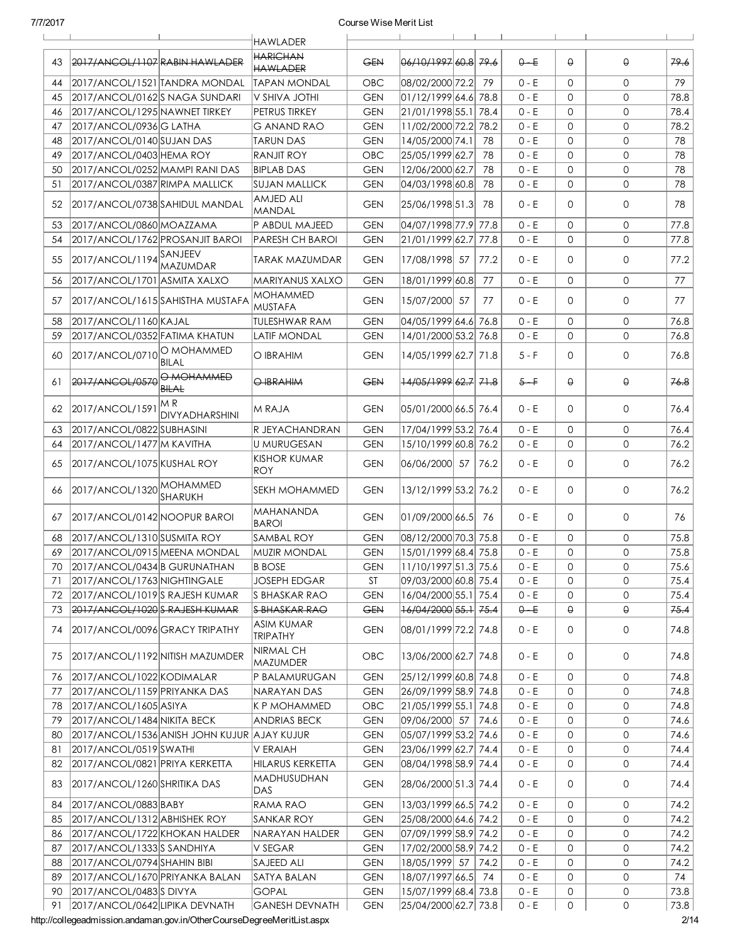|    |                                 |                                              | <b>HAWLADER</b>                      |            |                        |      |         | $\Box$       |          |      |
|----|---------------------------------|----------------------------------------------|--------------------------------------|------------|------------------------|------|---------|--------------|----------|------|
| 43 | 2017/ANCOL/1107 RABIN HAWLADER  |                                              | <b>HARICHAN</b><br><b>HAWLADER</b>   | <b>GEN</b> | 06/10/1997 60.8 79.6   |      | $0 - E$ | $\Theta$     | θ        | 79.6 |
| 44 | 2017/ANCOL/1521 TANDRA MONDAL   |                                              | TAPAN MONDAL                         | OBC        | 08/02/2000 72.2        | 79   | $0 - E$ | $\mathbf{0}$ | 0        | 79   |
| 45 | 2017/ANCOL/0162S NAGA SUNDARI   |                                              | V SHIVA JOTHI                        | <b>GEN</b> | 01/12/1999 64.6 78.8   |      | $0 - E$ | $\Omega$     | 0        | 78.8 |
| 46 | 2017/ANCOL/1295 NAWNET TIRKEY   |                                              | PETRUS TIRKEY                        | <b>GEN</b> | 21/01/1998 55.1 78.4   |      | $0 - E$ | $\mathbf 0$  | 0        | 78.4 |
| 47 | 2017/ANCOL/0936 G LATHA         |                                              | G ANAND RAO                          | <b>GEN</b> | 11/02/2000 72.2 78.2   |      | $0 - E$ | $\mathbf 0$  | 0        | 78.2 |
| 48 | 2017/ANCOL/0140 SUJAN DAS       |                                              | TARUN DAS                            | <b>GEN</b> | 14/05/2000 74.1        | 78   | $0 - E$ | $\mathbf 0$  | 0        | 78   |
| 49 | 2017/ANCOL/0403 HEMA ROY        |                                              | <b>RANJIT ROY</b>                    | OBC        | 25/05/1999 62.7        | 78   | $0 - E$ | $\mathbf 0$  | 0        | 78   |
| 50 | 2017/ANCOL/0252 MAMPI RANI DAS  |                                              | <b>BIPLAB DAS</b>                    | <b>GEN</b> | 12/06/2000 62.7        | 78   | $0 - E$ | $\mathbf 0$  | 0        | 78   |
| 51 | 2017/ANCOL/0387 RIMPA MALLICK   |                                              | SUJAN MALLICK                        | <b>GEN</b> | 04/03/1998 60.8        | 78   | $0 - E$ | $\mathbf 0$  | 0        | 78   |
| 52 | 2017/ANCOL/0738 SAHIDUL MANDAL  |                                              | AMJED ALI<br><b>MANDAL</b>           | <b>GEN</b> | 25/06/1998 51.3        | 78   | 0 - E   | $\Omega$     | 0        | 78   |
| 53 | 2017/ANCOL/0860 MOAZZAMA        |                                              | P ABDUL MAJEED                       | <b>GEN</b> | 04/07/1998 77.9 77.8   |      | $0 - E$ | $\mathbf{0}$ | 0        | 77.8 |
| 54 | 2017/ANCOL/1762 PROSANJIT BAROI |                                              | PARESH CH BAROI                      | <b>GEN</b> | 21/01/1999 62.7        | 77.8 | $0 - E$ | $\mathbf{0}$ | 0        | 77.8 |
|    | 2017/ANCOL/1194SANJEEV          |                                              |                                      |            |                        |      |         |              |          |      |
| 55 |                                 | MAZUMDAR                                     | <b>TARAK MAZUMDAR</b>                | <b>GEN</b> | 17/08/1998 57          | 77.2 | $0 - E$ | $\Omega$     | 0        | 77.2 |
| 56 | 2017/ANCOL/1701 ASMITA XALXO    |                                              | MARIYANUS XALXO                      | <b>GEN</b> | 18/01/1999 60.8        | 77   | $0 - E$ | $\mathbf{0}$ | 0        | 77   |
| 57 |                                 | 2017/ANCOL/1615 SAHISTHA MUSTAFA             | MOHAMMED<br><b>MUSTAFA</b>           | <b>GEN</b> | 15/07/2000 57          | 77   | $0 - E$ | $\mathbf{0}$ | 0        | 77   |
| 58 | 2017/ANCOL/1160 KAJAL           |                                              | <b>TULESHWAR RAM</b>                 | <b>GEN</b> | 04/05/1999 64.6 76.8   |      | $0 - E$ | $\mathbf{0}$ | 0        | 76.8 |
| 59 | 2017/ANCOL/0352 FATIMA KHATUN   |                                              | <b>LATIF MONDAL</b>                  | <b>GEN</b> | 14/01/2000 53.2 76.8   |      | $0 - E$ | $\mathbf 0$  | $\Omega$ | 76.8 |
| 60 | 2017/ANCOL/0710 NO MOHAMMED     | <b>BILAL</b>                                 | O IBRAHIM                            | <b>GEN</b> | 14/05/1999 62.7 71.8   |      | $5 - F$ | $\mathbf{0}$ | 0        | 76.8 |
| 61 | 2017/ANCOL/0570                 | O MOHAMMED<br><b>BILAL</b>                   | O IBRAHIM                            | <b>GEN</b> | 14/05/1999 62.7 71.8   |      | $5 - F$ | $\Theta$     | θ        | 76.8 |
| 62 | 2017/ANCOL/1591                 | M R<br>DIVYADHARSHINI                        | M RAJA                               | <b>GEN</b> | 05/01/2000 66.5  76.4  |      | $0 - E$ | $\Omega$     | 0        | 76.4 |
| 63 | 2017/ANCOL/0822 SUBHASINI       |                                              | R JEYACHANDRAN                       | <b>GEN</b> | 17/04/1999 53.2 76.4   |      | $0 - E$ | $\mathbf{0}$ | 0        | 76.4 |
| 64 | 2017/ANCOL/1477 M KAVITHA       |                                              | <b>U MURUGESAN</b>                   | <b>GEN</b> | 15/10/1999 60.8 76.2   |      | $0 - E$ | $\mathbf{0}$ | 0        | 76.2 |
| 65 | 2017/ANCOL/1075 KUSHAL ROY      |                                              | <b>KISHOR KUMAR</b><br>ROY.          | <b>GEN</b> | 06/06/2000 57          | 76.2 | $0 - E$ | $\mathbf{0}$ | 0        | 76.2 |
| 66 | 2017/ANCOL/1320 MOHAMMED        | ISHARUKH                                     | <b>SEKH MOHAMMED</b>                 | <b>GEN</b> | 13/12/1999 53.2 76.2   |      | $0 - E$ | $\mathbf{0}$ | 0        | 76.2 |
| 67 | 2017/ANCOL/0142 NOOPUR BAROI    |                                              | MAHANANDA<br><b>BAROI</b>            | <b>GEN</b> | 01/09/2000 66.5        | 76   | $0 - E$ | $\Omega$     | 0        | 76   |
| 68 | 2017/ANCOL/1310 SUSMITA ROY     |                                              | <b>SAMBAL ROY</b>                    | <b>GEN</b> | 08/12/2000 70.3 75.8   |      | $0 - E$ | $\mathbf 0$  | 0        | 75.8 |
| 69 | 2017/ANCOL/0915 MEENA MONDAL    |                                              | <b>MUZIR MONDAL</b>                  | <b>GEN</b> | 15/01/1999 68.4 75.8   |      | $0 - E$ | $\mathbf 0$  | 0        | 75.8 |
| 70 | 2017/ANCOL/0434 B GURUNATHAN    |                                              | <b>B BOSE</b>                        | <b>GEN</b> | 11/10/1997 51.3 75.6   |      | $0 - E$ | $\mathsf O$  | 0        | 75.6 |
| 71 | 2017/ANCOL/1763 NIGHTINGALE     |                                              | <b>JOSEPH EDGAR</b>                  | ST         | 09/03/2000 60.8 75.4   |      | 0 - E   | 0            | 0        | 75.4 |
| 72 | 2017/ANCOL/1019 S RAJESH KUMAR  |                                              | S BHASKAR RAO                        | <b>GEN</b> | 16/04/2000 55.1 75.4   |      | 0 - E   | 0            | 0        | 75.4 |
| 73 | 2017/ANCOL/1020 S RAJESH KUMAR  |                                              | S BHASKAR RAO                        | <b>GEN</b> | $+6/04/2000 55.1 75.4$ |      | $0 - E$ | θ            | θ        | 75.4 |
| 74 | 2017/ANCOL/0096 GRACY TRIPATHY  |                                              | <b>ASIM KUMAR</b><br><b>TRIPATHY</b> | <b>GEN</b> | 08/01/1999 72.2  74.8  |      | 0 - E   | 0            | 0        | 74.8 |
| 75 | 2017/ANCOL/1192 NITISH MAZUMDER |                                              | NIRMAL CH<br>MAZUMDER                | OBC        | 13/06/2000 62.7 74.8   |      | $0 - E$ | 0            | 0        | 74.8 |
| 76 | 2017/ANCOL/1022 KODIMALAR       |                                              | P BALAMURUGAN                        | <b>GEN</b> | 25/12/1999 60.8 74.8   |      | 0 - E   | 0            | 0        | 74.8 |
| 77 | 2017/ANCOL/1159 PRIYANKA DAS    |                                              | NARAYAN DAS                          | <b>GEN</b> | 26/09/1999 58.9 74.8   |      | $0 - E$ | 0            | 0        | 74.8 |
| 78 | 2017/ANCOL/1605 ASIYA           |                                              | K P MOHAMMED                         | OBC        | 21/05/1999 55.1 74.8   |      | $0 - E$ | 0            | 0        | 74.8 |
| 79 | 2017/ANCOL/1484 NIKITA BECK     |                                              | <b>ANDRIAS BECK</b>                  | <b>GEN</b> | 09/06/2000 57          | 74.6 | $0 - E$ | 0            | 0        | 74.6 |
| 80 |                                 | 2017/ANCOL/1536 ANISH JOHN KUJUR  AJAY KUJUR |                                      | <b>GEN</b> | 05/07/1999 53.2 74.6   |      | $0 - E$ | 0            | 0        | 74.6 |
| 81 | 2017/ANCOL/0519 SWATHI          |                                              | V ERAIAH                             | <b>GEN</b> | 23/06/1999 62.7 74.4   |      | 0 - E   | 0            | 0        | 74.4 |
| 82 | 2017/ANCOL/0821 PRIYA KERKETTA  |                                              | HILARUS KERKETTA                     | <b>GEN</b> | 08/04/1998 58.9 74.4   |      | $0 - E$ | 0            | 0        | 74.4 |
| 83 | 2017/ANCOL/1260 SHRITIKA DAS    |                                              | MADHUSUDHAN<br>DAS                   | GEN        | 28/06/2000 51.3 74.4   |      | $0 - E$ | 0            | 0        | 74.4 |
| 84 | 2017/ANCOL/0883 BABY            |                                              | RAMA RAO                             | GEN        | 13/03/1999 66.5 74.2   |      | $0 - E$ | 0            | 0        | 74.2 |
| 85 | 2017/ANCOL/1312 ABHISHEK ROY    |                                              | SANKAR ROY                           | <b>GEN</b> | 25/08/2000 64.6 74.2   |      | $0 - E$ | $\mathbf{0}$ | 0        | 74.2 |
| 86 | 2017/ANCOL/1722 KHOKAN HALDER   |                                              | NARAYAN HALDER                       | <b>GEN</b> | 07/09/1999 58.9 74.2   |      | $0 - E$ | 0            | 0        | 74.2 |
| 87 | 2017/ANCOL/1333 S SANDHIYA      |                                              | V SEGAR                              | <b>GEN</b> | 17/02/2000 58.9 74.2   |      | $0 - E$ | 0            | 0        | 74.2 |
| 88 | 2017/ANCOL/0794 SHAHIN BIBI     |                                              | SAJEED ALI                           | <b>GEN</b> | 18/05/1999 57          | 74.2 | $0 - E$ | $\mathbf 0$  | 0        | 74.2 |
| 89 | 2017/ANCOL/1670 PRIYANKA BALAN  |                                              | SATYA BALAN                          | <b>GEN</b> | 18/07/1997 66.5 74     |      | $0 - E$ | 0            | 0        | 74   |
| 90 | 2017/ANCOL/0483 S DIVYA         |                                              | <b>GOPAL</b>                         | <b>GEN</b> | 15/07/1999 68.4 73.8   |      | $0 - E$ | 0            | 0        | 73.8 |
| 91 | 2017/ANCOL/0642 LIPIKA DEVNATH  |                                              | <b>GANESH DEVNATH</b>                | <b>GEN</b> | 25/04/2000 62.7 73.8   |      | $0 - E$ | 0            | 0        | 73.8 |

http://collegeadmission.andaman.gov.in/OtherCourseDegreeMeritList.aspx 2/14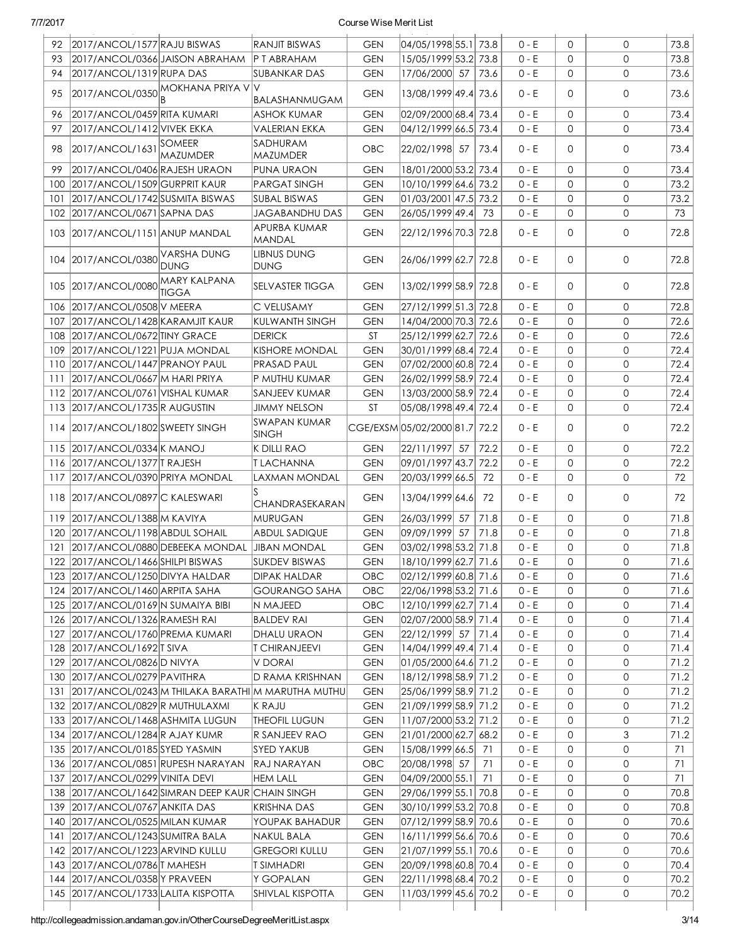| 92  | 2017/ANCOL/1577 RAJU BISWAS             |                                                  | RANJIT BISWAS                                         | <b>GEN</b> | 04/05/1998 55.1 73.8          |      | $0 - E$ | $\mathbf{0}$ | $\Omega$     | 73.8 |
|-----|-----------------------------------------|--------------------------------------------------|-------------------------------------------------------|------------|-------------------------------|------|---------|--------------|--------------|------|
| 93  | 2017/ANCOL/0366 JAISON ABRAHAM          |                                                  | P T ABRAHAM                                           | <b>GEN</b> | 15/05/1999 53.2 73.8          |      | $0 - E$ | $\mathbf{0}$ | $\Omega$     | 73.8 |
| 94  | 2017/ANCOL/1319 RUPA DAS                |                                                  | <b>SUBANKAR DAS</b>                                   | <b>GEN</b> | 17/06/2000 57                 | 73.6 | $0 - E$ | $\mathbf{0}$ | $\mathsf{O}$ | 73.6 |
| 95  |                                         | $2017/ANCOL/0350$ MOKHANA PRIYA V                | ΙV<br>BALASHANMUGAM                                   | <b>GEN</b> | 13/08/1999 49.4 73.6          |      | 0 - E   | 0            | $\mathbf{0}$ | 73.6 |
| 96  | 2017/ANCOL/0459 RITA KUMARI             |                                                  | ASHOK KUMAR                                           | <b>GEN</b> | 02/09/2000 68.4 73.4          |      | $0 - E$ | $\mathbf{0}$ | $\mathbf{0}$ | 73.4 |
| 97  | 2017/ANCOL/1412 VIVEK EKKA              |                                                  | VALERIAN EKKA                                         | <b>GEN</b> | 04/12/1999 66.5 73.4          |      | $0 - E$ | $\mathbf{0}$ | $\mathbf 0$  | 73.4 |
| 98  | 2017/ANCOL/1631                         | <b>SOMEER</b><br>MAZUMDER                        | SADHURAM<br>MAZUMDER                                  | <b>OBC</b> | 22/02/1998 57                 | 73.4 | $0 - E$ | $\Omega$     | $\mathbf 0$  | 73.4 |
| 99  | 2017/ANCOL/0406 RAJESH URAON            |                                                  | PUNA URAON                                            | <b>GEN</b> | 18/01/2000 53.2 73.4          |      | $0 - E$ | $\mathbf{0}$ | $\mathbf{0}$ | 73.4 |
|     | 100 2017/ANCOL/1509 GURPRIT KAUR        |                                                  | <b>PARGAT SINGH</b>                                   | <b>GEN</b> | 10/10/1999 64.6 73.2          |      | $0 - E$ | $\mathbf{O}$ | $\mathbf{O}$ | 73.2 |
|     | 101   2017/ANCOL/1742 SUSMITA BISWAS    |                                                  | SUBAL BISWAS                                          | <b>GEN</b> | 01/03/2001 47.5 73.2          |      | 0 - E   | $\mathbf{O}$ | $\mathbf{O}$ | 73.2 |
|     | 102   2017/ANCOL/0671   SAPNA DAS       |                                                  | JAGABANDHU DAS                                        | <b>GEN</b> | 26/05/1999 49.4 73            |      | $0 - E$ | $\mathbf{O}$ | $\mathsf{O}$ | 73   |
|     | 103 2017/ANCOL/1151 ANUP MANDAL         |                                                  | APURBA KUMAR<br>MANDAL                                | <b>GEN</b> | 22/12/1996 70.3 72.8          |      | $0 - E$ | $\mathbf{0}$ | $\mathbf 0$  | 72.8 |
|     | 104 2017/ANCOL/0380                     | <b>VARSHA DUNG</b><br><b>DUNG</b>                | <b>LIBNUS DUNG</b><br><b>DUNG</b>                     | <b>GEN</b> | 26/06/1999 62.7 72.8          |      | $0 - E$ | $\mathbf{0}$ | $\mathbf 0$  | 72.8 |
|     | 105 2017/ANCOL/0080                     | MARY KALPANA<br>TIGGA                            | SELVASTER TIGGA                                       | <b>GEN</b> | 13/02/1999 58.9 72.8          |      | $0 - E$ | 0            | $\mathbf{0}$ | 72.8 |
|     | 106 2017/ANCOL/0508 V MEERA             |                                                  | C VELUSAMY                                            | <b>GEN</b> | 27/12/1999 51.3 72.8          |      | $0 - E$ | $\mathbf{0}$ | $\mathbf 0$  | 72.8 |
| 107 | 2017/ANCOL/1428 KARAMJIT KAUR           |                                                  | <b>KULWANTH SINGH</b>                                 | <b>GEN</b> | 14/04/2000 70.3 72.6          |      | $0 - E$ | $\Omega$     | $\mathbf{O}$ | 72.6 |
| 108 | 2017/ANCOL/0672 TINY GRACE              |                                                  | <b>DERICK</b>                                         | ST         | 25/12/1999 62.7 72.6          |      | $0 - E$ | $\mathbf{0}$ | $\mathbf{0}$ | 72.6 |
| 109 | 2017/ANCOL/1221 PUJA MONDAL             |                                                  | <b>KISHORE MONDAL</b>                                 | <b>GEN</b> | 30/01/1999 68.4 72.4          |      | 0 - E   | $\mathbf{0}$ | $\mathbf{0}$ | 72.4 |
|     | 110 2017/ANCOL/1447 PRANOY PAUL         |                                                  | PRASAD PAUL                                           | <b>GEN</b> | 07/02/2000 60.8 72.4          |      | 0 - E   | $\mathbf{0}$ | $\mathbf{0}$ | 72.4 |
| 111 | 2017/ANCOL/0667 M HARI PRIYA            |                                                  | P MUTHU KUMAR                                         | <b>GEN</b> | 26/02/1999 58.9 72.4          |      | $0 - E$ | $\Omega$     | $\mathbf{0}$ | 72.4 |
|     | 112   2017/ANCOL/0761   VISHAL KUMAR    |                                                  | SANJEEV KUMAR                                         | <b>GEN</b> | 13/03/2000 58.9 72.4          |      | $0 - E$ | $\mathbf{0}$ | $\mathbf{0}$ | 72.4 |
|     | 113 2017/ANCOL/1735 R AUGUSTIN          |                                                  | JIMMY NELSON                                          | ST         | 05/08/1998 49.4 72.4          |      | $0 - E$ | $\mathbf{0}$ | $\mathbf 0$  | 72.4 |
|     | 114 2017/ANCOL/1802 SWEETY SINGH        |                                                  | SWAPAN KUMAR<br><b>SINGH</b>                          |            | CGE/EXSM 05/02/2000 81.7 72.2 |      | $0 - E$ | $\Omega$     | $\mathbf 0$  | 72.2 |
|     | 115 2017/ANCOL/0334 K MANOJ             |                                                  | K DILLI RAO                                           | <b>GEN</b> | 22/11/1997 57                 | 72.2 | $0 - E$ | $\mathbf{0}$ | $\mathbf 0$  | 72.2 |
|     | 116 2017/ANCOL/1377 TRAJESH             |                                                  | T LACHANNA                                            | <b>GEN</b> | 09/01/1997 43.7 72.2          |      | $0 - E$ | $\mathbf{0}$ | $\mathsf{O}$ | 72.2 |
|     | 117 2017/ANCOL/0390 PRIYA MONDAL        |                                                  | LAXMAN MONDAL                                         | <b>GEN</b> | 20/03/1999 66.5 72            |      | $0 - E$ | $\Omega$     | $\mathsf{O}$ | 72   |
|     | 118 2017/ANCOL/0897 C KALESWARI         |                                                  | CHANDRASEKARAN                                        | <b>GEN</b> | 13/04/1999 64.6               | 72   | $0 - E$ | $\Omega$     | $\mathbf{0}$ | 72   |
|     | 119 2017/ANCOL/1388 M KAVIYA            |                                                  | <b>MURUGAN</b>                                        | <b>GEN</b> | 26/03/1999 57                 | 71.8 | $0 - E$ | $\mathbf{0}$ | $\mathbf 0$  | 71.8 |
|     | 120 2017/ANCOL/1198 ABDUL SOHAIL        |                                                  | <b>ABDUL SADIQUE</b>                                  | <b>GEN</b> | 09/09/1999 57                 | 71.8 | $0 - E$ | $\mathbf{0}$ | $\mathsf{O}$ | 71.8 |
|     | 121 2017/ANCOL/0880 DEBEEKA MONDAL      |                                                  | <b>JIBAN MONDAL</b>                                   | <b>GEN</b> | 03/02/1998 53.2 71.8          |      | $0 - E$ | 0            | $\mathsf{O}$ | 71.8 |
|     | 122 2017/ANCOL/1466 SHILPI BISWAS       |                                                  | <b>SUKDEV BISWAS</b>                                  | <b>GEN</b> | 18/10/1999 62.7 71.6          |      | $0 - E$ | 0            | 0            | 71.6 |
|     | 123 2017/ANCOL/1250 DIVYA HALDAR        |                                                  | DIPAK HALDAR                                          | OBC        | 02/12/1999 60.8 71.6          |      | 0 - E   | 0            | 0            | 71.6 |
|     | 124 2017/ANCOL/1460 ARPITA SAHA         |                                                  | GOURANGO SAHA                                         | OBC        | 22/06/1998 53.2 71.6          |      | 0 - E   | 0            | 0            | 71.6 |
|     | 125 2017/ANCOL/0169 N SUMAIYA BIBI      |                                                  | N MAJEED                                              | <b>OBC</b> | 12/10/1999 62.7 71.4          |      | $0 - E$ | 0            | 0            | 71.4 |
|     | 126 2017/ANCOL/1326 RAMESH RAI          |                                                  | <b>BALDEV RAI</b>                                     | <b>GEN</b> | 02/07/2000 58.9  71.4         |      | $0 - E$ | 0            | 0            | 71.4 |
|     | 127 2017/ANCOL/1760 PREMA KUMARI        |                                                  | DHALU URAON                                           | <b>GEN</b> | 22/12/1999 57                 | 71.4 | $0 - E$ | 0            | 0            | 71.4 |
|     | 128 2017/ANCOL/1692 T SIVA              |                                                  | T CHIRANJEEVI                                         | <b>GEN</b> | 14/04/1999 49.4 71.4          |      | $0 - E$ | $\mathbf{0}$ | 0            | 71.4 |
|     | 129 2017/ANCOL/0826 D NIVYA             |                                                  | V DORAI                                               | <b>GEN</b> | 01/05/2000 64.6 71.2          |      | 0 - E   | 0            | 0            | 71.2 |
|     | 130 2017/ANCOL/0279 PAVITHRA            |                                                  | D RAMA KRISHNAN                                       | <b>GEN</b> | 18/12/1998 58.9 71.2          |      | 0 - E   | 0            | 0            | 71.2 |
|     |                                         |                                                  | 131 2017/ANCOL/0243 M THILAKA BARATHI M MARUTHA MUTHU | GEN        | 25/06/1999 58.9 71.2          |      | 0 - E   | 0            | 0            | 71.2 |
|     | 132 2017/ANCOL/0829 R MUTHULAXMI        |                                                  | K RAJU                                                | <b>GEN</b> | 21/09/1999 58.9 71.2          |      | 0 - E   | 0            | 0            | 71.2 |
|     | 133 2017/ANCOL/1468 ASHMITA LUGUN       |                                                  | <b>THEOFIL LUGUN</b>                                  | <b>GEN</b> | 11/07/2000 53.2 71.2          |      | 0 - E   | 0            | 0            | 71.2 |
|     | 134 2017/ANCOL/1284 R AJAY KUMR         |                                                  | R SANJEEV RAO                                         | <b>GEN</b> | 21/01/2000 62.7 68.2          |      | 0 - E   | 0            | 3            | 71.2 |
|     | 135 2017/ANCOL/0185 SYED YASMIN         |                                                  | <b>SYED YAKUB</b>                                     | <b>GEN</b> | 15/08/1999 66.5 71            |      | $0 - E$ | 0            | 0            | 71   |
|     | 136 2017/ANCOL/0851 RUPESH NARAYAN      |                                                  | RAJ NARAYAN                                           | OBC        | 20/08/1998 57                 | 71   | 0 - E   | 0            | 0            | 71   |
|     | 137 2017/ANCOL/0299 VINITA DEVI         |                                                  | <b>HEM LALL</b>                                       | <b>GEN</b> | 04/09/2000 55.1 71            |      | 0 - E   | 0            | 0            | 71   |
|     |                                         | 138 2017/ANCOL/1642 SIMRAN DEEP KAUR CHAIN SINGH |                                                       | <b>GEN</b> | 29/06/1999 55.1 70.8          |      | 0 - E   | 0            | 0            | 70.8 |
|     | 139 2017/ANCOL/0767 ANKITA DAS          |                                                  | <b>KRISHNA DAS</b>                                    | <b>GEN</b> | 30/10/1999 53.2 70.8          |      | 0 - E   | 0            | 0            | 70.8 |
|     | 140 2017/ANCOL/0525 MILAN KUMAR         |                                                  | YOUPAK BAHADUR                                        | <b>GEN</b> | 07/12/1999 58.9 70.6          |      | 0 - E   | 0            | 0            | 70.6 |
|     | 141 2017/ANCOL/1243 SUMITRA BALA        |                                                  | <b>NAKUL BALA</b>                                     | <b>GEN</b> | 16/11/1999 56.6 70.6          |      | 0 - E   | 0            | 0            | 70.6 |
|     | 142 2017/ANCOL/1223 ARVIND KULLU        |                                                  | <b>GREGORI KULLU</b>                                  | <b>GEN</b> | 21/07/1999 55.1 70.6          |      | 0 - E   | 0            | 0            | 70.6 |
|     | 143 2017/ANCOL/0786 T MAHESH            |                                                  | T SIMHADRI                                            | <b>GEN</b> | 20/09/1998 60.8 70.4          |      | 0 - E   | 0            | 0            | 70.4 |
|     | 144   2017/ANCOL/0358   Y PRAVEEN       |                                                  | Y GOPALAN                                             | <b>GEN</b> | 22/11/1998 68.4 70.2          |      | 0 - E   | 0            | 0            | 70.2 |
|     | 145   2017/ANCOL/1733   LALITA KISPOTTA |                                                  | SHIVLAL KISPOTTA                                      | <b>GEN</b> | 11/03/1999 45.6 70.2          |      | 0 - E   | 0            | $\mathsf{O}$ | 70.2 |
|     |                                         |                                                  |                                                       |            |                               |      |         |              |              |      |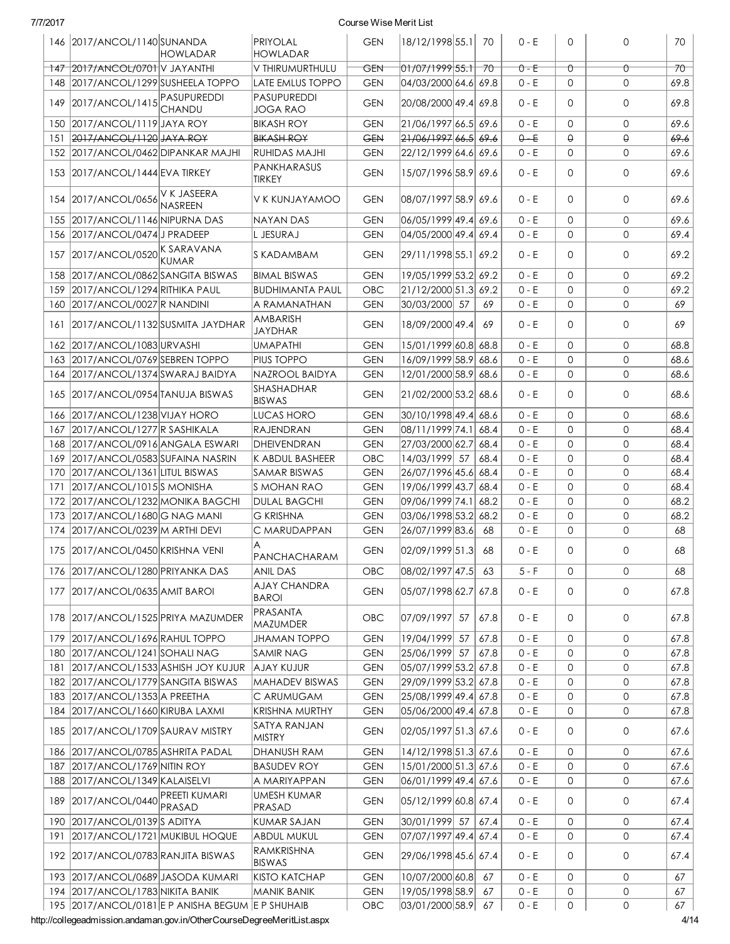|     | 146 2017/ANCOL/1140 SUNANDA           | <b>HOWLADAR</b>                                  | PRIYOLAL<br>HOWLADAR                  | <b>GEN</b> | 18/12/1998 55.1 70              |       | $0 - E$ | $\mathbf 0$  | $\mathbf 0$  | 70     |
|-----|---------------------------------------|--------------------------------------------------|---------------------------------------|------------|---------------------------------|-------|---------|--------------|--------------|--------|
|     | 147 2017/ANCOL/0701 V JAYANTHI        |                                                  | V THIRUMURTHULU                       | GEN        | $01/07/1999$ 55.1               | $70-$ | $0 - E$ | Û            | $\sigma$     | $70 -$ |
|     | 148 2017/ANCOL/1299 SUSHEELA TOPPO    |                                                  | <b>LATE EMLUS TOPPO</b>               | <b>GEN</b> | 04/03/2000 64.6 69.8            |       | 0 - E   | 0            | 0            | 69.8   |
| 149 | 2017/ANCOL/1415                       | PASUPUREDDI<br>CHANDU                            | <b>PASUPUREDDI</b><br><b>JOGA RAO</b> | <b>GEN</b> | 20/08/2000 49.4 69.8            |       | 0 - E   | 0            | $\Omega$     | 69.8   |
|     | 150   2017/ANCOL/1119   JAYA ROY      |                                                  | <b>BIKASH ROY</b>                     | <b>GEN</b> | 21/06/1997 66.5 69.6            |       | $0 - E$ | $\mathbf 0$  | $\mathbf 0$  | 69.6   |
| 151 | 2017/ANCOL/1120 JAYA ROY              |                                                  | <b>BIKASH ROY</b>                     | <b>GEN</b> | <del>21/06/1997</del> 66.5 69.6 |       | $0 - E$ | $\Theta$     | $\Theta$     | 69.6   |
|     | 152 2017/ANCOL/0462 DIPANKAR MAJHI    |                                                  | RUHIDAS MAJHI                         | <b>GEN</b> | 22/12/1999 64.6 69.6            |       | 0 - E   | $\mathbf 0$  | $\Omega$     | 69.6   |
|     | 153 2017/ANCOL/1444 EVA TIRKEY        |                                                  | PANKHARASUS<br>TIRKEY                 | <b>GEN</b> | 15/07/1996 58.9 69.6            |       | 0 - E   | 0            | $\mathbf 0$  | 69.6   |
|     | 154 2017/ANCOL/0656                   | V K JASEERA<br>NASREEN                           | V K KUNJAYAMOO                        | <b>GEN</b> | 08/07/1997 58.9 69.6            |       | $0 - E$ | 0            | 0            | 69.6   |
|     | 155 2017/ANCOL/1146 NIPURNA DAS       |                                                  | NAYAN DAS                             | <b>GEN</b> | 06/05/1999 49.4 69.6            |       | $0 - E$ | $\mathbf 0$  | $\mathbf 0$  | 69.6   |
|     | 156 2017/ANCOL/0474 J PRADEEP         |                                                  | L JESURAJ                             | <b>GEN</b> | 04/05/2000 49.4 69.4            |       | $0 - E$ | $\Omega$     | $\Omega$     | 69.4   |
| 157 | 2017/ANCOL/0520 K SARAVANA            | <b>KUMAR</b>                                     | S KADAMBAM                            | <b>GEN</b> | 29/11/1998 55.1 69.2            |       | $0 - E$ | $\Omega$     | $\Omega$     | 69.2   |
| 158 | 2017/ANCOL/0862 SANGITA BISWAS        |                                                  | <b>BIMAL BISWAS</b>                   | <b>GEN</b> | 19/05/1999 53.2 69.2            |       | $0 - E$ | $\Omega$     | $\mathbf 0$  | 69.2   |
| 159 | 2017/ANCOL/1294 RITHIKA PAUL          |                                                  | <b>BUDHIMANTA PAUL</b>                | OBC        | 21/12/2000 51.3 69.2            |       | $0 - E$ | $\mathbf 0$  | $\Omega$     | 69.2   |
| 160 | 2017/ANCOL/0027 R NANDINI             |                                                  | A RAMANATHAN                          | <b>GEN</b> | 30/03/2000 57                   | 69    | $0 - E$ | $\mathbf 0$  | 0            | 69     |
| 161 | 2017/ANCOL/1132 SUSMITA JAYDHAR       |                                                  | AMBARISH<br>JAYDHAR                   | <b>GEN</b> | 18/09/2000 49.4                 | 69    | 0 - E   | 0            | $\Omega$     | 69     |
|     | 162 2017/ANCOL/1083 URVASHI           |                                                  | <b>UMAPATHI</b>                       | <b>GEN</b> | 15/01/1999 60.8 68.8            |       | $0 - E$ | $\mathbf 0$  | $\mathbf 0$  | 68.8   |
|     | 163 2017/ANCOL/0769 SEBREN TOPPO      |                                                  | <b>PIUS TOPPO</b>                     | <b>GEN</b> | 16/09/1999 58.9 68.6            |       | $0 - E$ | 0            | $\mathbf 0$  | 68.6   |
|     | 164   2017/ANCOL/1374 SWARAJ BAIDYA   |                                                  | NAZROOL BAIDYA                        | <b>GEN</b> | 12/01/2000 58.9 68.6            |       | $0 - E$ | 0            | $\mathbf 0$  | 68.6   |
|     | 165 2017/ANCOL/0954 TANUJA BISWAS     |                                                  | SHASHADHAR<br><b>BISWAS</b>           | <b>GEN</b> | 21/02/2000 53.2 68.6            |       | $0 - E$ | $\Omega$     | $\mathbf 0$  | 68.6   |
|     | 166 2017/ANCOL/1238 VIJAY HORO        |                                                  | <b>LUCAS HORO</b>                     | <b>GEN</b> | 30/10/1998 49.4 68.6            |       | $0 - E$ | $\mathbf{0}$ | $\mathbf 0$  | 68.6   |
| 167 | 2017/ANCOL/1277 R SASHIKALA           |                                                  | RAJENDRAN                             | <b>GEN</b> | 08/11/1999 74.1                 | 68.4  | $0 - E$ | $\mathbf 0$  | $\mathbf{O}$ | 68.4   |
|     | 168 2017/ANCOL/0916 ANGALA ESWARI     |                                                  | DHEIVENDRAN                           | <b>GEN</b> | 27/03/2000 62.7                 | 68.4  | $0 - E$ | $\mathbf 0$  | $\mathbf{O}$ | 68.4   |
| 169 | 2017/ANCOL/0583 SUFAINA NASRIN        |                                                  | K ABDUL BASHEER                       | OBC        | 14/03/1999 57                   | 68.4  | $0 - E$ | 0            | $\mathbf 0$  | 68.4   |
| 170 | 2017/ANCOL/1361 LITUL BISWAS          |                                                  | SAMAR BISWAS                          | <b>GEN</b> | 26/07/1996 45.6 68.4            |       | $0 - E$ | 0            | $\mathbf 0$  | 68.4   |
| 171 | 2017/ANCOL/1015 S MONISHA             |                                                  | S MOHAN RAO                           | <b>GEN</b> | 19/06/1999 43.7 68.4            |       | $0 - E$ | 0            | $\mathbf 0$  | 68.4   |
| 172 | 2017/ANCOL/1232 MONIKA BAGCHI         |                                                  | <b>DULAL BAGCHI</b>                   | <b>GEN</b> | 09/06/1999 74.1                 | 68.2  | $0 - E$ | 0            | $\mathbf 0$  | 68.2   |
| 173 | 2017/ANCOL/1680 G NAG MANI            |                                                  | <b>G KRISHNA</b>                      | <b>GEN</b> | 03/06/1998 53.2 68.2            |       | 0 - E   | 0            | $\mathbf 0$  | 68.2   |
| 174 | 2017/ANCOL/0239 M ARTHI DEVI          |                                                  | C MARUDAPPAN                          | GEN        | 26/07/1999 83.6                 | 68    | $0 - E$ | 0            | $\mathbf 0$  | 68     |
|     | 175 2017/ANCOL/0450 KRISHNA VENI      |                                                  | A<br>PANCHACHARAM                     | <b>GEN</b> | 02/09/1999 51.3                 | 68    | 0 - E   | $\Omega$     | $\mathbf{O}$ | 68     |
|     | 176   2017/ANCOL/1280   PRIYANKA DAS  |                                                  | <b>ANIL DAS</b>                       | OBC        | $ 08/02/1997 47.5 $ 63          |       | $5 - F$ | 0            | 0            | 68     |
|     | 177 2017/ANCOL/0635 AMIT BAROI        |                                                  | AJAY CHANDRA<br><b>BAROI</b>          | <b>GEN</b> | 05/07/1998 62.7 67.8            |       | $0 - E$ | 0            | 0            | 67.8   |
|     | 178 2017/ANCOL/1525 PRIYA MAZUMDER    |                                                  | PRASANTA<br>MAZUMDER                  | OBC        | 07/09/1997 57                   | 67.8  | 0 - E   | 0            | 0            | 67.8   |
| 179 | 2017/ANCOL/1696 RAHUL TOPPO           |                                                  | JHAMAN TOPPO                          | <b>GEN</b> | 19/04/1999 57                   | 67.8  | 0 - E   | 0            | 0            | 67.8   |
|     | 180 2017/ANCOL/1241 SOHALI NAG        |                                                  | SAMIR NAG                             | <b>GEN</b> | 25/06/1999 57                   | 67.8  | $0 - E$ | 0            | 0            | 67.8   |
| 181 | 2017/ANCOL/1533 ASHISH JOY KUJUR      |                                                  | <b>AJAY KUJUR</b>                     | <b>GEN</b> | 05/07/1999 53.2 67.8            |       | 0 - E   | 0            | 0            | 67.8   |
|     | 182 2017/ANCOL/1779 SANGITA BISWAS    |                                                  | MAHADEV BISWAS                        | <b>GEN</b> | 29/09/1999 53.2 67.8            |       | 0 - E   | 0            | 0            | 67.8   |
|     | 183 2017/ANCOL/1353 A PREETHA         |                                                  | C ARUMUGAM                            | <b>GEN</b> | 25/08/1999 49.4 67.8            |       | 0 - E   | 0            | 0            | 67.8   |
|     | 184 2017/ANCOL/1660 KIRUBA LAXMI      |                                                  | <b>KRISHNA MURTHY</b>                 | <b>GEN</b> | 05/06/2000 49.4 67.8            |       | 0 - E   | 0            | 0            | 67.8   |
|     | 185   2017/ANCOL/1709   SAURAV MISTRY |                                                  | SATYA RANJAN<br><b>MISTRY</b>         | <b>GEN</b> | 02/05/1997 51.3 67.6            |       | 0 - E   | 0            | $\mathsf{O}$ | 67.6   |
|     | 186 2017/ANCOL/0785 ASHRITA PADAL     |                                                  | DHANUSH RAM                           | <b>GEN</b> | 14/12/1998 51.3 67.6            |       | 0 - E   | 0            | $\mathbf{0}$ | 67.6   |
| 187 | 2017/ANCOL/1769 NITIN ROY             |                                                  | <b>BASUDEV ROY</b>                    | <b>GEN</b> | 15/01/2000 51.3 67.6            |       | 0 - E   | 0            | 0            | 67.6   |
| 188 | 2017/ANCOL/1349 KALAISELVI            |                                                  | A MARIYAPPAN                          | <b>GEN</b> | 06/01/1999 49.4 67.6            |       | 0 - E   | 0            | 0            | 67.6   |
|     | 189 2017/ANCOL/0440                   | PREETI KUMARI<br>PRASAD                          | <b>UMESH KUMAR</b><br>PRASAD          | <b>GEN</b> | 05/12/1999 60.8  67.4           |       | $0 - E$ | 0            | $\mathsf{O}$ | 67.4   |
|     | 190 2017/ANCOL/0139 S ADITYA          |                                                  | <b>KUMAR SAJAN</b>                    | <b>GEN</b> | 30/01/1999 57                   | 67.4  | $0 - E$ | $\mathbf 0$  | $\mathsf{O}$ | 67.4   |
| 191 | 2017/ANCOL/1721 MUKIBUL HOQUE         |                                                  | ABDUL MUKUL                           | <b>GEN</b> | 07/07/1997 49.4 67.4            |       | 0 - E   | 0            | 0            | 67.4   |
|     | 192 2017/ANCOL/0783 RANJITA BISWAS    |                                                  | RAMKRISHNA<br><b>BISWAS</b>           | <b>GEN</b> | 29/06/1998 45.6 67.4            |       | $0 - E$ | 0            | 0            | 67.4   |
|     | 193 2017/ANCOL/0689 JASODA KUMARI     |                                                  | <b>KISTO KATCHAP</b>                  | <b>GEN</b> | 10/07/2000 60.8                 | 67    | $0 - E$ | 0            | $\mathbf{0}$ | 67     |
|     | 194 2017/ANCOL/1783 NIKITA BANIK      |                                                  | MANIK BANIK                           | <b>GEN</b> | 19/05/1998 58.9                 | 67    | $0 - E$ | 0            | 0            | 67     |
|     |                                       | 195 2017/ANCOL/0181 E P ANISHA BEGUM E P SHUHAIB |                                       | <b>OBC</b> | $ 03/01/2000 58.9 $ 67          |       | $0 - E$ | 0            | 0            | 67     |

http://collegeadmission.andaman.gov.in/OtherCourseDegreeMeritList.aspx 4/14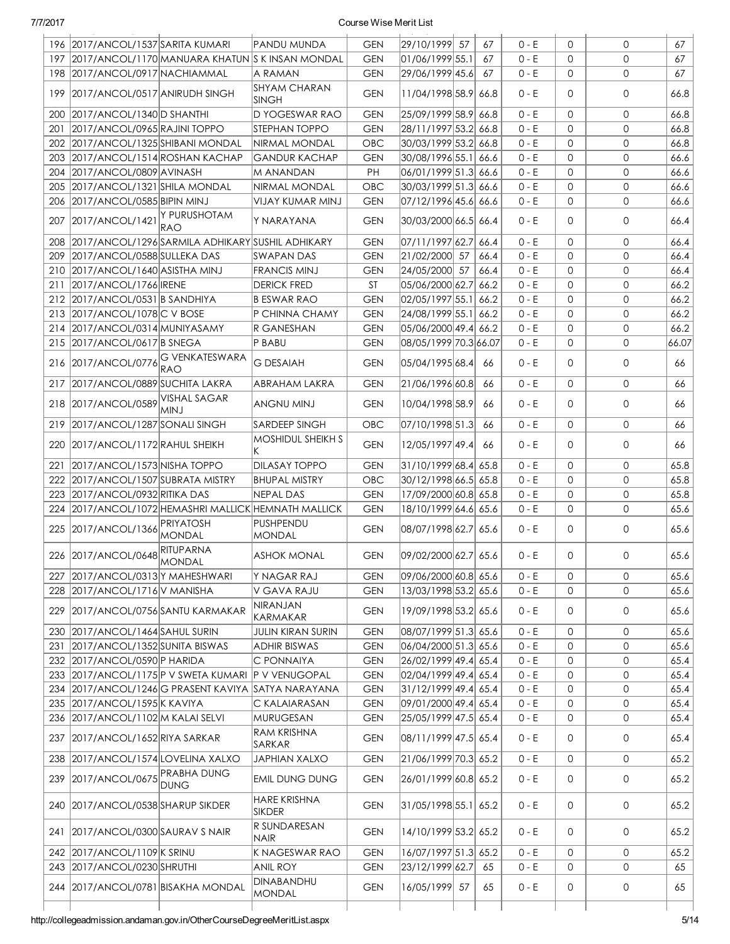|     | 196 2017/ANCOL/1537 SARITA KUMARI   |                                                            | PANDU MUNDA                                          | <b>GEN</b> | 29/10/1999 57         | 67   | $0 - E$ | 0            | $\Omega$     | 67    |
|-----|-------------------------------------|------------------------------------------------------------|------------------------------------------------------|------------|-----------------------|------|---------|--------------|--------------|-------|
| 197 |                                     | 2017/ANCOL/1170 MANUARA KHATUN  S K INSAN MONDAL           |                                                      | <b>GEN</b> | 01/06/1999 55.1       | 67   | $0 - E$ | $\Omega$     | 0            | 67    |
|     | 198 2017/ANCOL/0917 NACHIAMMAL      |                                                            | A RAMAN                                              | <b>GEN</b> | 29/06/1999 45.6       | 67   | 0 - E   | $\mathbf{O}$ | $\mathbf{O}$ | 67    |
|     | 199 2017/ANCOL/0517 ANIRUDH SINGH   |                                                            | SHYAM CHARAN<br><b>SINGH</b>                         | <b>GEN</b> | 11/04/1998 58.9 66.8  |      | 0 - E   | $\mathbf 0$  | 0            | 66.8  |
| 200 | 2017/ANCOL/1340 D SHANTHI           |                                                            | <b>D YOGESWAR RAO</b>                                | <b>GEN</b> | 25/09/1999 58.9 66.8  |      | $0 - E$ | $\mathbf 0$  | $\mathbf{O}$ | 66.8  |
| 201 | 2017/ANCOL/0965 RAJINI TOPPO        |                                                            | STEPHAN TOPPO                                        | <b>GEN</b> | 28/11/1997 53.2 66.8  |      | $0 - E$ | 0            | 0            | 66.8  |
|     | 202 2017/ANCOL/1325 SHIBANI MONDAL  |                                                            | NIRMAL MONDAL                                        | OBC        | 30/03/1999 53.2 66.8  |      | $0 - E$ | 0            | 0            | 66.8  |
| 203 | 2017/ANCOL/1514 ROSHAN KACHAP       |                                                            | <b>GANDUR KACHAP</b>                                 | GEN        | 30/08/1996 55.1 66.6  |      | 0 - E   | 0            | $\mathbf{O}$ | 66.6  |
| 204 | 2017/ANCOL/0809 AVINASH             |                                                            | M ANANDAN                                            | РH         | 06/01/1999 51.3 66.6  |      | $0 - E$ | 0            | $\mathbf{O}$ | 66.6  |
| 205 | 2017/ANCOL/1321 SHILA MONDAL        |                                                            | NIRMAL MONDAL                                        | OBC        | 30/03/1999 51.3 66.6  |      | $0 - E$ | 0            | $\mathbf{O}$ | 66.6  |
|     | 206   2017/ANCOL/0585   BIPIN MINJ  |                                                            | VIJAY KUMAR MINJ                                     | GEN        | 07/12/1996 45.6  66.6 |      | $0 - E$ | $\mathbf 0$  | $\mathbf{O}$ | 66.6  |
| 207 | 2017/ANCOL/1421                     | Y PURUSHOTAM<br><b>RAO</b>                                 | Y NARAYANA                                           | GEN        | 30/03/2000 66.5 66.4  |      | $0 - E$ | $\mathbf 0$  | 0            | 66.4  |
|     |                                     | 208   2017/ANCOL/1296   SARMILA ADHIKARY   SUSHIL ADHIKARY |                                                      | <b>GEN</b> | 07/11/1997 62.7 66.4  |      | $0 - E$ | $\mathbf{0}$ | $\mathbf{O}$ | 66.4  |
|     | 209 2017/ANCOL/0588 SULLEKA DAS     |                                                            | SWAPAN DAS                                           | <b>GEN</b> | 21/02/2000 57         | 66.4 | $0 - E$ | $\mathbf{0}$ | $\mathbf{O}$ | 66.4  |
|     | 210 2017/ANCOL/1640 ASISTHA MINJ    |                                                            | <b>FRANCIS MINJ</b>                                  | <b>GEN</b> | 24/05/2000 57         | 66.4 | $0 - E$ | $\mathbf{0}$ | $\mathbf{O}$ | 66.4  |
| 211 | 2017/ANCOL/1766 IRENE               |                                                            | <b>DERICK FRED</b>                                   | <b>ST</b>  | 05/06/2000 62.7 66.2  |      | $0 - E$ | $\mathbf{0}$ | $\mathbf 0$  | 66.2  |
|     | 212 2017/ANCOL/0531 B SANDHIYA      |                                                            | <b>B ESWAR RAO</b>                                   | <b>GEN</b> | 02/05/1997 55.1       | 66.2 | $0 - E$ | $\mathbf{0}$ | $\mathbf 0$  | 66.2  |
| 213 | 2017/ANCOL/1078 C V BOSE            |                                                            | P CHINNA CHAMY                                       | <b>GEN</b> | 24/08/1999 55.1       | 66.2 | $0 - E$ | $\mathbf 0$  | $\mathbf{O}$ | 66.2  |
|     | 214 2017/ANCOL/0314 MUNIYASAMY      |                                                            | R GANESHAN                                           | <b>GEN</b> | 05/06/2000 49.4 66.2  |      | 0 - E   | $\mathbf 0$  | 0            | 66.2  |
| 215 | 2017/ANCOL/0617 B SNEGA             |                                                            | P BABU                                               | <b>GEN</b> | 08/05/1999 70.3 66.07 |      | $0 - E$ | $\mathbf{0}$ | 0            | 66.07 |
|     |                                     | 216 2017/ANCOL/0776 RAO                                    | <b>G DESAIAH</b>                                     | <b>GEN</b> | 05/04/1995 68.4       | 66   | $0 - E$ | $\mathbf{0}$ | 0            | 66    |
| 217 | 2017/ANCOL/0889 SUCHITA LAKRA       |                                                            | ABRAHAM LAKRA                                        | <b>GEN</b> | 21/06/1996 60.8       | 66   | $0 - E$ | $\mathbf{0}$ | $\mathsf{O}$ | 66    |
|     | 218 2017/ANCOL/0589 VISHAL SAGAR    | <b>MINJ</b>                                                | <b>ANGNU MINJ</b>                                    | GEN        | 10/04/1998 58.9       | 66   | $0 - E$ | $\mathbf 0$  | $\mathbf{O}$ | 66    |
|     | 219 2017/ANCOL/1287 SONALI SINGH    |                                                            | <b>SARDEEP SINGH</b>                                 | OBC        | 07/10/1998 51.3       | 66   | $0 - E$ | $\mathbf{0}$ | $\mathsf{O}$ | 66    |
|     | 220 2017/ANCOL/1172 RAHUL SHEIKH    |                                                            | <b>MOSHIDUL SHEIKH S</b>                             | <b>GEN</b> | 12/05/1997 49.4       | 66   | $0 - E$ | $\mathbf 0$  | $\mathbf{O}$ | 66    |
| 221 | 2017/ANCOL/1573 NISHA TOPPO         |                                                            | <b>DILASAY TOPPO</b>                                 | <b>GEN</b> | 31/10/1999 68.4 65.8  |      | $0 - E$ | $\mathbf 0$  | $\mathbf{O}$ | 65.8  |
|     | 222 2017/ANCOL/1507 SUBRATA MISTRY  |                                                            | <b>BHUPAL MISTRY</b>                                 | OBC        | 30/12/1998 66.5 65.8  |      | $0 - E$ | $\mathbf 0$  | $\mathbf{O}$ | 65.8  |
|     | 223 2017/ANCOL/0932 RITIKA DAS      |                                                            | <b>NEPAL DAS</b>                                     | <b>GEN</b> | 17/09/2000 60.8 65.8  |      | 0 - E   | $\mathbf 0$  | $\mathbf{O}$ | 65.8  |
|     |                                     |                                                            | 224 2017/ANCOL/1072 HEMASHRI MALLICK HEMNATH MALLICK | <b>GEN</b> | 18/10/1999 64.6 65.6  |      | 0 - E   | $\mathbf 0$  | $\mathbf{O}$ | 65.6  |
|     | 225 2017/ANCOL/1366                 | <b>PRIYATOSH</b><br><b>MONDAL</b>                          | PUSHPENDU<br><b>MONDAL</b>                           | <b>GEN</b> | 08/07/1998 62.7 65.6  |      | 0 - E   | $\mathbf 0$  | 0            | 65.6  |
|     | 226 2017/ANCOL/0648 RITUPARNA       |                                                            | <b>ASHOK MONAL</b>                                   | <b>GEN</b> | 09/02/2000 62.7 65.6  |      | $0 - E$ | 0            | 0            | 65.6  |
|     | 227 2017/ANCOL/0313 Y MAHESHWARI    |                                                            | Y NAGAR RAJ                                          | <b>GEN</b> | 09/06/2000 60.8 65.6  |      | $0 - E$ | 0            | 0            | 65.6  |
|     | 228 2017/ANCOL/1716 V MANISHA       |                                                            | V GAVA RAJU                                          | <b>GEN</b> | 13/03/1998 53.2 65.6  |      | $0 - E$ | 0            | 0            | 65.6  |
|     | 229 2017/ANCOL/0756 SANTU KARMAKAR  |                                                            | <b>NIRANJAN</b><br>KARMAKAR                          | <b>GEN</b> | 19/09/1998 53.2 65.6  |      | $0 - E$ | $\mathbf 0$  | 0            | 65.6  |
|     | 230 2017/ANCOL/1464 SAHUL SURIN     |                                                            | <b>JULIN KIRAN SURIN</b>                             | <b>GEN</b> | 08/07/1999 51.3 65.6  |      | $0 - E$ | 0            | 0            | 65.6  |
| 231 | 2017/ANCOL/1352 SUNITA BISWAS       |                                                            | <b>ADHIR BISWAS</b>                                  | <b>GEN</b> | 06/04/2000 51.3 65.6  |      | 0 - E   | 0            | 0            | 65.6  |
|     | 232 2017/ANCOL/0590 P HARIDA        |                                                            | C PONNAIYA                                           | <b>GEN</b> | 26/02/1999 49.4 65.4  |      | $0 - E$ | 0            | 0            | 65.4  |
|     |                                     | 233 2017/ANCOL/1175 P V SWETA KUMARI                       | <b>P V VENUGOPAL</b>                                 | <b>GEN</b> | 02/04/1999 49.4 65.4  |      | $0 - E$ | 0            | 0            | 65.4  |
|     |                                     | 234 2017/ANCOL/1246 G PRASENT KAVIYA SATYA NARAYANA        |                                                      | <b>GEN</b> | 31/12/1999 49.4 65.4  |      | $0 - E$ | 0            | 0            | 65.4  |
|     | 235 2017/ANCOL/1595 K KAVIYA        |                                                            | C KALAIARASAN                                        | <b>GEN</b> | 09/01/2000 49.4 65.4  |      | $0 - E$ | 0            | 0            | 65.4  |
|     | 236 2017/ANCOL/1102 M KALAI SELVI   |                                                            | <b>MURUGESAN</b>                                     | <b>GEN</b> | 25/05/1999 47.5 65.4  |      | $0 - E$ | 0            | 0            | 65.4  |
|     | 237   2017/ANCOL/1652   RIYA SARKAR |                                                            | <b>RAM KRISHNA</b><br>SARKAR                         | <b>GEN</b> | 08/11/1999 47.5 65.4  |      | $0 - E$ | 0            | 0            | 65.4  |
|     | 238 2017/ANCOL/1574 LOVELINA XALXO  |                                                            | <b>JAPHIAN XALXO</b>                                 | <b>GEN</b> | 21/06/1999 70.3 65.2  |      | $0 - E$ | 0            | 0            | 65.2  |
|     | 239 2017/ANCOL/0675 PRABHA DUNG     | <b>DUNG</b>                                                | <b>EMIL DUNG DUNG</b>                                | <b>GEN</b> | 26/01/1999 60.8 65.2  |      | 0 - E   | $\mathbf 0$  | 0            | 65.2  |
|     | 240 2017/ANCOL/0538 SHARUP SIKDER   |                                                            | <b>HARE KRISHNA</b><br><b>SIKDER</b>                 | <b>GEN</b> | 31/05/1998 55.1 65.2  |      | $0 - E$ | $\mathbf{0}$ | 0            | 65.2  |
| 241 | 2017/ANCOL/0300 SAURAV S NAIR       |                                                            | R SUNDARESAN<br><b>NAIR</b>                          | <b>GEN</b> | 14/10/1999 53.2 65.2  |      | 0 - E   | 0            | 0            | 65.2  |
|     | 242 2017/ANCOL/1109 K SRINU         |                                                            | K NAGESWAR RAO                                       | <b>GEN</b> | 16/07/1997 51.3 65.2  |      | 0 - E   | 0            | 0            | 65.2  |
|     | 243 2017/ANCOL/0230 SHRUTHI         |                                                            | <b>ANIL ROY</b>                                      | <b>GEN</b> | 23/12/1999 62.7       | 65   | 0 - E   | 0            | 0            | 65    |
|     | 244 2017/ANCOL/0781 BISAKHA MONDAL  |                                                            | DINABANDHU<br><b>MONDAL</b>                          | <b>GEN</b> | 16/05/1999 57         | 65   | 0 - E   | 0            | 0            | 65    |
|     |                                     |                                                            |                                                      |            |                       |      |         |              |              |       |

http://collegeadmission.andaman.gov.in/OtherCourseDegreeMeritList.aspx 5/14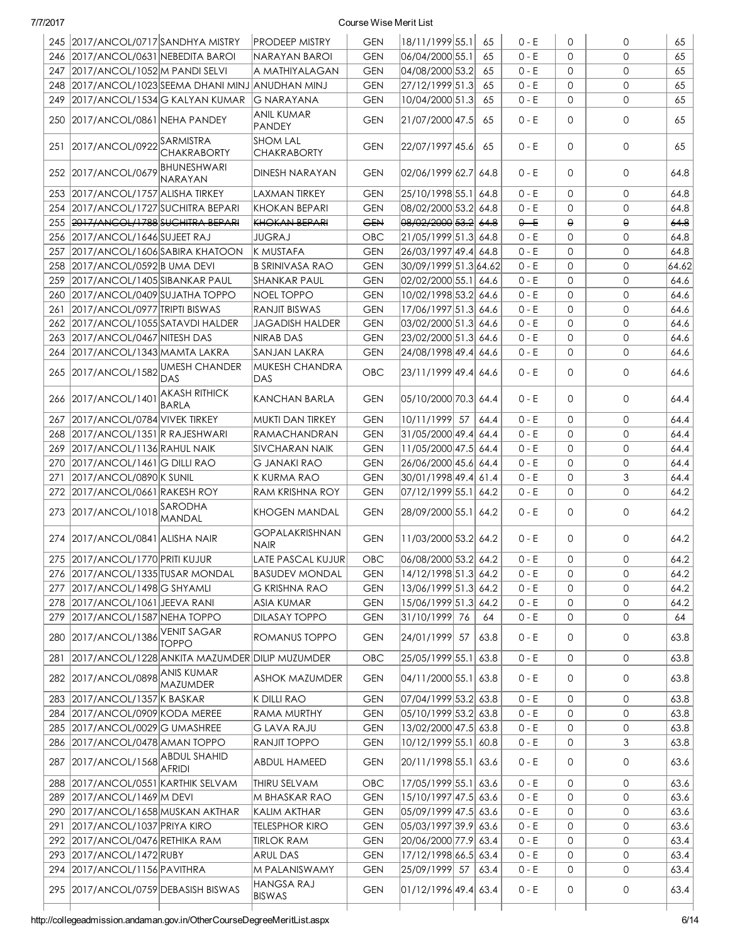|     | 245 2017/ANCOL/0717 SANDHYA MISTRY  |                                                   | <b>PRODEEP MISTRY</b>                 | <b>GEN</b> | 18/11/1999 55.1          | 65   | $0 - E$ | $\Omega$     | 0            | 65    |
|-----|-------------------------------------|---------------------------------------------------|---------------------------------------|------------|--------------------------|------|---------|--------------|--------------|-------|
|     | 246 2017/ANCOL/0631 NEBEDITA BAROI  |                                                   | NARAYAN BAROI                         | <b>GEN</b> | 06/04/2000 55.1          | 65   | $0 - E$ | $\Omega$     | $\Omega$     | 65    |
|     | 247 2017/ANCOL/1052 M PANDI SELVI   |                                                   | A MATHIYALAGAN                        | <b>GEN</b> | 04/08/2000 53.2          | 65   | $0 - E$ | $\Omega$     | 0            | 65    |
|     |                                     | 248 2017/ANCOL/1023 SEEMA DHANI MINJ ANUDHAN MINJ |                                       | <b>GEN</b> | 27/12/1999 51.3          | 65   | $0 - E$ | $\mathbf 0$  | 0            | 65    |
|     | 249 2017/ANCOL/1534 G KALYAN KUMAR  |                                                   | <b>G NARAYANA</b>                     | <b>GEN</b> | 10/04/2000 51.3          | 65   | $0 - E$ | $\Omega$     | 0            | 65    |
|     | 250   2017/ANCOL/0861   NEHA PANDEY |                                                   | <b>ANIL KUMAR</b><br><b>PANDEY</b>    | <b>GEN</b> | 21/07/2000 47.5          | 65   | $0 - E$ | $\Omega$     | 0            | 65    |
| 251 | 2017/ANCOL/0922SARMISTRA            | <b>CHAKRABORTY</b>                                | <b>SHOM LAL</b><br><b>CHAKRABORTY</b> | <b>GEN</b> | 22/07/1997 45.6          | 65   | $0 - E$ | $\Omega$     | 0            | 65    |
|     | 252 2017/ANCOL/0679 BHUNESHWARI     | NARAYAN                                           | DINESH NARAYAN                        | <b>GEN</b> | 02/06/1999 62.7 64.8     |      | $0 - E$ | $\Omega$     | 0            | 64.8  |
|     | 253 2017/ANCOL/1757 ALISHA TIRKEY   |                                                   | <b>LAXMAN TIRKEY</b>                  | <b>GEN</b> | 25/10/1998 55.1 64.8     |      | $0 - E$ | $\mathbf{0}$ | 0            | 64.8  |
|     | 254 2017/ANCOL/1727 SUCHITRA BEPARI |                                                   | KHOKAN BEPARI                         | <b>GEN</b> | 08/02/2000 53.2 64.8     |      | $0 - E$ | $\Omega$     | 0            | 64.8  |
|     | 255 2017/ANCOL/1788 SUCHITRA BEPARI |                                                   | KHOKAN BEPARI                         | <b>GEN</b> | 08/02/2000 53.2 64.8     |      | $0 - E$ | $\Theta$     | θ            | 64.8  |
|     | 256 2017/ANCOL/1646 SUJEET RAJ      |                                                   | <b>JUGRAJ</b>                         | OBC        | 21/05/1999 51.3 64.8     |      | $0 - E$ | $\Omega$     | 0            | 64.8  |
| 257 | 2017/ANCOL/1606 SABIRA KHATOON      |                                                   | K MUSTAFA                             | <b>GEN</b> | 26/03/1997 49.4 64.8     |      | $0 - E$ | $\mathbf 0$  | 0            | 64.8  |
|     | 258 2017/ANCOL/0592 B UMA DEVI      |                                                   | <b>B SRINIVASA RAO</b>                | <b>GEN</b> | 30/09/1999 51.3 64.62    |      | $0 - E$ | $\mathbf 0$  | 0            | 64.62 |
|     | 259 2017/ANCOL/1405 SIBANKAR PAUL   |                                                   | <b>SHANKAR PAUL</b>                   | <b>GEN</b> | 02/02/2000 55.1 64.6     |      | $0 - E$ | $\mathbf 0$  | 0            | 64.6  |
| 260 | 2017/ANCOL/0409 SUJATHA TOPPO       |                                                   | <b>NOEL TOPPO</b>                     | <b>GEN</b> | 10/02/1998 53.2 64.6     |      | $0 - E$ | $\Omega$     | 0            | 64.6  |
| 261 | 2017/ANCOL/0977 TRIPTI BISWAS       |                                                   | <b>RANJIT BISWAS</b>                  | <b>GEN</b> | 17/06/1997 51.3 64.6     |      | $0 - E$ | $\Omega$     | 0            | 64.6  |
|     | 262 2017/ANCOL/1055 SATAVDI HALDER  |                                                   | <b>JAGADISH HALDER</b>                | <b>GEN</b> | 03/02/2000 51.3 64.6     |      | $0 - E$ | $\Omega$     | 0            | 64.6  |
| 263 | 2017/ANCOL/0467 NITESH DAS          |                                                   | <b>NIRAB DAS</b>                      | <b>GEN</b> | 23/02/2000 51.3 64.6     |      | $0 - E$ | $\Omega$     | 0            | 64.6  |
| 264 | 2017/ANCOL/1343 MAMTA LAKRA         |                                                   | SANJAN LAKRA                          | <b>GEN</b> | 24/08/1998 49.4 64.6     |      | $0 - E$ | $\Omega$     | 0            | 64.6  |
|     | 265 2017/ANCOL/1582 UMESH CHANDER   | DAS                                               | MUKESH CHANDRA<br>DAS                 | OBC        | 23/11/1999 49.4  64.6    |      | $0 - E$ | $\Omega$     | 0            | 64.6  |
|     | 266 2017/ANCOL/1401                 | <b>AKASH RITHICK</b><br><b>BARLA</b>              | KANCHAN BARLA                         | <b>GEN</b> | 05/10/2000 70.3  64.4    |      | $0 - E$ | $\Omega$     | 0            | 64.4  |
| 267 | 2017/ANCOL/0784 VIVEK TIRKEY        |                                                   | MUKTI DAN TIRKEY                      | <b>GEN</b> | 10/11/1999 57            | 64.4 | $0 - E$ | $\mathbf{0}$ | 0            | 64.4  |
| 268 | 2017/ANCOL/1351 R RAJESHWARI        |                                                   | RAMACHANDRAN                          | <b>GEN</b> | $ 31/05/2000 49.4 $ 64.4 |      | $0 - E$ | $\mathbf 0$  | 0            | 64.4  |
| 269 | 2017/ANCOL/1136 RAHUL NAIK          |                                                   | <b>SIVCHARAN NAIK</b>                 | <b>GEN</b> | 11/05/2000 47.5 64.4     |      | $0 - E$ | $\mathbf 0$  | 0            | 64.4  |
| 270 | 2017/ANCOL/1461 G DILLI RAO         |                                                   | <b>G JANAKI RAO</b>                   | <b>GEN</b> | 26/06/2000 45.6 64.4     |      | $0 - E$ | $\mathbf 0$  | 0            | 64.4  |
| 271 | 2017/ANCOL/0890 K SUNIL             |                                                   | K KURMA RAO                           | <b>GEN</b> | 30/01/1998 49.4 61.4     |      | $0 - E$ | $\mathbf 0$  | 3            | 64.4  |
|     | 272 2017/ANCOL/0661 RAKESH ROY      |                                                   | <b>RAM KRISHNA ROY</b>                | <b>GEN</b> | 07/12/1999 55.1  64.2    |      | $0 - E$ | $\mathbf 0$  | 0            | 64.2  |
|     | 273 2017/ANCOL/1018 SARODHA         | MANDAL                                            | <b>KHOGEN MANDAL</b>                  | <b>GEN</b> | 28/09/2000 55.1 64.2     |      | $0 - E$ | 0            | 0            | 64.2  |
|     | 274   2017/ANCOL/0841   ALISHA NAIR |                                                   | <b>GOPALAKRISHNAN</b><br><b>NAIR</b>  | <b>GEN</b> | 11/03/2000 53.2 64.2     |      | $0 - E$ | 0            | 0            | 64.2  |
|     | 275 2017/ANCOL/1770 PRITI KUJUR     |                                                   | LATE PASCAL KUJUR                     | OBC        | 06/08/2000 53.2 64.2     |      | $0 - E$ | $\Omega$     | 0            | 64.2  |
|     | 276 2017/ANCOL/1335 TUSAR MONDAL    |                                                   | <b>BASUDEV MONDAL</b>                 | <b>GEN</b> | 14/12/1998 51.3 64.2     |      | 0 - E   | 0            | 0            | 64.2  |
| 277 | 2017/ANCOL/1498 G SHYAMLI           |                                                   | <b>G KRISHNA RAO</b>                  | <b>GEN</b> | 13/06/1999 51.3 64.2     |      | 0 - E   | 0            | 0            | 64.2  |
|     | 278 2017/ANCOL/1061 JEEVA RANI      |                                                   | <b>ASIA KUMAR</b>                     | <b>GEN</b> | 15/06/1999 51.3 64.2     |      | $0 - E$ | 0            | 0            | 64.2  |
|     | 279 2017/ANCOL/1587 NEHA TOPPO      |                                                   | <b>DILASAY TOPPO</b>                  | <b>GEN</b> | 31/10/1999 76            | 64   | $0 - E$ | 0            | 0            | 64    |
|     | 280 2017/ANCOL/1386                 | <b>VENIT SAGAR</b><br><b>TOPPO</b>                | ROMANUS TOPPO                         | <b>GEN</b> | 24/01/1999 57            | 63.8 | 0 - E   | 0            | $\mathsf{O}$ | 63.8  |
| 281 |                                     | 2017/ANCOL/1228 ANKITA MAZUMDER DILIP MUZUMDER    |                                       | OBC        | 25/05/1999 55.1 63.8     |      | $0 - E$ | $\mathbf{0}$ | 0            | 63.8  |
|     | 282 2017/ANCOL/0898 ANIS KUMAR      | <b>MAZUMDER</b>                                   | <b>ASHOK MAZUMDER</b>                 | <b>GEN</b> | 04/11/2000 55.1 63.8     |      | 0 - E   | 0            | 0            | 63.8  |
| 283 | 2017/ANCOL/1357 K BASKAR            |                                                   | K DILLI RAO                           | <b>GEN</b> | 07/04/1999 53.2 63.8     |      | $0 - E$ | $\mathbf 0$  | 0            | 63.8  |
| 284 | 2017/ANCOL/0909 KODA MEREE          |                                                   | RAMA MURTHY                           | <b>GEN</b> | 05/10/1999 53.2 63.8     |      | $0 - E$ | $\mathbf 0$  | 0            | 63.8  |
|     | 285 2017/ANCOL/0029 G UMASHREE      |                                                   | <b>G LAVA RAJU</b>                    | <b>GEN</b> | 13/02/2000 47.5 63.8     |      | $0 - E$ | $\mathbf 0$  | 0            | 63.8  |
|     | 286 2017/ANCOL/0478 AMAN TOPPO      |                                                   | RANJIT TOPPO                          | <b>GEN</b> | 10/12/1999 55.1 60.8     |      | $0 - E$ | 0            | 3            | 63.8  |
| 287 | 2017/ANCOL/1568 ABDUL SHAHID        | <b>AFRIDI</b>                                     | ABDUL HAMEED                          | <b>GEN</b> | 20/11/1998 55.1 63.6     |      | 0 - E   | 0            | 0            | 63.6  |
| 288 | 2017/ANCOL/0551 KARTHIK SELVAM      |                                                   | THIRU SELVAM                          | OBC        | 17/05/1999 55.1 63.6     |      | $0 - E$ | 0            | 0            | 63.6  |
| 289 | 2017/ANCOL/1469 M DEVI              |                                                   | M BHASKAR RAO                         | <b>GEN</b> | 15/10/1997 47.5 63.6     |      | $0 - E$ | 0            | 0            | 63.6  |
|     | 290 2017/ANCOL/1658 MUSKAN AKTHAR   |                                                   | KALIM AKTHAR                          | <b>GEN</b> | 05/09/1999 47.5 63.6     |      | $0 - E$ | 0            | 0            | 63.6  |
| 291 | 2017/ANCOL/1037 PRIYA KIRO          |                                                   | <b>TELESPHOR KIRO</b>                 | <b>GEN</b> | 05/03/1997 39.9 63.6     |      | $0 - E$ | 0            | 0            | 63.6  |
|     | 292 2017/ANCOL/0476 RETHIKA RAM     |                                                   | <b>TIRLOK RAM</b>                     | <b>GEN</b> | 20/06/2000 77.9 63.4     |      | $0 - E$ | 0            | 0            | 63.4  |
|     | 293 2017/ANCOL/1472 RUBY            |                                                   | <b>ARUL DAS</b>                       | <b>GEN</b> | 17/12/1998 66.5 63.4     |      | $0 - E$ | 0            | 0            | 63.4  |
|     | 294 2017/ANCOL/1156 PAVITHRA        |                                                   | M PALANISWAMY                         | <b>GEN</b> | 25/09/1999 57            | 63.4 | 0 - E   | 0            | 0            | 63.4  |
|     |                                     |                                                   | <b>HANGSA RAJ</b>                     |            |                          |      |         |              |              |       |
|     | 295 2017/ANCOL/0759 DEBASISH BISWAS |                                                   | <b>BISWAS</b>                         | <b>GEN</b> | 01/12/1996 49.4 63.4     |      | 0 - E   | 0            | 0            | 63.4  |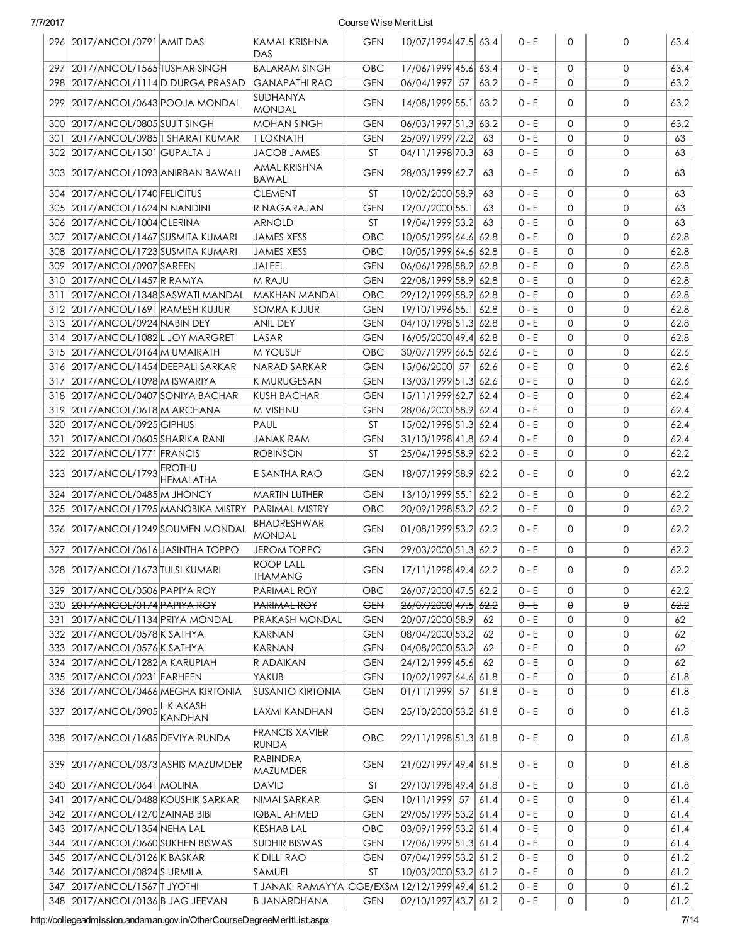| 77/201 | $\prime$ |  |
|--------|----------|--|
|        |          |  |

#### Course Wise Merit List

|     | 296 2017/ANCOL/0791 AMIT DAS                              |                                                    | <b>KAMAL KRISHNA</b><br><b>DAS</b>             | <b>GEN</b>               | 10/07/1994 47.5 63.4                  |      | $0 - E$            | 0            | 0            | 63.4         |
|-----|-----------------------------------------------------------|----------------------------------------------------|------------------------------------------------|--------------------------|---------------------------------------|------|--------------------|--------------|--------------|--------------|
|     | 297 2017/ANCOL/1565 TUSHAR SINGH                          |                                                    | <b>BALARAM SINGH</b>                           | OBC                      | 17/06/1999 45.6 63.4                  |      | $0 - E$            | ⇧            | Û            | 63.4         |
|     |                                                           | 298 2017/ANCOL/1114 D DURGA PRASAD                 | <b>GANAPATHI RAO</b>                           | <b>GEN</b>               | 06/04/1997 57                         | 63.2 | $0 - E$            | $\mathbf 0$  | 0            | 63.2         |
|     | 299 2017/ANCOL/0643 POOJA MONDAL                          |                                                    | <b>SUDHANYA</b><br><b>MONDAL</b>               | <b>GEN</b>               | 14/08/1999 55.1                       | 63.2 | $0 - E$            | $\Omega$     | 0            | 63.2         |
| 300 | 2017/ANCOL/0805 SUJIT SINGH                               |                                                    | <b>MOHAN SINGH</b>                             | <b>GEN</b>               | 06/03/1997 51.3 63.2                  |      | $0 - E$            | $\Omega$     | 0            | 63.2         |
| 301 | 2017/ANCOL/0985 T SHARAT KUMAR                            |                                                    | <b>T LOKNATH</b>                               | <b>GEN</b>               | 25/09/1999 72.2                       | 63   | $0 - E$            | $\mathbf{0}$ | 0            | 63           |
|     | 302 2017/ANCOL/1501 GUPALTA J                             |                                                    | <b>JACOB JAMES</b>                             | <b>ST</b>                | 04/11/1998 70.3                       | 63   | $0 - E$            | $\mathbf{0}$ | 0            | 63           |
|     | 303 2017/ANCOL/1093 ANIRBAN BAWALI                        |                                                    | <b>AMAL KRISHNA</b>                            | <b>GEN</b>               | 28/03/1999 62.7                       | 63   | $0 - E$            | $\mathbf{0}$ | 0            | 63           |
|     |                                                           |                                                    | <b>BAWALI</b>                                  |                          |                                       |      |                    |              |              |              |
| 304 | 2017/ANCOL/1740 FELICITUS                                 |                                                    | <b>CLEMENT</b>                                 | ST                       | 10/02/2000 58.9                       | 63   | $0 - E$            | $\mathbf 0$  | 0            | 63           |
| 305 | 2017/ANCOL/1624 N NANDINI                                 |                                                    | R NAGARAJAN                                    | <b>GEN</b>               | 12/07/2000 55.1                       | 63   | $0 - E$            | $\mathbf 0$  | 0            | 63           |
|     | 306 2017/ANCOL/1004 CLERINA                               |                                                    | <b>ARNOLD</b>                                  | ST                       | 19/04/1999 53.2                       | 63   | $0 - E$            | $\mathbf 0$  | 0            | 63           |
| 307 | 2017/ANCOL/1467 SUSMITA KUMARI                            |                                                    | <b>JAMES XESS</b>                              | OBC                      | 10/05/1999 64.6 62.8                  |      | $0 - E$            | $\mathbf 0$  | 0            | 62.8         |
|     | 308 2017/ANCOL/1723 SUSMITA KUMARI                        |                                                    | <b>JAMES XESS</b>                              | $\Theta$ B $\Theta$      | 10/05/1999 64.6 62.8                  |      | $0 - E$            | $\theta$     | θ            | 62.8         |
| 309 | 2017/ANCOL/0907 SAREEN                                    |                                                    | JALEEL                                         | <b>GEN</b>               | 06/06/1998 58.9 62.8                  |      | $0 - E$            | $\mathbf{0}$ | 0            | 62.8         |
|     | 310 2017/ANCOL/1457 R RAMYA                               |                                                    | M RAJU                                         | <b>GEN</b>               | 22/08/1999 58.9 62.8                  |      | $0 - E$            | $\mathbf{0}$ | 0            | 62.8         |
| 311 | 2017/ANCOL/1348 SASWATI MANDAL                            |                                                    | <b>MAKHAN MANDAL</b>                           | OBC                      | 29/12/1999 58.9 62.8                  |      | $0 - E$            | $\mathbf{0}$ | 0            | 62.8         |
|     | 312 2017/ANCOL/1691 RAMESH KUJUR                          |                                                    | SOMRA KUJUR                                    | <b>GEN</b>               | 19/10/1996 55.1 62.8                  |      | $0 - E$            | $\mathbf{0}$ | 0            | 62.8         |
|     | 313 2017/ANCOL/0924 NABIN DEY                             |                                                    | ANIL DEY                                       | <b>GEN</b>               | 04/10/1998 51.3 62.8                  |      | $0 - E$            | $\mathbf{0}$ | 0            | 62.8         |
|     | 314 2017/ANCOL/1082L JOY MARGRET                          |                                                    | LASAR                                          | <b>GEN</b>               | 16/05/2000 49.4 62.8                  |      | $0 - E$            | $\mathbf{0}$ | 0            | 62.8         |
|     | 315 2017/ANCOL/0164 M UMAIRATH                            |                                                    | M YOUSUF                                       | <b>OBC</b>               | 30/07/1999 66.5 62.6                  |      | $0 - E$            | $\mathbf{0}$ | 0            | 62.6         |
|     | 316 2017/ANCOL/1454 DEEPALI SARKAR                        |                                                    | NARAD SARKAR                                   | <b>GEN</b>               | 15/06/2000 57                         | 62.6 | $0 - E$            | $\mathbf{0}$ | 0            | 62.6         |
|     | 317 2017/ANCOL/1098 M ISWARIYA                            |                                                    | K MURUGESAN                                    | <b>GEN</b>               | 13/03/1999 51.3 62.6                  |      | $0 - E$            | $\mathbf{0}$ | 0            | 62.6         |
|     |                                                           |                                                    |                                                |                          |                                       |      |                    |              |              |              |
|     | 318 2017/ANCOL/0407 SONIYA BACHAR                         |                                                    | <b>KUSH BACHAR</b>                             | <b>GEN</b>               | 15/11/1999 62.7                       | 62.4 | $0 - E$            | $\mathbf{0}$ | 0            | 62.4         |
| 319 | 2017/ANCOL/0618 M ARCHANA                                 |                                                    | M VISHNU                                       | <b>GEN</b>               | 28/06/2000 58.9 62.4                  |      | $0 - E$            | $\mathbf{0}$ | 0            | 62.4         |
| 320 | 2017/ANCOL/0925 GIPHUS                                    |                                                    | PAUL                                           | <b>ST</b>                | 15/02/1998 51.3 62.4                  |      | $0 - E$            | $\mathbf{0}$ | 0            | 62.4         |
| 321 | 2017/ANCOL/0605 SHARIKA RANI                              |                                                    | <b>JANAK RAM</b>                               | GEN                      | 31/10/1998 41.8 62.4                  |      | $0 - E$            | $\mathbf{0}$ | 0            | 62.4         |
|     | 322 2017/ANCOL/1771 FRANCIS                               |                                                    | <b>ROBINSON</b>                                | <b>ST</b>                | 25/04/1995 58.9 62.2                  |      | $0 - E$            | $\mathbf{0}$ | 0            | 62.2         |
|     | 323 2017/ANCOL/1793 EROTHU                                | HEMALATHA                                          | E SANTHA RAO                                   | <b>GEN</b>               | 18/07/1999 58.9 62.2                  |      | $0 - E$            | 0            | 0            | 62.2         |
| 324 | 2017/ANCOL/0485 M JHONCY                                  |                                                    | <b>MARTIN LUTHER</b>                           | <b>GEN</b>               | 13/10/1999 55.1 62.2                  |      | $0 - E$            | $\mathbf{0}$ | 0            | 62.2         |
|     |                                                           | 325 2017/ANCOL/1795 MANOBIKA MISTRY PARIMAL MISTRY |                                                | OBC                      | 20/09/1998 53.2 62.2                  |      | $0 - E$            | $\mathbf{0}$ | 0            | 62.2         |
|     |                                                           | 326 2017/ANCOL/1249 SOUMEN MONDAL                  | BHADRESHWAR<br><b>MONDAL</b>                   | <b>GEN</b>               | 01/08/1999 53.2 62.2                  |      | 0 - E              | 0            | 0            | 62.2         |
| 327 | 2017/ANCOL/0616 JASINTHA TOPPO                            |                                                    | <b>JEROM TOPPO</b>                             | <b>GEN</b>               | 29/03/2000 51.3 62.2                  |      | $0 - E$            | $\mathbf{0}$ | $\mathbf{0}$ | 62.2         |
|     | 328 2017/ANCOL/1673 TULSI KUMARI                          |                                                    | <b>ROOP LALL</b><br><b>THAMANG</b>             | <b>GEN</b>               | 17/11/1998 49.4 62.2                  |      | $0 - E$            | 0            | 0            | 62.2         |
|     | 329 2017/ANCOL/0506 PAPIYA ROY                            |                                                    | PARIMAL ROY                                    | OBC                      | 26/07/2000 47.5 62.2                  |      | $0 - E$            | 0            | 0            | 62.2         |
|     | 330 2017/ANCOL/0174 PAPIYA ROY                            |                                                    | PARIMAL ROY                                    | <b>GEN</b>               | 26/07/2000 47.5 62.2                  |      | $0 - E$            | $\Theta$     | θ            | 62.2         |
|     | 331 2017/ANCOL/1134 PRIYA MONDAL                          |                                                    | PRAKASH MONDAL                                 | <b>GEN</b>               | 20/07/2000 58.9                       | 62   | $0 - E$            | $\mathbf 0$  | 0            | 62           |
|     | 332 2017/ANCOL/0578 K SATHYA                              |                                                    | <b>KARNAN</b>                                  | <b>GEN</b>               | 08/04/2000 53.2                       | 62   | $0 - E$            | $\mathbf 0$  | 0            | 62           |
|     | 333 2017/ANCOL/0576 K SATHYA                              |                                                    |                                                |                          |                                       | 62   | $0 - E$            |              | θ            | 62           |
|     |                                                           |                                                    | <b>KARNAN</b>                                  | <b>GEN</b>               | 04/08/2000 53.2                       |      |                    | θ            |              |              |
|     | 334 2017/ANCOL/1282 A KARUPIAH                            |                                                    | R ADAIKAN                                      | <b>GEN</b>               | 24/12/1999 45.6                       | 62   | $0 - E$            | 0            | 0            | 62           |
|     | 335 2017/ANCOL/0231 FARHEEN                               |                                                    | YAKUB                                          | <b>GEN</b>               | 10/02/1997 64.6 61.8                  |      | $0 - E$            | 0            | 0            | 61.8         |
|     | 336 2017/ANCOL/0466 MEGHA KIRTONIA<br>337 2017/ANCOL/0905 | L K AKASH                                          | <b>SUSANTO KIRTONIA</b><br>LAXMI KANDHAN       | <b>GEN</b><br><b>GEN</b> | 01/11/1999 57<br>25/10/2000 53.2 61.8 | 61.8 | $0 - E$<br>$0 - E$ | 0<br>0       | 0<br>0       | 61.8<br>61.8 |
|     | 338 2017/ANCOL/1685 DEVIYA RUNDA                          | KANDHAN                                            | <b>FRANCIS XAVIER</b>                          | OBC                      | 22/11/1998 51.3 61.8                  |      | 0 - E              | 0            | 0            | 61.8         |
|     | 339 2017/ANCOL/0373 ASHIS MAZUMDER                        |                                                    | <b>RUNDA</b><br><b>RABINDRA</b>                | <b>GEN</b>               | 21/02/1997 49.4 61.8                  |      | 0 - E              | 0            | 0            | 61.8         |
|     |                                                           |                                                    | <b>MAZUMDER</b>                                |                          |                                       |      |                    |              |              |              |
| 340 | 2017/ANCOL/0641 MOLINA                                    |                                                    | DAVID                                          | <b>ST</b>                | 29/10/1998 49.4 61.8                  |      | $0 - E$            | 0            | 0            | 61.8         |
| 341 | 2017/ANCOL/0488 KOUSHIK SARKAR                            |                                                    | NIMAI SARKAR                                   | <b>GEN</b>               | 10/11/1999 57                         | 61.4 | $0 - E$            | 0            | 0            | 61.4         |
|     | 342 2017/ANCOL/1270 ZAINAB BIBI                           |                                                    | IQBAL AHMED                                    | <b>GEN</b>               | 29/05/1999 53.2 61.4                  |      | $0 - E$            | 0            | 0            | 61.4         |
|     | 343 2017/ANCOL/1354 NEHA LAL                              |                                                    | <b>KESHAB LAL</b>                              | OBC                      | 03/09/1999 53.2 61.4                  |      | $0 - E$            | 0            | 0            | 61.4         |
| 344 | 2017/ANCOL/0660 SUKHEN BISWAS                             |                                                    | SUDHIR BISWAS                                  | <b>GEN</b>               | 12/06/1999 51.3 61.4                  |      | $0 - E$            | $\mathbf 0$  | 0            | 61.4         |
| 345 | 2017/ANCOL/0126 K BASKAR                                  |                                                    | K DILLI RAO                                    | <b>GEN</b>               | 07/04/1999 53.2 61.2                  |      | $0 - E$            | 0            | 0            | 61.2         |
|     | 346 2017/ANCOL/0824 S URMILA                              |                                                    | SAMUEL                                         | ST                       | 10/03/2000 53.2 61.2                  |      | $0 - E$            | 0            | 0            | 61.2         |
|     | 347   2017/ANCOL/1567   T JYOTHI                          |                                                    | T JANAKI RAMAYYA CGE/EXSM 12/12/1999 49.4 61.2 |                          |                                       |      | $0 - E$            | 0            | 0            | 61.2         |
|     | 348 2017/ANCOL/0136 B JAG JEEVAN                          |                                                    | <b>B JANARDHANA</b>                            | <b>GEN</b>               | 02/10/1997 43.7 61.2                  |      | $0 - E$            | 0            | 0            | 61.2         |

http://collegeadmission.andaman.gov.in/OtherCourseDegreeMeritList.aspx 7/14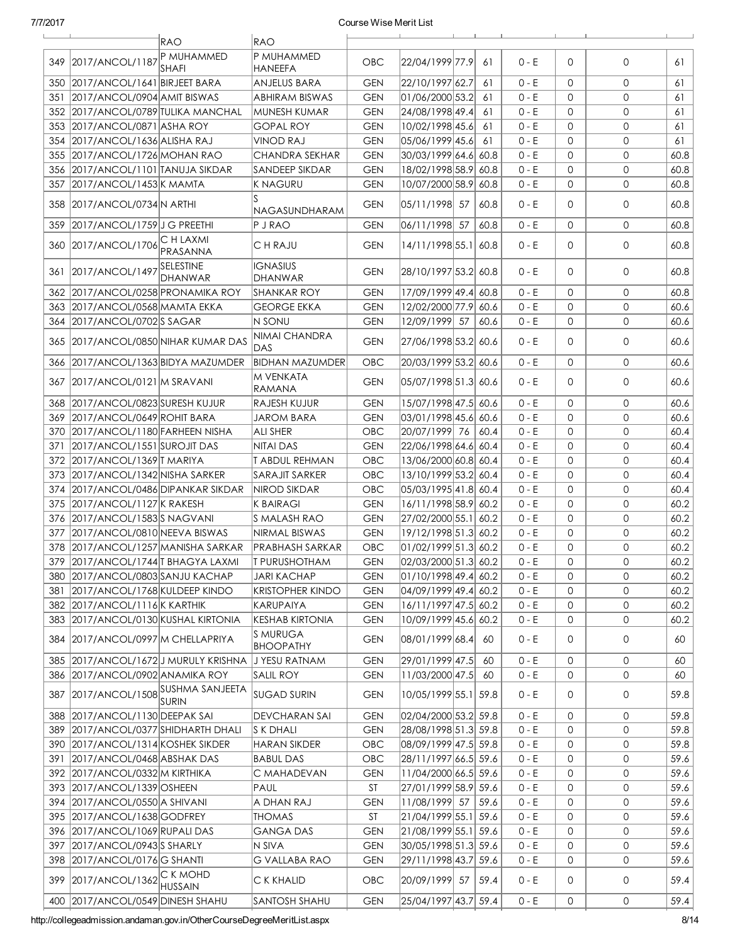|     |                                     | <b>RAO</b>                                      | <b>RAO</b>                        |            |                          |      |         |              |              |      |
|-----|-------------------------------------|-------------------------------------------------|-----------------------------------|------------|--------------------------|------|---------|--------------|--------------|------|
| 349 | 2017/ANCOL/1187                     | P MUHAMMED<br><b>SHAFI</b>                      | P MUHAMMED<br>HANEEFA             | <b>OBC</b> | 22/04/1999 77.9          | 61   | $0 - E$ | $\Omega$     | 0            | 61   |
| 350 | 2017/ANCOL/1641 BIRJEET BARA        |                                                 | <b>ANJELUS BARA</b>               | <b>GEN</b> | 22/10/1997 62.7          | 61   | $0 - E$ | $\mathbf 0$  | 0            | 61   |
| 351 | 2017/ANCOL/0904 AMIT BISWAS         |                                                 | <b>ABHIRAM BISWAS</b>             | <b>GEN</b> | 01/06/2000 53.2          | 61   | $0 - E$ | $\mathbf 0$  | 0            | 61   |
|     | 352 2017/ANCOL/0789 TULIKA MANCHAL  |                                                 | MUNESH KUMAR                      | <b>GEN</b> | 24/08/1998 49.4          | 61   | $0 - E$ | $\mathbf 0$  | 0            | 61   |
|     | 353 2017/ANCOL/0871 ASHA ROY        |                                                 | <b>GOPAL ROY</b>                  | <b>GEN</b> | 10/02/1998 45.6          | 61   | $0 - E$ | $\mathbf 0$  | 0            | 61   |
|     | 354 2017/ANCOL/1636 ALISHA RAJ      |                                                 | <b>VINOD RAJ</b>                  | <b>GEN</b> | 05/06/1999 45.6          | 61   | $0 - E$ | $\mathbf 0$  | 0            | 61   |
|     | 355 2017/ANCOL/1726 MOHAN RAO       |                                                 | CHANDRA SEKHAR                    | <b>GEN</b> | 30/03/1999 64.6 60.8     |      | $0 - E$ | $\mathbf 0$  | 0            | 60.8 |
|     | 356 2017/ANCOL/1101 TANUJA SIKDAR   |                                                 | SANDEEP SIKDAR                    | <b>GEN</b> | 18/02/1998 58.9 60.8     |      | $0 - E$ | 0            | 0            | 60.8 |
| 357 | 2017/ANCOL/1453 K MAMTA             |                                                 | K NAGURU                          | <b>GEN</b> | 10/07/2000 58.9 60.8     |      | $0 - E$ | $\mathbf 0$  | 0            | 60.8 |
|     | 358 2017/ANCOL/0734 N ARTHI         |                                                 | NAGASUNDHARAM                     | <b>GEN</b> | 05/11/1998 57            | 60.8 | 0 - E   | $\Omega$     | 0            | 60.8 |
| 359 | 2017/ANCOL/1759 J G PREETHI         |                                                 | <b>P J RAO</b>                    | <b>GEN</b> | 06/11/1998 57            | 60.8 | $0 - E$ | $\mathbf{0}$ | 0            | 60.8 |
| 360 | 2017/ANCOL/1706                     | C H LAXMI<br>PRASANNA                           | C H RAJU                          | <b>GEN</b> | 14/11/1998 55.1 60.8     |      | $0 - E$ | $\mathbf{0}$ | 0            | 60.8 |
| 361 | 2017/ANCOL/1497                     | SELESTINE<br><b>DHANWAR</b>                     | <b>IGNASIUS</b><br><b>DHANWAR</b> | <b>GEN</b> | 28/10/1997 53.2 60.8     |      | $0 - E$ | $\Omega$     | $\mathbf{0}$ | 60.8 |
|     | 362 2017/ANCOL/0258 PRONAMIKA ROY   |                                                 | <b>SHANKAR ROY</b>                | <b>GEN</b> | 17/09/1999 49.4 60.8     |      | $0 - E$ | $\mathbf{0}$ | 0            | 60.8 |
|     | 363 2017/ANCOL/0568 MAMTA EKKA      |                                                 | <b>GEORGE EKKA</b>                | GEN        | 12/02/2000 77.9 60.6     |      | $0 - E$ | $\mathbf{0}$ | 0            | 60.6 |
| 364 | 2017/ANCOL/0702 SAGAR               |                                                 | N SONU                            | <b>GEN</b> | 12/09/1999 57            | 60.6 | 0 - E   | $\mathbf{0}$ | 0            | 60.6 |
|     |                                     | 365 2017/ANCOL/0850 NIHAR KUMAR DAS             | NIMAI CHANDRA<br><b>DAS</b>       | <b>GEN</b> | 27/06/1998 53.2 60.6     |      | $0 - E$ | $\mathbf{0}$ | 0            | 60.6 |
| 366 | 2017/ANCOL/1363 BIDYA MAZUMDER      |                                                 | <b>BIDHAN MAZUMDER</b>            | OBC        | 20/03/1999 53.2 60.6     |      | $0 - E$ | $\mathbf{0}$ | 0            | 60.6 |
| 367 | 2017/ANCOL/0121 M SRAVANI           |                                                 | M VENKATA<br>RAMANA               | <b>GEN</b> | 05/07/1998 51.3 60.6     |      | $0 - E$ | 0            | 0            | 60.6 |
| 368 | 2017/ANCOL/0823 SURESH KUJUR        |                                                 | RAJESH KUJUR                      | <b>GEN</b> | 15/07/1998 47.5 60.6     |      | $0 - E$ | $\mathbf{0}$ | 0            | 60.6 |
| 369 | 2017/ANCOL/0649 ROHIT BARA          |                                                 | <b>JAROM BARA</b>                 | <b>GEN</b> | 03/01/1998 45.6 60.6     |      | $0 - E$ | $\mathbf{0}$ | 0            | 60.6 |
|     | 370 2017/ANCOL/1180 FARHEEN NISHA   |                                                 | <b>ALI SHER</b>                   | OBC        | 20/07/1999 76            | 60.4 | $0 - E$ | $\mathbf{0}$ | 0            | 60.4 |
| 371 | 2017/ANCOL/1551 SUROJIT DAS         |                                                 | <b>NITAI DAS</b>                  | <b>GEN</b> | 22/06/1998 64.6 60.4     |      | $0 - E$ | $\mathbf{0}$ | 0            | 60.4 |
|     | 372 2017/ANCOL/1369 TMARIYA         |                                                 | <b>T ABDUL REHMAN</b>             | OBC        | 13/06/2000 60.8 60.4     |      | $0 - E$ | $\mathbf{0}$ | 0            | 60.4 |
| 373 | 2017/ANCOL/1342 NISHA SARKER        |                                                 | SARAJIT SARKER                    | OBC        | 13/10/1999 53.2 60.4     |      | $0 - E$ | $\mathbf{0}$ | 0            | 60.4 |
| 374 | 2017/ANCOL/0486 DIPANKAR SIKDAR     |                                                 | <b>NIROD SIKDAR</b>               | OBC        | 05/03/1995 41.8 60.4     |      | $0 - E$ | $\mathbf{0}$ | 0            | 60.4 |
| 375 | 2017/ANCOL/1127 K RAKESH            |                                                 | <b>K BAIRAGI</b>                  | <b>GEN</b> | 16/11/1998 58.9 60.2     |      | $0 - E$ | $\mathbf{0}$ | 0            | 60.2 |
|     | 376 2017/ANCOL/1583 S NAGVANI       |                                                 | S MALASH RAO                      | <b>GEN</b> | 27/02/2000 55.1          | 60.2 | $0 - E$ | $\mathbf{0}$ | 0            | 60.2 |
| 377 | 2017/ANCOL/0810 NEEVA BISWAS        |                                                 | NIRMAL BISWAS                     | <b>GEN</b> | 19/12/1998 51.3 60.2     |      | $0 - E$ | $\mathbf{0}$ | 0            | 60.2 |
|     | 378 2017/ANCOL/1257 MANISHA SARKAR  |                                                 | PRABHASH SARKAR                   | OBC        | $ 01/02/1999 51.3 $ 60.2 |      | $0 - E$ | $\mathbf{0}$ | 0            | 60.2 |
| 379 | 2017/ANCOL/1744 T BHAGYA LAXMI      |                                                 | <b>T PURUSHOTHAM</b>              | <b>GEN</b> | 02/03/2000 51.3 60.2     |      | $0 - E$ | $\mathbf 0$  | 0            | 60.2 |
|     | 380 2017/ANCOL/0803 SANJU KACHAP    |                                                 | <b>JARI KACHAP</b>                | <b>GEN</b> | 01/10/1998 49.4 60.2     |      | $0 - E$ | 0            | 0            | 60.2 |
| 381 | 2017/ANCOL/1768 KULDEEP KINDO       |                                                 | <b>KRISTOPHER KINDO</b>           | GEN        | $04/09/1999$ 49.4 60.2   |      | $0 - E$ | 0            | 0            | 60.2 |
|     | 382 2017/ANCOL/1116 K KARTHIK       |                                                 | KARUPAIYA                         | <b>GEN</b> | 16/11/1997 47.5 60.2     |      | $0 - E$ | 0            | 0            | 60.2 |
|     | 383 2017/ANCOL/0130 KUSHAL KIRTONIA |                                                 | <b>KESHAB KIRTONIA</b>            | <b>GEN</b> | 10/09/1999 45.6 60.2     |      | $0 - E$ | 0            | 0            | 60.2 |
| 384 | 2017/ANCOL/0997 M CHELLAPRIYA       |                                                 | S MURUGA<br><b>BHOOPATHY</b>      | <b>GEN</b> | 08/01/1999 68.4          | 60   | $0 - E$ | 0            | 0            | 60   |
|     |                                     | 385 2017/ANCOL/1672 J MURULY KRISHNA            | J YESU RATNAM                     | <b>GEN</b> | 29/01/1999 47.5          | 60   | 0 - E   | 0            | 0            | 60   |
|     | 386 2017/ANCOL/0902 ANAMIKA ROY     |                                                 | SALIL ROY                         | <b>GEN</b> | 11/03/2000 47.5          | 60   | $0 - E$ | $\mathbf 0$  | 0            | 60   |
| 387 |                                     | 2017/ANCOL/1508 SUSHMA SANJEETA<br><b>SURIN</b> | SUGAD SURIN                       | <b>GEN</b> | 10/05/1999 55.1 59.8     |      | $0 - E$ | 0            | 0            | 59.8 |
| 388 | 2017/ANCOL/1130 DEEPAK SAI          |                                                 | DEVCHARAN SAI                     | GEN        | 02/04/2000 53.2 59.8     |      | 0 - E   | 0            | 0            | 59.8 |
| 389 | 2017/ANCOL/0377 SHIDHARTH DHALI     |                                                 | S K DHALI                         | GEN        | 28/08/1998 51.3 59.8     |      | 0 - E   | 0            | 0            | 59.8 |
| 390 | 2017/ANCOL/1314 KOSHEK SIKDER       |                                                 | <b>HARAN SIKDER</b>               | OBC        | 08/09/1999 47.5 59.8     |      | $0 - E$ | 0            | 0            | 59.8 |
| 391 | 2017/ANCOL/0468 ABSHAK DAS          |                                                 | BABUL DAS                         | OBC        | 28/11/1997 66.5 59.6     |      | $0 - E$ | 0            | 0            | 59.6 |
|     | 392 2017/ANCOL/0332 M KIRTHIKA      |                                                 | C MAHADEVAN                       | <b>GEN</b> | 11/04/2000 66.5 59.6     |      | 0 - E   | 0            | 0            | 59.6 |
| 393 | 2017/ANCOL/1339 OSHEEN              |                                                 | PAUL                              | <b>ST</b>  | 27/01/1999 58.9 59.6     |      | 0 - E   | 0            | 0            | 59.6 |
| 394 | 2017/ANCOL/0550 A SHIVANI           |                                                 | A DHAN RAJ                        | <b>GEN</b> | 11/08/1999 57            | 59.6 | 0 - E   | 0            | 0            | 59.6 |
|     | 395 2017/ANCOL/1638 GODFREY         |                                                 | <b>THOMAS</b>                     | <b>ST</b>  | 21/04/1999 55.1 59.6     |      | 0 - E   | 0            | 0            | 59.6 |
| 396 | 2017/ANCOL/1069 RUPALI DAS          |                                                 | <b>GANGA DAS</b>                  | <b>GEN</b> | 21/08/1999 55.1 59.6     |      | 0 - E   | 0            | 0            | 59.6 |
| 397 | 2017/ANCOL/0943 SHARLY              |                                                 | N SIVA                            | <b>GEN</b> | 30/05/1998 51.3 59.6     |      | 0 - E   | 0            | 0            | 59.6 |
|     | 398 2017/ANCOL/0176 G SHANTI        |                                                 | G VALLABA RAO                     | <b>GEN</b> | 29/11/1998 43.7 59.6     |      | 0 - E   | 0            | 0            | 59.6 |
| 399 | 2017/ANCOL/1362 CKMOHD              | HUSSAIN                                         | C K KHALID                        | <b>OBC</b> | 20/09/1999 57            | 59.4 | $0 - E$ | 0            | 0            | 59.4 |
| 400 | 2017/ANCOL/0549 DINESH SHAHU        |                                                 | SANTOSH SHAHU                     | <b>GEN</b> | 25/04/1997 43.7 59.4     |      | $0 - E$ | 0            | $\mathsf{O}$ | 59.4 |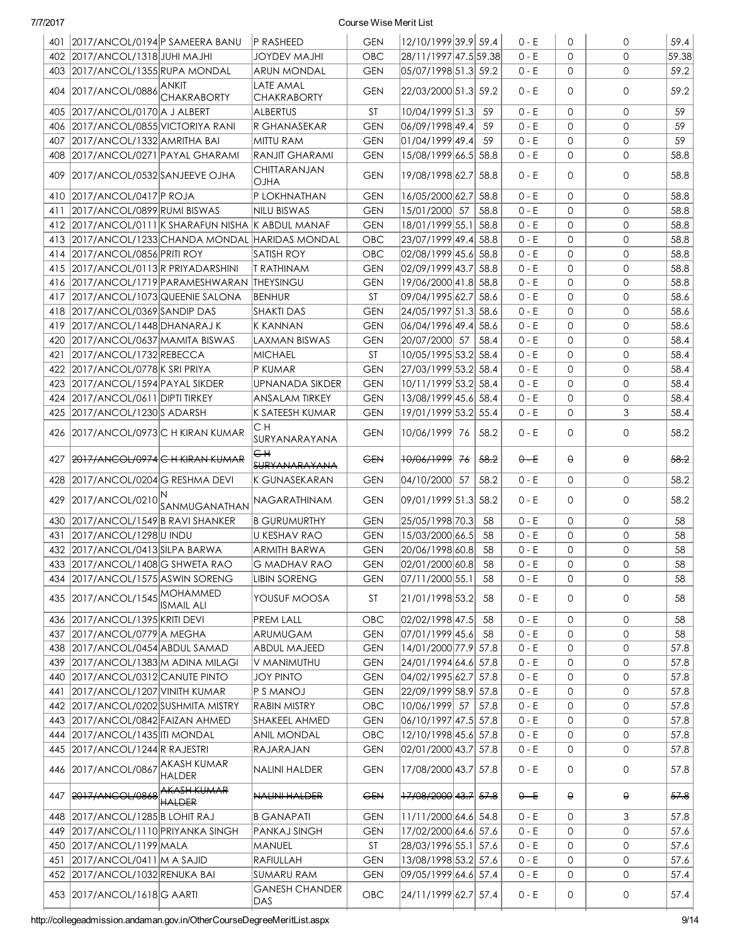| $\mathbf{O}$<br>402 2017/ANCOL/1318 JUHI MAJHI<br>OBC<br>28/11/1997 47.5 59.38<br>$0 - E$<br>$\mathbf 0$<br>JOYDEV MAJHI<br>$\mathbf{O}$<br>403 2017/ANCOL/1355 RUPA MONDAL<br><b>ARUN MONDAL</b><br>05/07/1998 51.3 59.2<br>$0 - E$<br>$\Omega$<br>GEN<br><b>LATE AMAL</b><br>ANKIT<br>404 2017/ANCOL/0886<br>$\mathbf{O}$<br><b>GEN</b><br>22/03/2000 51.3 59.2<br>$0 - E$<br>$\Omega$<br><b>CHAKRABORTY</b><br><b>CHAKRABORTY</b><br>10/04/1999 51.3<br>$0 - E$<br>$\mathbf{0}$<br>$\mathbf{O}$<br>59<br>405 2017/ANCOL/0170 A J ALBERT<br><b>ALBERTUS</b><br>ST<br>59<br>$0 - E$<br>$\mathbf 0$<br>59<br>406 2017/ANCOL/0855 VICTORIYA RANI<br><b>GEN</b><br> 06/09/1998 49.4 <br>59<br>$\mathbf{0}$<br>IR GHANASEKAR<br>$\mathbf 0$<br>59<br>2017/ANCOL/1332 AMRITHA BAI<br> 01/04/1999 49.4 <br>59<br>$0 - E$<br>$\mathbf{0}$<br>407<br>MITTU RAM<br><b>GEN</b><br>$\mathbf{O}$<br>408 2017/ANCOL/0271 PAYAL GHARAMI<br><b>RANJIT GHARAMI</b><br>15/08/1999 66.5 58.8<br>$0 - E$<br>$\mathbf{0}$<br>58.8<br><b>GEN</b><br>CHITTARANJAN<br>19/08/1998 62.7<br>$\mathbf{O}$<br>58.8<br>409 2017/ANCOL/0532 SANJEEVE OJHA<br><b>GEN</b><br>58.8<br>$0 - E$<br>$\Omega$<br><b>OJHA</b><br>410 2017/ANCOL/0417 P ROJA<br>P LOKHNATHAN<br>16/05/2000 62.7 58.8<br>$\Omega$<br>$\mathbf{O}$<br>58.8<br><b>GEN</b><br>$0 - E$<br>58.8<br>2017/ANCOL/0899 RUMI BISWAS<br>15/01/2000 57<br>58.8<br>$0 - E$<br>$\mathbf{0}$<br>$\mathbf{O}$<br>411<br>NILU BISWAS<br><b>GEN</b><br>412 2017/ANCOL/0111 K SHARAFUN NISHA K ABDUL MANAF<br>18/01/1999 55.1 58.8<br>$\mathbf{0}$<br>$\mathbf{O}$<br>58.8<br><b>GEN</b><br>0 - E<br>413 2017/ANCOL/1233 CHANDA MONDAL HARIDAS MONDAL<br>23/07/1999 49.4 58.8<br>$0 - E$<br>$\Omega$<br>$\mathbf{O}$<br>58.8<br><b>OBC</b><br>$\Omega$<br>58.8<br>414 2017/ANCOL/0856 PRITI ROY<br><b>SATISH ROY</b><br>02/08/1999 45.6 58.8<br>$0 - E$<br>$\mathbf{O}$<br><b>OBC</b><br>02/09/1999 43.7 58.8<br>$\mathbf{0}$<br>415 2017/ANCOL/0113 R PRIYADARSHINI<br>$\mathbf{O}$<br>58.8<br><b>T RATHINAM</b><br><b>GEN</b><br>0 - E<br>$\Omega$<br>416 2017/ANCOL/1719 PARAMESHWARAN THEYSINGU<br>19/06/2000 41.8 58.8<br>$0 - E$<br>$\mathbf{O}$<br><b>GEN</b><br>09/04/1995 62.7 58.6<br>$\Omega$<br>58.6<br>417<br>2017/ANCOL/1073 QUEENIE SALONA<br><b>ST</b><br>$0 - E$<br>$\mathbf{O}$<br>BENHUR<br>$\Omega$<br>418 2017/ANCOL/0369 SANDIP DAS<br><b>SHAKTI DAS</b><br><b>GEN</b><br>24/05/1997 51.3 58.6<br>$0 - E$<br>$\mathbf{O}$<br>58.6<br>58.6<br>419<br>2017/ANCOL/1448 DHANARAJ K<br><b>K KANNAN</b><br><b>GEN</b><br>06/04/1996 49.4 58.6<br>$0 - E$<br>$\mathbf{0}$<br>$\mathbf{O}$<br>2017/ANCOL/0637 MAMITA BISWAS<br>20/07/2000 57<br>58.4<br>$0 - E$<br>$\mathbf{0}$<br>$\mathbf{O}$<br>58.4<br>420<br>LAXMAN BISWAS<br><b>GEN</b><br>2017/ANCOL/1732 REBECCA<br>10/05/1995 53.2 58.4<br>$0 - E$<br>$\mathbf{0}$<br>$\mathbf{O}$<br>58.4<br>421<br><b>MICHAEL</b><br>ST<br>422 2017/ANCOL/0778 K SRI PRIYA<br>P KUMAR<br><b>GEN</b><br>27/03/1999 53.2 58.4<br>$0 - E$<br>$\mathbf{0}$<br>$\mathbf{O}$<br>58.4<br>10/11/1999 53.2 58.4<br>423 2017/ANCOL/1594 PAYAL SIKDER<br>$0 - E$<br>$\mathbf{0}$<br>$\mathbf{O}$<br>58.4<br><b>UPNANADA SIKDER</b><br><b>GEN</b><br>$\mathbf 0$<br>424 2017/ANCOL/0611 DIPTI TIRKEY<br>13/08/1999 45.6 58.4<br>$0 - E$<br>$\mathbf{0}$<br>58.4<br><b>ANSALAM TIRKEY</b><br><b>GEN</b><br>3<br>425 2017/ANCOL/1230 S ADARSH<br>K SATEESH KUMAR<br>19/01/1999 53.2 55.4<br>$0 - E$<br>$\mathbf{0}$<br>58.4<br><b>GEN</b><br>CH<br>$\mathbf{0}$<br>58.2<br>426 2017/ANCOL/0973 C H KIRAN KUMAR<br><b>GEN</b><br>10/06/1999  76<br>58.2<br>$0 - E$<br>$\Omega$<br>SURYANARAYANA<br>€₩<br>58.2<br>2017/ANCOL/0974 C H KIRAN KUMAR<br>10/06/1999 76<br>58.2<br>θ<br>427<br><b>GEN</b><br>$0 - E$<br>θ.<br><b>SURYANARAYANA</b><br>$\mathbf{O}$<br>58.2<br>2017/ANCOL/0204 G RESHMA DEVI<br><b>GEN</b><br>04/10/2000 57<br>58.2<br>$0 - E$<br>0<br>428<br>IK GUNASEKARAN<br>58.2<br>429 2017/ANCOL/0210 SANMUGANATHAN<br>09/01/1999 51.3  58.2<br>$0 - E$<br>$\Omega$<br>0<br>NAGARATHINAM<br><b>GEN</b><br>$\mathbf{O}$<br>430 2017/ANCOL/1549 B RAVI SHANKER<br>25/05/1998 70.3<br>$0 - E$<br>$\mathbf{0}$<br>58<br>B GURUMURTHY<br><b>GEN</b><br>58<br>431 2017/ANCOL/1298 U INDU<br>U KESHAV RAO<br>15/03/2000 66.5<br>58<br>$0 - E$<br>$\mathbf{0}$<br>0<br>58<br><b>GEN</b><br>432 2017/ANCOL/0413 SILPA BARWA<br>20/06/1998 60.8<br>$0 - E$<br><b>ARMITH BARWA</b><br>58<br>$\mathbf{0}$<br>0<br>58<br><b>GEN</b><br>433 2017/ANCOL/1408 G SHWETA RAO<br>G MADHAV RAO<br>02/01/2000 60.8 58<br><b>GEN</b><br>$0 - E$<br>$\circ$<br>$\mathbf 0$<br>58<br>434 2017/ANCOL/1575 ASWIN SORENG<br>$\mathbf{O}$<br>07/11/2000 55.1<br>$0 - E$<br>0<br>58<br><b>LIBIN SORENG</b><br><b>GEN</b><br>58<br>435 2017/ANCOL/1545 MOHAMMED<br>0<br>YOUSUF MOOSA<br>21/01/1998 53.2<br>0 - E<br>0<br>58<br>ST<br>58<br><b>ISMAIL ALI</b><br>2017/ANCOL/1395 KRITI DEVI<br>OBC<br>02/02/1998 47.5<br>$0 - E$<br>$\mathbf{0}$<br>$\mathbf{O}$<br>58<br>436<br><b>PREM LALL</b><br>58<br> 07/01/1999 45.6 <br>58<br>$0 - E$<br>$\mathbf{O}$<br>58<br>437<br>2017/ANCOL/0779 A MEGHA<br>ARUMUGAM<br><b>GEN</b><br>0<br>438 2017/ANCOL/0454 ABDUL SAMAD<br>14/01/2000 77.9 57.8<br>$0 - E$<br>0<br><b>ABDUL MAJEED</b><br><b>GEN</b><br>0<br>439 2017/ANCOL/1383 M ADINA MILAGI<br>24/01/1994 64.6 57.8<br>$0 - E$<br>$\mathbf 0$<br>$\mathbf{O}$<br><b>GEN</b><br>V MANIMUTHU<br>04/02/1995 62.7 57.8<br>$0 - E$<br>$\mathbf{0}$<br>$\mathbf{O}$<br>440 2017/ANCOL/0312 CANUTE PINTO<br><b>JOY PINTO</b><br><b>GEN</b><br>2017/ANCOL/1207 VINITH KUMAR<br>22/09/1999 58.9 57.8<br>$0 - E$<br>$\mathbf 0$<br>0<br>441<br>$P$ S MANOJ<br><b>GEN</b><br>10/06/1999 57<br>$\mathbf{0}$<br>0<br>442 2017/ANCOL/0202 SUSHMITA MISTRY<br><b>RABIN MISTRY</b><br>OBC<br>57.8<br>0 - E<br>06/10/1997 47.5 57.8<br>$\mathbf{0}$<br>0<br>443 2017/ANCOL/0842 FAIZAN AHMED<br>SHAKEEL AHMED<br><b>GEN</b><br>0 - E<br>$\mathbf{0}$<br>0<br>444 2017/ANCOL/1435 ITI MONDAL<br><b>ANIL MONDAL</b><br>OBC<br>12/10/1998 45.6 57.8<br>$0 - E$<br>02/01/2000 43.7 57.8<br>0<br>0<br>445 2017/ANCOL/1244 R RAJESTRI<br>RAJARAJAN<br><b>GEN</b><br>$0 - E$<br>AKASH KUMAR<br>446 2017/ANCOL/0867<br>17/08/2000 43.7 57.8<br>$\mathsf{O}$<br>57.8<br>NALINI HALDER<br><b>GEN</b><br>0 - E<br>0<br><b>HALDER</b><br>AKASH KUMAR<br>NALINI HALDER<br><del>17/08/2000</del> 43.7 57.8<br>θ<br>57.8<br>447  <br>2017/ANCOL/0868<br><b>GEN</b><br>θ<br>$0 - E$<br><b>HALDER</b><br>$\mathfrak 3$<br>11/11/2000 64.6 54.8<br>0<br>57.8<br>448 2017/ANCOL/1285 B LOHIT RAJ<br><b>B GANAPATI</b><br><b>GEN</b><br>0 - E<br>449 2017/ANCOL/1110 PRIYANKA SINGH<br>17/02/2000 64.6 57.6<br>$0 - E$<br>57.6<br>PANKAJ SINGH<br><b>GEN</b><br>0<br>0<br>28/03/1996 55.1 57.6<br>57.6<br>450 2017/ANCOL/1199 MALA<br>MANUEL<br>ST<br>0 - E<br>0<br>0<br>13/08/1998 53.2 57.6<br>57.6<br>451 2017/ANCOL/0411   M A SAJID<br>RAFIULLAH<br><b>GEN</b><br>$0 - E$<br>0<br>0<br>09/05/1999 64.6 57.4<br>452 2017/ANCOL/1032 RENUKA BAI<br><b>SUMARU RAM</b><br><b>GEN</b><br>$0 - E$<br>0<br>0<br>57.4<br><b>GANESH CHANDER</b><br>24/11/1999 62.7 57.4<br>57.4<br>453 2017/ANCOL/1618 G AARTI<br><b>OBC</b><br>0 - E<br>0<br>$\circ$ | 401 2017/ANCOL/0194 P SAMEERA BANU | <b>P RASHEED</b> | <b>GEN</b> | 12/10/1999 39.9 59.4 |  | $0 - E$ | $\mathbf{0}$ | 0 | 59.4  |
|------------------------------------------------------------------------------------------------------------------------------------------------------------------------------------------------------------------------------------------------------------------------------------------------------------------------------------------------------------------------------------------------------------------------------------------------------------------------------------------------------------------------------------------------------------------------------------------------------------------------------------------------------------------------------------------------------------------------------------------------------------------------------------------------------------------------------------------------------------------------------------------------------------------------------------------------------------------------------------------------------------------------------------------------------------------------------------------------------------------------------------------------------------------------------------------------------------------------------------------------------------------------------------------------------------------------------------------------------------------------------------------------------------------------------------------------------------------------------------------------------------------------------------------------------------------------------------------------------------------------------------------------------------------------------------------------------------------------------------------------------------------------------------------------------------------------------------------------------------------------------------------------------------------------------------------------------------------------------------------------------------------------------------------------------------------------------------------------------------------------------------------------------------------------------------------------------------------------------------------------------------------------------------------------------------------------------------------------------------------------------------------------------------------------------------------------------------------------------------------------------------------------------------------------------------------------------------------------------------------------------------------------------------------------------------------------------------------------------------------------------------------------------------------------------------------------------------------------------------------------------------------------------------------------------------------------------------------------------------------------------------------------------------------------------------------------------------------------------------------------------------------------------------------------------------------------------------------------------------------------------------------------------------------------------------------------------------------------------------------------------------------------------------------------------------------------------------------------------------------------------------------------------------------------------------------------------------------------------------------------------------------------------------------------------------------------------------------------------------------------------------------------------------------------------------------------------------------------------------------------------------------------------------------------------------------------------------------------------------------------------------------------------------------------------------------------------------------------------------------------------------------------------------------------------------------------------------------------------------------------------------------------------------------------------------------------------------------------------------------------------------------------------------------------------------------------------------------------------------------------------------------------------------------------------------------------------------------------------------------------------------------------------------------------------------------------------------------------------------------------------------------------------------------------------------------------------------------------------------------------------------------------------------------------------------------------------------------------------------------------------------------------------------------------------------------------------------------------------------------------------------------------------------------------------------------------------------------------------------------------------------------------------------------------------------------------------------------------------------------------------------------------------------------------------------------------------------------------------------------------------------------------------------------------------------------------------------------------------------------------------------------------------------------------------------------------------------------------------------------------------------------------------------------------------------------------------------------------------------------------------------------------------------------------------------------------------------------------------------------------------------------------------------------------------------------------------------------------------------------------------------------------------------------------------------------------------------------------------------------------------------------------------------------------------------------------------------------------------------------------------------------------------------------------------------------------------------------------------------------------------------------------------------------------------------------------------------------------------------------------------------------------------------------------------------------------------------------------------------------------------------------------------------------------------------------------------------------------------------------------------------------------------------------------------------------------------------------------------------------------------------------------------------------------------------------------------------------------------------------------------------------------------------------------------------------------------------------------------------------------------------------|------------------------------------|------------------|------------|----------------------|--|---------|--------------|---|-------|
|                                                                                                                                                                                                                                                                                                                                                                                                                                                                                                                                                                                                                                                                                                                                                                                                                                                                                                                                                                                                                                                                                                                                                                                                                                                                                                                                                                                                                                                                                                                                                                                                                                                                                                                                                                                                                                                                                                                                                                                                                                                                                                                                                                                                                                                                                                                                                                                                                                                                                                                                                                                                                                                                                                                                                                                                                                                                                                                                                                                                                                                                                                                                                                                                                                                                                                                                                                                                                                                                                                                                                                                                                                                                                                                                                                                                                                                                                                                                                                                                                                                                                                                                                                                                                                                                                                                                                                                                                                                                                                                                                                                                                                                                                                                                                                                                                                                                                                                                                                                                                                                                                                                                                                                                                                                                                                                                                                                                                                                                                                                                                                                                                                                                                                                                                                                                                                                                                                                                                                                                                                                                                                                                                                                                                                                                                                                                                                                                                                                                                                                                                                                                                                                                                                                                                                                                                                                                                                                                                                                                                                                                                                                                                                                                                                                                  |                                    |                  |            |                      |  |         |              |   | 59.38 |
|                                                                                                                                                                                                                                                                                                                                                                                                                                                                                                                                                                                                                                                                                                                                                                                                                                                                                                                                                                                                                                                                                                                                                                                                                                                                                                                                                                                                                                                                                                                                                                                                                                                                                                                                                                                                                                                                                                                                                                                                                                                                                                                                                                                                                                                                                                                                                                                                                                                                                                                                                                                                                                                                                                                                                                                                                                                                                                                                                                                                                                                                                                                                                                                                                                                                                                                                                                                                                                                                                                                                                                                                                                                                                                                                                                                                                                                                                                                                                                                                                                                                                                                                                                                                                                                                                                                                                                                                                                                                                                                                                                                                                                                                                                                                                                                                                                                                                                                                                                                                                                                                                                                                                                                                                                                                                                                                                                                                                                                                                                                                                                                                                                                                                                                                                                                                                                                                                                                                                                                                                                                                                                                                                                                                                                                                                                                                                                                                                                                                                                                                                                                                                                                                                                                                                                                                                                                                                                                                                                                                                                                                                                                                                                                                                                                                  |                                    |                  |            |                      |  |         |              |   | 59.2  |
|                                                                                                                                                                                                                                                                                                                                                                                                                                                                                                                                                                                                                                                                                                                                                                                                                                                                                                                                                                                                                                                                                                                                                                                                                                                                                                                                                                                                                                                                                                                                                                                                                                                                                                                                                                                                                                                                                                                                                                                                                                                                                                                                                                                                                                                                                                                                                                                                                                                                                                                                                                                                                                                                                                                                                                                                                                                                                                                                                                                                                                                                                                                                                                                                                                                                                                                                                                                                                                                                                                                                                                                                                                                                                                                                                                                                                                                                                                                                                                                                                                                                                                                                                                                                                                                                                                                                                                                                                                                                                                                                                                                                                                                                                                                                                                                                                                                                                                                                                                                                                                                                                                                                                                                                                                                                                                                                                                                                                                                                                                                                                                                                                                                                                                                                                                                                                                                                                                                                                                                                                                                                                                                                                                                                                                                                                                                                                                                                                                                                                                                                                                                                                                                                                                                                                                                                                                                                                                                                                                                                                                                                                                                                                                                                                                                                  |                                    |                  |            |                      |  |         |              |   | 59.2  |
|                                                                                                                                                                                                                                                                                                                                                                                                                                                                                                                                                                                                                                                                                                                                                                                                                                                                                                                                                                                                                                                                                                                                                                                                                                                                                                                                                                                                                                                                                                                                                                                                                                                                                                                                                                                                                                                                                                                                                                                                                                                                                                                                                                                                                                                                                                                                                                                                                                                                                                                                                                                                                                                                                                                                                                                                                                                                                                                                                                                                                                                                                                                                                                                                                                                                                                                                                                                                                                                                                                                                                                                                                                                                                                                                                                                                                                                                                                                                                                                                                                                                                                                                                                                                                                                                                                                                                                                                                                                                                                                                                                                                                                                                                                                                                                                                                                                                                                                                                                                                                                                                                                                                                                                                                                                                                                                                                                                                                                                                                                                                                                                                                                                                                                                                                                                                                                                                                                                                                                                                                                                                                                                                                                                                                                                                                                                                                                                                                                                                                                                                                                                                                                                                                                                                                                                                                                                                                                                                                                                                                                                                                                                                                                                                                                                                  |                                    |                  |            |                      |  |         |              |   |       |
|                                                                                                                                                                                                                                                                                                                                                                                                                                                                                                                                                                                                                                                                                                                                                                                                                                                                                                                                                                                                                                                                                                                                                                                                                                                                                                                                                                                                                                                                                                                                                                                                                                                                                                                                                                                                                                                                                                                                                                                                                                                                                                                                                                                                                                                                                                                                                                                                                                                                                                                                                                                                                                                                                                                                                                                                                                                                                                                                                                                                                                                                                                                                                                                                                                                                                                                                                                                                                                                                                                                                                                                                                                                                                                                                                                                                                                                                                                                                                                                                                                                                                                                                                                                                                                                                                                                                                                                                                                                                                                                                                                                                                                                                                                                                                                                                                                                                                                                                                                                                                                                                                                                                                                                                                                                                                                                                                                                                                                                                                                                                                                                                                                                                                                                                                                                                                                                                                                                                                                                                                                                                                                                                                                                                                                                                                                                                                                                                                                                                                                                                                                                                                                                                                                                                                                                                                                                                                                                                                                                                                                                                                                                                                                                                                                                                  |                                    |                  |            |                      |  |         |              |   |       |
|                                                                                                                                                                                                                                                                                                                                                                                                                                                                                                                                                                                                                                                                                                                                                                                                                                                                                                                                                                                                                                                                                                                                                                                                                                                                                                                                                                                                                                                                                                                                                                                                                                                                                                                                                                                                                                                                                                                                                                                                                                                                                                                                                                                                                                                                                                                                                                                                                                                                                                                                                                                                                                                                                                                                                                                                                                                                                                                                                                                                                                                                                                                                                                                                                                                                                                                                                                                                                                                                                                                                                                                                                                                                                                                                                                                                                                                                                                                                                                                                                                                                                                                                                                                                                                                                                                                                                                                                                                                                                                                                                                                                                                                                                                                                                                                                                                                                                                                                                                                                                                                                                                                                                                                                                                                                                                                                                                                                                                                                                                                                                                                                                                                                                                                                                                                                                                                                                                                                                                                                                                                                                                                                                                                                                                                                                                                                                                                                                                                                                                                                                                                                                                                                                                                                                                                                                                                                                                                                                                                                                                                                                                                                                                                                                                                                  |                                    |                  |            |                      |  |         |              |   |       |
|                                                                                                                                                                                                                                                                                                                                                                                                                                                                                                                                                                                                                                                                                                                                                                                                                                                                                                                                                                                                                                                                                                                                                                                                                                                                                                                                                                                                                                                                                                                                                                                                                                                                                                                                                                                                                                                                                                                                                                                                                                                                                                                                                                                                                                                                                                                                                                                                                                                                                                                                                                                                                                                                                                                                                                                                                                                                                                                                                                                                                                                                                                                                                                                                                                                                                                                                                                                                                                                                                                                                                                                                                                                                                                                                                                                                                                                                                                                                                                                                                                                                                                                                                                                                                                                                                                                                                                                                                                                                                                                                                                                                                                                                                                                                                                                                                                                                                                                                                                                                                                                                                                                                                                                                                                                                                                                                                                                                                                                                                                                                                                                                                                                                                                                                                                                                                                                                                                                                                                                                                                                                                                                                                                                                                                                                                                                                                                                                                                                                                                                                                                                                                                                                                                                                                                                                                                                                                                                                                                                                                                                                                                                                                                                                                                                                  |                                    |                  |            |                      |  |         |              |   |       |
|                                                                                                                                                                                                                                                                                                                                                                                                                                                                                                                                                                                                                                                                                                                                                                                                                                                                                                                                                                                                                                                                                                                                                                                                                                                                                                                                                                                                                                                                                                                                                                                                                                                                                                                                                                                                                                                                                                                                                                                                                                                                                                                                                                                                                                                                                                                                                                                                                                                                                                                                                                                                                                                                                                                                                                                                                                                                                                                                                                                                                                                                                                                                                                                                                                                                                                                                                                                                                                                                                                                                                                                                                                                                                                                                                                                                                                                                                                                                                                                                                                                                                                                                                                                                                                                                                                                                                                                                                                                                                                                                                                                                                                                                                                                                                                                                                                                                                                                                                                                                                                                                                                                                                                                                                                                                                                                                                                                                                                                                                                                                                                                                                                                                                                                                                                                                                                                                                                                                                                                                                                                                                                                                                                                                                                                                                                                                                                                                                                                                                                                                                                                                                                                                                                                                                                                                                                                                                                                                                                                                                                                                                                                                                                                                                                                                  |                                    |                  |            |                      |  |         |              |   |       |
|                                                                                                                                                                                                                                                                                                                                                                                                                                                                                                                                                                                                                                                                                                                                                                                                                                                                                                                                                                                                                                                                                                                                                                                                                                                                                                                                                                                                                                                                                                                                                                                                                                                                                                                                                                                                                                                                                                                                                                                                                                                                                                                                                                                                                                                                                                                                                                                                                                                                                                                                                                                                                                                                                                                                                                                                                                                                                                                                                                                                                                                                                                                                                                                                                                                                                                                                                                                                                                                                                                                                                                                                                                                                                                                                                                                                                                                                                                                                                                                                                                                                                                                                                                                                                                                                                                                                                                                                                                                                                                                                                                                                                                                                                                                                                                                                                                                                                                                                                                                                                                                                                                                                                                                                                                                                                                                                                                                                                                                                                                                                                                                                                                                                                                                                                                                                                                                                                                                                                                                                                                                                                                                                                                                                                                                                                                                                                                                                                                                                                                                                                                                                                                                                                                                                                                                                                                                                                                                                                                                                                                                                                                                                                                                                                                                                  |                                    |                  |            |                      |  |         |              |   |       |
|                                                                                                                                                                                                                                                                                                                                                                                                                                                                                                                                                                                                                                                                                                                                                                                                                                                                                                                                                                                                                                                                                                                                                                                                                                                                                                                                                                                                                                                                                                                                                                                                                                                                                                                                                                                                                                                                                                                                                                                                                                                                                                                                                                                                                                                                                                                                                                                                                                                                                                                                                                                                                                                                                                                                                                                                                                                                                                                                                                                                                                                                                                                                                                                                                                                                                                                                                                                                                                                                                                                                                                                                                                                                                                                                                                                                                                                                                                                                                                                                                                                                                                                                                                                                                                                                                                                                                                                                                                                                                                                                                                                                                                                                                                                                                                                                                                                                                                                                                                                                                                                                                                                                                                                                                                                                                                                                                                                                                                                                                                                                                                                                                                                                                                                                                                                                                                                                                                                                                                                                                                                                                                                                                                                                                                                                                                                                                                                                                                                                                                                                                                                                                                                                                                                                                                                                                                                                                                                                                                                                                                                                                                                                                                                                                                                                  |                                    |                  |            |                      |  |         |              |   |       |
|                                                                                                                                                                                                                                                                                                                                                                                                                                                                                                                                                                                                                                                                                                                                                                                                                                                                                                                                                                                                                                                                                                                                                                                                                                                                                                                                                                                                                                                                                                                                                                                                                                                                                                                                                                                                                                                                                                                                                                                                                                                                                                                                                                                                                                                                                                                                                                                                                                                                                                                                                                                                                                                                                                                                                                                                                                                                                                                                                                                                                                                                                                                                                                                                                                                                                                                                                                                                                                                                                                                                                                                                                                                                                                                                                                                                                                                                                                                                                                                                                                                                                                                                                                                                                                                                                                                                                                                                                                                                                                                                                                                                                                                                                                                                                                                                                                                                                                                                                                                                                                                                                                                                                                                                                                                                                                                                                                                                                                                                                                                                                                                                                                                                                                                                                                                                                                                                                                                                                                                                                                                                                                                                                                                                                                                                                                                                                                                                                                                                                                                                                                                                                                                                                                                                                                                                                                                                                                                                                                                                                                                                                                                                                                                                                                                                  |                                    |                  |            |                      |  |         |              |   |       |
|                                                                                                                                                                                                                                                                                                                                                                                                                                                                                                                                                                                                                                                                                                                                                                                                                                                                                                                                                                                                                                                                                                                                                                                                                                                                                                                                                                                                                                                                                                                                                                                                                                                                                                                                                                                                                                                                                                                                                                                                                                                                                                                                                                                                                                                                                                                                                                                                                                                                                                                                                                                                                                                                                                                                                                                                                                                                                                                                                                                                                                                                                                                                                                                                                                                                                                                                                                                                                                                                                                                                                                                                                                                                                                                                                                                                                                                                                                                                                                                                                                                                                                                                                                                                                                                                                                                                                                                                                                                                                                                                                                                                                                                                                                                                                                                                                                                                                                                                                                                                                                                                                                                                                                                                                                                                                                                                                                                                                                                                                                                                                                                                                                                                                                                                                                                                                                                                                                                                                                                                                                                                                                                                                                                                                                                                                                                                                                                                                                                                                                                                                                                                                                                                                                                                                                                                                                                                                                                                                                                                                                                                                                                                                                                                                                                                  |                                    |                  |            |                      |  |         |              |   |       |
|                                                                                                                                                                                                                                                                                                                                                                                                                                                                                                                                                                                                                                                                                                                                                                                                                                                                                                                                                                                                                                                                                                                                                                                                                                                                                                                                                                                                                                                                                                                                                                                                                                                                                                                                                                                                                                                                                                                                                                                                                                                                                                                                                                                                                                                                                                                                                                                                                                                                                                                                                                                                                                                                                                                                                                                                                                                                                                                                                                                                                                                                                                                                                                                                                                                                                                                                                                                                                                                                                                                                                                                                                                                                                                                                                                                                                                                                                                                                                                                                                                                                                                                                                                                                                                                                                                                                                                                                                                                                                                                                                                                                                                                                                                                                                                                                                                                                                                                                                                                                                                                                                                                                                                                                                                                                                                                                                                                                                                                                                                                                                                                                                                                                                                                                                                                                                                                                                                                                                                                                                                                                                                                                                                                                                                                                                                                                                                                                                                                                                                                                                                                                                                                                                                                                                                                                                                                                                                                                                                                                                                                                                                                                                                                                                                                                  |                                    |                  |            |                      |  |         |              |   |       |
|                                                                                                                                                                                                                                                                                                                                                                                                                                                                                                                                                                                                                                                                                                                                                                                                                                                                                                                                                                                                                                                                                                                                                                                                                                                                                                                                                                                                                                                                                                                                                                                                                                                                                                                                                                                                                                                                                                                                                                                                                                                                                                                                                                                                                                                                                                                                                                                                                                                                                                                                                                                                                                                                                                                                                                                                                                                                                                                                                                                                                                                                                                                                                                                                                                                                                                                                                                                                                                                                                                                                                                                                                                                                                                                                                                                                                                                                                                                                                                                                                                                                                                                                                                                                                                                                                                                                                                                                                                                                                                                                                                                                                                                                                                                                                                                                                                                                                                                                                                                                                                                                                                                                                                                                                                                                                                                                                                                                                                                                                                                                                                                                                                                                                                                                                                                                                                                                                                                                                                                                                                                                                                                                                                                                                                                                                                                                                                                                                                                                                                                                                                                                                                                                                                                                                                                                                                                                                                                                                                                                                                                                                                                                                                                                                                                                  |                                    |                  |            |                      |  |         |              |   |       |
|                                                                                                                                                                                                                                                                                                                                                                                                                                                                                                                                                                                                                                                                                                                                                                                                                                                                                                                                                                                                                                                                                                                                                                                                                                                                                                                                                                                                                                                                                                                                                                                                                                                                                                                                                                                                                                                                                                                                                                                                                                                                                                                                                                                                                                                                                                                                                                                                                                                                                                                                                                                                                                                                                                                                                                                                                                                                                                                                                                                                                                                                                                                                                                                                                                                                                                                                                                                                                                                                                                                                                                                                                                                                                                                                                                                                                                                                                                                                                                                                                                                                                                                                                                                                                                                                                                                                                                                                                                                                                                                                                                                                                                                                                                                                                                                                                                                                                                                                                                                                                                                                                                                                                                                                                                                                                                                                                                                                                                                                                                                                                                                                                                                                                                                                                                                                                                                                                                                                                                                                                                                                                                                                                                                                                                                                                                                                                                                                                                                                                                                                                                                                                                                                                                                                                                                                                                                                                                                                                                                                                                                                                                                                                                                                                                                                  |                                    |                  |            |                      |  |         |              |   | 58.8  |
|                                                                                                                                                                                                                                                                                                                                                                                                                                                                                                                                                                                                                                                                                                                                                                                                                                                                                                                                                                                                                                                                                                                                                                                                                                                                                                                                                                                                                                                                                                                                                                                                                                                                                                                                                                                                                                                                                                                                                                                                                                                                                                                                                                                                                                                                                                                                                                                                                                                                                                                                                                                                                                                                                                                                                                                                                                                                                                                                                                                                                                                                                                                                                                                                                                                                                                                                                                                                                                                                                                                                                                                                                                                                                                                                                                                                                                                                                                                                                                                                                                                                                                                                                                                                                                                                                                                                                                                                                                                                                                                                                                                                                                                                                                                                                                                                                                                                                                                                                                                                                                                                                                                                                                                                                                                                                                                                                                                                                                                                                                                                                                                                                                                                                                                                                                                                                                                                                                                                                                                                                                                                                                                                                                                                                                                                                                                                                                                                                                                                                                                                                                                                                                                                                                                                                                                                                                                                                                                                                                                                                                                                                                                                                                                                                                                                  |                                    |                  |            |                      |  |         |              |   |       |
|                                                                                                                                                                                                                                                                                                                                                                                                                                                                                                                                                                                                                                                                                                                                                                                                                                                                                                                                                                                                                                                                                                                                                                                                                                                                                                                                                                                                                                                                                                                                                                                                                                                                                                                                                                                                                                                                                                                                                                                                                                                                                                                                                                                                                                                                                                                                                                                                                                                                                                                                                                                                                                                                                                                                                                                                                                                                                                                                                                                                                                                                                                                                                                                                                                                                                                                                                                                                                                                                                                                                                                                                                                                                                                                                                                                                                                                                                                                                                                                                                                                                                                                                                                                                                                                                                                                                                                                                                                                                                                                                                                                                                                                                                                                                                                                                                                                                                                                                                                                                                                                                                                                                                                                                                                                                                                                                                                                                                                                                                                                                                                                                                                                                                                                                                                                                                                                                                                                                                                                                                                                                                                                                                                                                                                                                                                                                                                                                                                                                                                                                                                                                                                                                                                                                                                                                                                                                                                                                                                                                                                                                                                                                                                                                                                                                  |                                    |                  |            |                      |  |         |              |   |       |
|                                                                                                                                                                                                                                                                                                                                                                                                                                                                                                                                                                                                                                                                                                                                                                                                                                                                                                                                                                                                                                                                                                                                                                                                                                                                                                                                                                                                                                                                                                                                                                                                                                                                                                                                                                                                                                                                                                                                                                                                                                                                                                                                                                                                                                                                                                                                                                                                                                                                                                                                                                                                                                                                                                                                                                                                                                                                                                                                                                                                                                                                                                                                                                                                                                                                                                                                                                                                                                                                                                                                                                                                                                                                                                                                                                                                                                                                                                                                                                                                                                                                                                                                                                                                                                                                                                                                                                                                                                                                                                                                                                                                                                                                                                                                                                                                                                                                                                                                                                                                                                                                                                                                                                                                                                                                                                                                                                                                                                                                                                                                                                                                                                                                                                                                                                                                                                                                                                                                                                                                                                                                                                                                                                                                                                                                                                                                                                                                                                                                                                                                                                                                                                                                                                                                                                                                                                                                                                                                                                                                                                                                                                                                                                                                                                                                  |                                    |                  |            |                      |  |         |              |   |       |
|                                                                                                                                                                                                                                                                                                                                                                                                                                                                                                                                                                                                                                                                                                                                                                                                                                                                                                                                                                                                                                                                                                                                                                                                                                                                                                                                                                                                                                                                                                                                                                                                                                                                                                                                                                                                                                                                                                                                                                                                                                                                                                                                                                                                                                                                                                                                                                                                                                                                                                                                                                                                                                                                                                                                                                                                                                                                                                                                                                                                                                                                                                                                                                                                                                                                                                                                                                                                                                                                                                                                                                                                                                                                                                                                                                                                                                                                                                                                                                                                                                                                                                                                                                                                                                                                                                                                                                                                                                                                                                                                                                                                                                                                                                                                                                                                                                                                                                                                                                                                                                                                                                                                                                                                                                                                                                                                                                                                                                                                                                                                                                                                                                                                                                                                                                                                                                                                                                                                                                                                                                                                                                                                                                                                                                                                                                                                                                                                                                                                                                                                                                                                                                                                                                                                                                                                                                                                                                                                                                                                                                                                                                                                                                                                                                                                  |                                    |                  |            |                      |  |         |              |   |       |
|                                                                                                                                                                                                                                                                                                                                                                                                                                                                                                                                                                                                                                                                                                                                                                                                                                                                                                                                                                                                                                                                                                                                                                                                                                                                                                                                                                                                                                                                                                                                                                                                                                                                                                                                                                                                                                                                                                                                                                                                                                                                                                                                                                                                                                                                                                                                                                                                                                                                                                                                                                                                                                                                                                                                                                                                                                                                                                                                                                                                                                                                                                                                                                                                                                                                                                                                                                                                                                                                                                                                                                                                                                                                                                                                                                                                                                                                                                                                                                                                                                                                                                                                                                                                                                                                                                                                                                                                                                                                                                                                                                                                                                                                                                                                                                                                                                                                                                                                                                                                                                                                                                                                                                                                                                                                                                                                                                                                                                                                                                                                                                                                                                                                                                                                                                                                                                                                                                                                                                                                                                                                                                                                                                                                                                                                                                                                                                                                                                                                                                                                                                                                                                                                                                                                                                                                                                                                                                                                                                                                                                                                                                                                                                                                                                                                  |                                    |                  |            |                      |  |         |              |   |       |
|                                                                                                                                                                                                                                                                                                                                                                                                                                                                                                                                                                                                                                                                                                                                                                                                                                                                                                                                                                                                                                                                                                                                                                                                                                                                                                                                                                                                                                                                                                                                                                                                                                                                                                                                                                                                                                                                                                                                                                                                                                                                                                                                                                                                                                                                                                                                                                                                                                                                                                                                                                                                                                                                                                                                                                                                                                                                                                                                                                                                                                                                                                                                                                                                                                                                                                                                                                                                                                                                                                                                                                                                                                                                                                                                                                                                                                                                                                                                                                                                                                                                                                                                                                                                                                                                                                                                                                                                                                                                                                                                                                                                                                                                                                                                                                                                                                                                                                                                                                                                                                                                                                                                                                                                                                                                                                                                                                                                                                                                                                                                                                                                                                                                                                                                                                                                                                                                                                                                                                                                                                                                                                                                                                                                                                                                                                                                                                                                                                                                                                                                                                                                                                                                                                                                                                                                                                                                                                                                                                                                                                                                                                                                                                                                                                                                  |                                    |                  |            |                      |  |         |              |   |       |
|                                                                                                                                                                                                                                                                                                                                                                                                                                                                                                                                                                                                                                                                                                                                                                                                                                                                                                                                                                                                                                                                                                                                                                                                                                                                                                                                                                                                                                                                                                                                                                                                                                                                                                                                                                                                                                                                                                                                                                                                                                                                                                                                                                                                                                                                                                                                                                                                                                                                                                                                                                                                                                                                                                                                                                                                                                                                                                                                                                                                                                                                                                                                                                                                                                                                                                                                                                                                                                                                                                                                                                                                                                                                                                                                                                                                                                                                                                                                                                                                                                                                                                                                                                                                                                                                                                                                                                                                                                                                                                                                                                                                                                                                                                                                                                                                                                                                                                                                                                                                                                                                                                                                                                                                                                                                                                                                                                                                                                                                                                                                                                                                                                                                                                                                                                                                                                                                                                                                                                                                                                                                                                                                                                                                                                                                                                                                                                                                                                                                                                                                                                                                                                                                                                                                                                                                                                                                                                                                                                                                                                                                                                                                                                                                                                                                  |                                    |                  |            |                      |  |         |              |   |       |
|                                                                                                                                                                                                                                                                                                                                                                                                                                                                                                                                                                                                                                                                                                                                                                                                                                                                                                                                                                                                                                                                                                                                                                                                                                                                                                                                                                                                                                                                                                                                                                                                                                                                                                                                                                                                                                                                                                                                                                                                                                                                                                                                                                                                                                                                                                                                                                                                                                                                                                                                                                                                                                                                                                                                                                                                                                                                                                                                                                                                                                                                                                                                                                                                                                                                                                                                                                                                                                                                                                                                                                                                                                                                                                                                                                                                                                                                                                                                                                                                                                                                                                                                                                                                                                                                                                                                                                                                                                                                                                                                                                                                                                                                                                                                                                                                                                                                                                                                                                                                                                                                                                                                                                                                                                                                                                                                                                                                                                                                                                                                                                                                                                                                                                                                                                                                                                                                                                                                                                                                                                                                                                                                                                                                                                                                                                                                                                                                                                                                                                                                                                                                                                                                                                                                                                                                                                                                                                                                                                                                                                                                                                                                                                                                                                                                  |                                    |                  |            |                      |  |         |              |   |       |
|                                                                                                                                                                                                                                                                                                                                                                                                                                                                                                                                                                                                                                                                                                                                                                                                                                                                                                                                                                                                                                                                                                                                                                                                                                                                                                                                                                                                                                                                                                                                                                                                                                                                                                                                                                                                                                                                                                                                                                                                                                                                                                                                                                                                                                                                                                                                                                                                                                                                                                                                                                                                                                                                                                                                                                                                                                                                                                                                                                                                                                                                                                                                                                                                                                                                                                                                                                                                                                                                                                                                                                                                                                                                                                                                                                                                                                                                                                                                                                                                                                                                                                                                                                                                                                                                                                                                                                                                                                                                                                                                                                                                                                                                                                                                                                                                                                                                                                                                                                                                                                                                                                                                                                                                                                                                                                                                                                                                                                                                                                                                                                                                                                                                                                                                                                                                                                                                                                                                                                                                                                                                                                                                                                                                                                                                                                                                                                                                                                                                                                                                                                                                                                                                                                                                                                                                                                                                                                                                                                                                                                                                                                                                                                                                                                                                  |                                    |                  |            |                      |  |         |              |   |       |
|                                                                                                                                                                                                                                                                                                                                                                                                                                                                                                                                                                                                                                                                                                                                                                                                                                                                                                                                                                                                                                                                                                                                                                                                                                                                                                                                                                                                                                                                                                                                                                                                                                                                                                                                                                                                                                                                                                                                                                                                                                                                                                                                                                                                                                                                                                                                                                                                                                                                                                                                                                                                                                                                                                                                                                                                                                                                                                                                                                                                                                                                                                                                                                                                                                                                                                                                                                                                                                                                                                                                                                                                                                                                                                                                                                                                                                                                                                                                                                                                                                                                                                                                                                                                                                                                                                                                                                                                                                                                                                                                                                                                                                                                                                                                                                                                                                                                                                                                                                                                                                                                                                                                                                                                                                                                                                                                                                                                                                                                                                                                                                                                                                                                                                                                                                                                                                                                                                                                                                                                                                                                                                                                                                                                                                                                                                                                                                                                                                                                                                                                                                                                                                                                                                                                                                                                                                                                                                                                                                                                                                                                                                                                                                                                                                                                  |                                    |                  |            |                      |  |         |              |   |       |
|                                                                                                                                                                                                                                                                                                                                                                                                                                                                                                                                                                                                                                                                                                                                                                                                                                                                                                                                                                                                                                                                                                                                                                                                                                                                                                                                                                                                                                                                                                                                                                                                                                                                                                                                                                                                                                                                                                                                                                                                                                                                                                                                                                                                                                                                                                                                                                                                                                                                                                                                                                                                                                                                                                                                                                                                                                                                                                                                                                                                                                                                                                                                                                                                                                                                                                                                                                                                                                                                                                                                                                                                                                                                                                                                                                                                                                                                                                                                                                                                                                                                                                                                                                                                                                                                                                                                                                                                                                                                                                                                                                                                                                                                                                                                                                                                                                                                                                                                                                                                                                                                                                                                                                                                                                                                                                                                                                                                                                                                                                                                                                                                                                                                                                                                                                                                                                                                                                                                                                                                                                                                                                                                                                                                                                                                                                                                                                                                                                                                                                                                                                                                                                                                                                                                                                                                                                                                                                                                                                                                                                                                                                                                                                                                                                                                  |                                    |                  |            |                      |  |         |              |   |       |
|                                                                                                                                                                                                                                                                                                                                                                                                                                                                                                                                                                                                                                                                                                                                                                                                                                                                                                                                                                                                                                                                                                                                                                                                                                                                                                                                                                                                                                                                                                                                                                                                                                                                                                                                                                                                                                                                                                                                                                                                                                                                                                                                                                                                                                                                                                                                                                                                                                                                                                                                                                                                                                                                                                                                                                                                                                                                                                                                                                                                                                                                                                                                                                                                                                                                                                                                                                                                                                                                                                                                                                                                                                                                                                                                                                                                                                                                                                                                                                                                                                                                                                                                                                                                                                                                                                                                                                                                                                                                                                                                                                                                                                                                                                                                                                                                                                                                                                                                                                                                                                                                                                                                                                                                                                                                                                                                                                                                                                                                                                                                                                                                                                                                                                                                                                                                                                                                                                                                                                                                                                                                                                                                                                                                                                                                                                                                                                                                                                                                                                                                                                                                                                                                                                                                                                                                                                                                                                                                                                                                                                                                                                                                                                                                                                                                  |                                    |                  |            |                      |  |         |              |   |       |
|                                                                                                                                                                                                                                                                                                                                                                                                                                                                                                                                                                                                                                                                                                                                                                                                                                                                                                                                                                                                                                                                                                                                                                                                                                                                                                                                                                                                                                                                                                                                                                                                                                                                                                                                                                                                                                                                                                                                                                                                                                                                                                                                                                                                                                                                                                                                                                                                                                                                                                                                                                                                                                                                                                                                                                                                                                                                                                                                                                                                                                                                                                                                                                                                                                                                                                                                                                                                                                                                                                                                                                                                                                                                                                                                                                                                                                                                                                                                                                                                                                                                                                                                                                                                                                                                                                                                                                                                                                                                                                                                                                                                                                                                                                                                                                                                                                                                                                                                                                                                                                                                                                                                                                                                                                                                                                                                                                                                                                                                                                                                                                                                                                                                                                                                                                                                                                                                                                                                                                                                                                                                                                                                                                                                                                                                                                                                                                                                                                                                                                                                                                                                                                                                                                                                                                                                                                                                                                                                                                                                                                                                                                                                                                                                                                                                  |                                    |                  |            |                      |  |         |              |   |       |
|                                                                                                                                                                                                                                                                                                                                                                                                                                                                                                                                                                                                                                                                                                                                                                                                                                                                                                                                                                                                                                                                                                                                                                                                                                                                                                                                                                                                                                                                                                                                                                                                                                                                                                                                                                                                                                                                                                                                                                                                                                                                                                                                                                                                                                                                                                                                                                                                                                                                                                                                                                                                                                                                                                                                                                                                                                                                                                                                                                                                                                                                                                                                                                                                                                                                                                                                                                                                                                                                                                                                                                                                                                                                                                                                                                                                                                                                                                                                                                                                                                                                                                                                                                                                                                                                                                                                                                                                                                                                                                                                                                                                                                                                                                                                                                                                                                                                                                                                                                                                                                                                                                                                                                                                                                                                                                                                                                                                                                                                                                                                                                                                                                                                                                                                                                                                                                                                                                                                                                                                                                                                                                                                                                                                                                                                                                                                                                                                                                                                                                                                                                                                                                                                                                                                                                                                                                                                                                                                                                                                                                                                                                                                                                                                                                                                  |                                    |                  |            |                      |  |         |              |   |       |
|                                                                                                                                                                                                                                                                                                                                                                                                                                                                                                                                                                                                                                                                                                                                                                                                                                                                                                                                                                                                                                                                                                                                                                                                                                                                                                                                                                                                                                                                                                                                                                                                                                                                                                                                                                                                                                                                                                                                                                                                                                                                                                                                                                                                                                                                                                                                                                                                                                                                                                                                                                                                                                                                                                                                                                                                                                                                                                                                                                                                                                                                                                                                                                                                                                                                                                                                                                                                                                                                                                                                                                                                                                                                                                                                                                                                                                                                                                                                                                                                                                                                                                                                                                                                                                                                                                                                                                                                                                                                                                                                                                                                                                                                                                                                                                                                                                                                                                                                                                                                                                                                                                                                                                                                                                                                                                                                                                                                                                                                                                                                                                                                                                                                                                                                                                                                                                                                                                                                                                                                                                                                                                                                                                                                                                                                                                                                                                                                                                                                                                                                                                                                                                                                                                                                                                                                                                                                                                                                                                                                                                                                                                                                                                                                                                                                  |                                    |                  |            |                      |  |         |              |   |       |
|                                                                                                                                                                                                                                                                                                                                                                                                                                                                                                                                                                                                                                                                                                                                                                                                                                                                                                                                                                                                                                                                                                                                                                                                                                                                                                                                                                                                                                                                                                                                                                                                                                                                                                                                                                                                                                                                                                                                                                                                                                                                                                                                                                                                                                                                                                                                                                                                                                                                                                                                                                                                                                                                                                                                                                                                                                                                                                                                                                                                                                                                                                                                                                                                                                                                                                                                                                                                                                                                                                                                                                                                                                                                                                                                                                                                                                                                                                                                                                                                                                                                                                                                                                                                                                                                                                                                                                                                                                                                                                                                                                                                                                                                                                                                                                                                                                                                                                                                                                                                                                                                                                                                                                                                                                                                                                                                                                                                                                                                                                                                                                                                                                                                                                                                                                                                                                                                                                                                                                                                                                                                                                                                                                                                                                                                                                                                                                                                                                                                                                                                                                                                                                                                                                                                                                                                                                                                                                                                                                                                                                                                                                                                                                                                                                                                  |                                    |                  |            |                      |  |         |              |   |       |
|                                                                                                                                                                                                                                                                                                                                                                                                                                                                                                                                                                                                                                                                                                                                                                                                                                                                                                                                                                                                                                                                                                                                                                                                                                                                                                                                                                                                                                                                                                                                                                                                                                                                                                                                                                                                                                                                                                                                                                                                                                                                                                                                                                                                                                                                                                                                                                                                                                                                                                                                                                                                                                                                                                                                                                                                                                                                                                                                                                                                                                                                                                                                                                                                                                                                                                                                                                                                                                                                                                                                                                                                                                                                                                                                                                                                                                                                                                                                                                                                                                                                                                                                                                                                                                                                                                                                                                                                                                                                                                                                                                                                                                                                                                                                                                                                                                                                                                                                                                                                                                                                                                                                                                                                                                                                                                                                                                                                                                                                                                                                                                                                                                                                                                                                                                                                                                                                                                                                                                                                                                                                                                                                                                                                                                                                                                                                                                                                                                                                                                                                                                                                                                                                                                                                                                                                                                                                                                                                                                                                                                                                                                                                                                                                                                                                  |                                    |                  |            |                      |  |         |              |   |       |
|                                                                                                                                                                                                                                                                                                                                                                                                                                                                                                                                                                                                                                                                                                                                                                                                                                                                                                                                                                                                                                                                                                                                                                                                                                                                                                                                                                                                                                                                                                                                                                                                                                                                                                                                                                                                                                                                                                                                                                                                                                                                                                                                                                                                                                                                                                                                                                                                                                                                                                                                                                                                                                                                                                                                                                                                                                                                                                                                                                                                                                                                                                                                                                                                                                                                                                                                                                                                                                                                                                                                                                                                                                                                                                                                                                                                                                                                                                                                                                                                                                                                                                                                                                                                                                                                                                                                                                                                                                                                                                                                                                                                                                                                                                                                                                                                                                                                                                                                                                                                                                                                                                                                                                                                                                                                                                                                                                                                                                                                                                                                                                                                                                                                                                                                                                                                                                                                                                                                                                                                                                                                                                                                                                                                                                                                                                                                                                                                                                                                                                                                                                                                                                                                                                                                                                                                                                                                                                                                                                                                                                                                                                                                                                                                                                                                  |                                    |                  |            |                      |  |         |              |   |       |
|                                                                                                                                                                                                                                                                                                                                                                                                                                                                                                                                                                                                                                                                                                                                                                                                                                                                                                                                                                                                                                                                                                                                                                                                                                                                                                                                                                                                                                                                                                                                                                                                                                                                                                                                                                                                                                                                                                                                                                                                                                                                                                                                                                                                                                                                                                                                                                                                                                                                                                                                                                                                                                                                                                                                                                                                                                                                                                                                                                                                                                                                                                                                                                                                                                                                                                                                                                                                                                                                                                                                                                                                                                                                                                                                                                                                                                                                                                                                                                                                                                                                                                                                                                                                                                                                                                                                                                                                                                                                                                                                                                                                                                                                                                                                                                                                                                                                                                                                                                                                                                                                                                                                                                                                                                                                                                                                                                                                                                                                                                                                                                                                                                                                                                                                                                                                                                                                                                                                                                                                                                                                                                                                                                                                                                                                                                                                                                                                                                                                                                                                                                                                                                                                                                                                                                                                                                                                                                                                                                                                                                                                                                                                                                                                                                                                  |                                    |                  |            |                      |  |         |              |   |       |
|                                                                                                                                                                                                                                                                                                                                                                                                                                                                                                                                                                                                                                                                                                                                                                                                                                                                                                                                                                                                                                                                                                                                                                                                                                                                                                                                                                                                                                                                                                                                                                                                                                                                                                                                                                                                                                                                                                                                                                                                                                                                                                                                                                                                                                                                                                                                                                                                                                                                                                                                                                                                                                                                                                                                                                                                                                                                                                                                                                                                                                                                                                                                                                                                                                                                                                                                                                                                                                                                                                                                                                                                                                                                                                                                                                                                                                                                                                                                                                                                                                                                                                                                                                                                                                                                                                                                                                                                                                                                                                                                                                                                                                                                                                                                                                                                                                                                                                                                                                                                                                                                                                                                                                                                                                                                                                                                                                                                                                                                                                                                                                                                                                                                                                                                                                                                                                                                                                                                                                                                                                                                                                                                                                                                                                                                                                                                                                                                                                                                                                                                                                                                                                                                                                                                                                                                                                                                                                                                                                                                                                                                                                                                                                                                                                                                  |                                    |                  |            |                      |  |         |              |   |       |
|                                                                                                                                                                                                                                                                                                                                                                                                                                                                                                                                                                                                                                                                                                                                                                                                                                                                                                                                                                                                                                                                                                                                                                                                                                                                                                                                                                                                                                                                                                                                                                                                                                                                                                                                                                                                                                                                                                                                                                                                                                                                                                                                                                                                                                                                                                                                                                                                                                                                                                                                                                                                                                                                                                                                                                                                                                                                                                                                                                                                                                                                                                                                                                                                                                                                                                                                                                                                                                                                                                                                                                                                                                                                                                                                                                                                                                                                                                                                                                                                                                                                                                                                                                                                                                                                                                                                                                                                                                                                                                                                                                                                                                                                                                                                                                                                                                                                                                                                                                                                                                                                                                                                                                                                                                                                                                                                                                                                                                                                                                                                                                                                                                                                                                                                                                                                                                                                                                                                                                                                                                                                                                                                                                                                                                                                                                                                                                                                                                                                                                                                                                                                                                                                                                                                                                                                                                                                                                                                                                                                                                                                                                                                                                                                                                                                  |                                    |                  |            |                      |  |         |              |   |       |
|                                                                                                                                                                                                                                                                                                                                                                                                                                                                                                                                                                                                                                                                                                                                                                                                                                                                                                                                                                                                                                                                                                                                                                                                                                                                                                                                                                                                                                                                                                                                                                                                                                                                                                                                                                                                                                                                                                                                                                                                                                                                                                                                                                                                                                                                                                                                                                                                                                                                                                                                                                                                                                                                                                                                                                                                                                                                                                                                                                                                                                                                                                                                                                                                                                                                                                                                                                                                                                                                                                                                                                                                                                                                                                                                                                                                                                                                                                                                                                                                                                                                                                                                                                                                                                                                                                                                                                                                                                                                                                                                                                                                                                                                                                                                                                                                                                                                                                                                                                                                                                                                                                                                                                                                                                                                                                                                                                                                                                                                                                                                                                                                                                                                                                                                                                                                                                                                                                                                                                                                                                                                                                                                                                                                                                                                                                                                                                                                                                                                                                                                                                                                                                                                                                                                                                                                                                                                                                                                                                                                                                                                                                                                                                                                                                                                  |                                    |                  |            |                      |  |         |              |   |       |
|                                                                                                                                                                                                                                                                                                                                                                                                                                                                                                                                                                                                                                                                                                                                                                                                                                                                                                                                                                                                                                                                                                                                                                                                                                                                                                                                                                                                                                                                                                                                                                                                                                                                                                                                                                                                                                                                                                                                                                                                                                                                                                                                                                                                                                                                                                                                                                                                                                                                                                                                                                                                                                                                                                                                                                                                                                                                                                                                                                                                                                                                                                                                                                                                                                                                                                                                                                                                                                                                                                                                                                                                                                                                                                                                                                                                                                                                                                                                                                                                                                                                                                                                                                                                                                                                                                                                                                                                                                                                                                                                                                                                                                                                                                                                                                                                                                                                                                                                                                                                                                                                                                                                                                                                                                                                                                                                                                                                                                                                                                                                                                                                                                                                                                                                                                                                                                                                                                                                                                                                                                                                                                                                                                                                                                                                                                                                                                                                                                                                                                                                                                                                                                                                                                                                                                                                                                                                                                                                                                                                                                                                                                                                                                                                                                                                  |                                    |                  |            |                      |  |         |              |   | 57.8  |
|                                                                                                                                                                                                                                                                                                                                                                                                                                                                                                                                                                                                                                                                                                                                                                                                                                                                                                                                                                                                                                                                                                                                                                                                                                                                                                                                                                                                                                                                                                                                                                                                                                                                                                                                                                                                                                                                                                                                                                                                                                                                                                                                                                                                                                                                                                                                                                                                                                                                                                                                                                                                                                                                                                                                                                                                                                                                                                                                                                                                                                                                                                                                                                                                                                                                                                                                                                                                                                                                                                                                                                                                                                                                                                                                                                                                                                                                                                                                                                                                                                                                                                                                                                                                                                                                                                                                                                                                                                                                                                                                                                                                                                                                                                                                                                                                                                                                                                                                                                                                                                                                                                                                                                                                                                                                                                                                                                                                                                                                                                                                                                                                                                                                                                                                                                                                                                                                                                                                                                                                                                                                                                                                                                                                                                                                                                                                                                                                                                                                                                                                                                                                                                                                                                                                                                                                                                                                                                                                                                                                                                                                                                                                                                                                                                                                  |                                    |                  |            |                      |  |         |              |   | 57.8  |
|                                                                                                                                                                                                                                                                                                                                                                                                                                                                                                                                                                                                                                                                                                                                                                                                                                                                                                                                                                                                                                                                                                                                                                                                                                                                                                                                                                                                                                                                                                                                                                                                                                                                                                                                                                                                                                                                                                                                                                                                                                                                                                                                                                                                                                                                                                                                                                                                                                                                                                                                                                                                                                                                                                                                                                                                                                                                                                                                                                                                                                                                                                                                                                                                                                                                                                                                                                                                                                                                                                                                                                                                                                                                                                                                                                                                                                                                                                                                                                                                                                                                                                                                                                                                                                                                                                                                                                                                                                                                                                                                                                                                                                                                                                                                                                                                                                                                                                                                                                                                                                                                                                                                                                                                                                                                                                                                                                                                                                                                                                                                                                                                                                                                                                                                                                                                                                                                                                                                                                                                                                                                                                                                                                                                                                                                                                                                                                                                                                                                                                                                                                                                                                                                                                                                                                                                                                                                                                                                                                                                                                                                                                                                                                                                                                                                  |                                    |                  |            |                      |  |         |              |   | 57.8  |
|                                                                                                                                                                                                                                                                                                                                                                                                                                                                                                                                                                                                                                                                                                                                                                                                                                                                                                                                                                                                                                                                                                                                                                                                                                                                                                                                                                                                                                                                                                                                                                                                                                                                                                                                                                                                                                                                                                                                                                                                                                                                                                                                                                                                                                                                                                                                                                                                                                                                                                                                                                                                                                                                                                                                                                                                                                                                                                                                                                                                                                                                                                                                                                                                                                                                                                                                                                                                                                                                                                                                                                                                                                                                                                                                                                                                                                                                                                                                                                                                                                                                                                                                                                                                                                                                                                                                                                                                                                                                                                                                                                                                                                                                                                                                                                                                                                                                                                                                                                                                                                                                                                                                                                                                                                                                                                                                                                                                                                                                                                                                                                                                                                                                                                                                                                                                                                                                                                                                                                                                                                                                                                                                                                                                                                                                                                                                                                                                                                                                                                                                                                                                                                                                                                                                                                                                                                                                                                                                                                                                                                                                                                                                                                                                                                                                  |                                    |                  |            |                      |  |         |              |   | 57.8  |
|                                                                                                                                                                                                                                                                                                                                                                                                                                                                                                                                                                                                                                                                                                                                                                                                                                                                                                                                                                                                                                                                                                                                                                                                                                                                                                                                                                                                                                                                                                                                                                                                                                                                                                                                                                                                                                                                                                                                                                                                                                                                                                                                                                                                                                                                                                                                                                                                                                                                                                                                                                                                                                                                                                                                                                                                                                                                                                                                                                                                                                                                                                                                                                                                                                                                                                                                                                                                                                                                                                                                                                                                                                                                                                                                                                                                                                                                                                                                                                                                                                                                                                                                                                                                                                                                                                                                                                                                                                                                                                                                                                                                                                                                                                                                                                                                                                                                                                                                                                                                                                                                                                                                                                                                                                                                                                                                                                                                                                                                                                                                                                                                                                                                                                                                                                                                                                                                                                                                                                                                                                                                                                                                                                                                                                                                                                                                                                                                                                                                                                                                                                                                                                                                                                                                                                                                                                                                                                                                                                                                                                                                                                                                                                                                                                                                  |                                    |                  |            |                      |  |         |              |   | 57.8  |
|                                                                                                                                                                                                                                                                                                                                                                                                                                                                                                                                                                                                                                                                                                                                                                                                                                                                                                                                                                                                                                                                                                                                                                                                                                                                                                                                                                                                                                                                                                                                                                                                                                                                                                                                                                                                                                                                                                                                                                                                                                                                                                                                                                                                                                                                                                                                                                                                                                                                                                                                                                                                                                                                                                                                                                                                                                                                                                                                                                                                                                                                                                                                                                                                                                                                                                                                                                                                                                                                                                                                                                                                                                                                                                                                                                                                                                                                                                                                                                                                                                                                                                                                                                                                                                                                                                                                                                                                                                                                                                                                                                                                                                                                                                                                                                                                                                                                                                                                                                                                                                                                                                                                                                                                                                                                                                                                                                                                                                                                                                                                                                                                                                                                                                                                                                                                                                                                                                                                                                                                                                                                                                                                                                                                                                                                                                                                                                                                                                                                                                                                                                                                                                                                                                                                                                                                                                                                                                                                                                                                                                                                                                                                                                                                                                                                  |                                    |                  |            |                      |  |         |              |   | 57.8  |
|                                                                                                                                                                                                                                                                                                                                                                                                                                                                                                                                                                                                                                                                                                                                                                                                                                                                                                                                                                                                                                                                                                                                                                                                                                                                                                                                                                                                                                                                                                                                                                                                                                                                                                                                                                                                                                                                                                                                                                                                                                                                                                                                                                                                                                                                                                                                                                                                                                                                                                                                                                                                                                                                                                                                                                                                                                                                                                                                                                                                                                                                                                                                                                                                                                                                                                                                                                                                                                                                                                                                                                                                                                                                                                                                                                                                                                                                                                                                                                                                                                                                                                                                                                                                                                                                                                                                                                                                                                                                                                                                                                                                                                                                                                                                                                                                                                                                                                                                                                                                                                                                                                                                                                                                                                                                                                                                                                                                                                                                                                                                                                                                                                                                                                                                                                                                                                                                                                                                                                                                                                                                                                                                                                                                                                                                                                                                                                                                                                                                                                                                                                                                                                                                                                                                                                                                                                                                                                                                                                                                                                                                                                                                                                                                                                                                  |                                    |                  |            |                      |  |         |              |   | 57.8  |
|                                                                                                                                                                                                                                                                                                                                                                                                                                                                                                                                                                                                                                                                                                                                                                                                                                                                                                                                                                                                                                                                                                                                                                                                                                                                                                                                                                                                                                                                                                                                                                                                                                                                                                                                                                                                                                                                                                                                                                                                                                                                                                                                                                                                                                                                                                                                                                                                                                                                                                                                                                                                                                                                                                                                                                                                                                                                                                                                                                                                                                                                                                                                                                                                                                                                                                                                                                                                                                                                                                                                                                                                                                                                                                                                                                                                                                                                                                                                                                                                                                                                                                                                                                                                                                                                                                                                                                                                                                                                                                                                                                                                                                                                                                                                                                                                                                                                                                                                                                                                                                                                                                                                                                                                                                                                                                                                                                                                                                                                                                                                                                                                                                                                                                                                                                                                                                                                                                                                                                                                                                                                                                                                                                                                                                                                                                                                                                                                                                                                                                                                                                                                                                                                                                                                                                                                                                                                                                                                                                                                                                                                                                                                                                                                                                                                  |                                    |                  |            |                      |  |         |              |   | 57.8  |
|                                                                                                                                                                                                                                                                                                                                                                                                                                                                                                                                                                                                                                                                                                                                                                                                                                                                                                                                                                                                                                                                                                                                                                                                                                                                                                                                                                                                                                                                                                                                                                                                                                                                                                                                                                                                                                                                                                                                                                                                                                                                                                                                                                                                                                                                                                                                                                                                                                                                                                                                                                                                                                                                                                                                                                                                                                                                                                                                                                                                                                                                                                                                                                                                                                                                                                                                                                                                                                                                                                                                                                                                                                                                                                                                                                                                                                                                                                                                                                                                                                                                                                                                                                                                                                                                                                                                                                                                                                                                                                                                                                                                                                                                                                                                                                                                                                                                                                                                                                                                                                                                                                                                                                                                                                                                                                                                                                                                                                                                                                                                                                                                                                                                                                                                                                                                                                                                                                                                                                                                                                                                                                                                                                                                                                                                                                                                                                                                                                                                                                                                                                                                                                                                                                                                                                                                                                                                                                                                                                                                                                                                                                                                                                                                                                                                  |                                    |                  |            |                      |  |         |              |   |       |
|                                                                                                                                                                                                                                                                                                                                                                                                                                                                                                                                                                                                                                                                                                                                                                                                                                                                                                                                                                                                                                                                                                                                                                                                                                                                                                                                                                                                                                                                                                                                                                                                                                                                                                                                                                                                                                                                                                                                                                                                                                                                                                                                                                                                                                                                                                                                                                                                                                                                                                                                                                                                                                                                                                                                                                                                                                                                                                                                                                                                                                                                                                                                                                                                                                                                                                                                                                                                                                                                                                                                                                                                                                                                                                                                                                                                                                                                                                                                                                                                                                                                                                                                                                                                                                                                                                                                                                                                                                                                                                                                                                                                                                                                                                                                                                                                                                                                                                                                                                                                                                                                                                                                                                                                                                                                                                                                                                                                                                                                                                                                                                                                                                                                                                                                                                                                                                                                                                                                                                                                                                                                                                                                                                                                                                                                                                                                                                                                                                                                                                                                                                                                                                                                                                                                                                                                                                                                                                                                                                                                                                                                                                                                                                                                                                                                  |                                    |                  |            |                      |  |         |              |   |       |
|                                                                                                                                                                                                                                                                                                                                                                                                                                                                                                                                                                                                                                                                                                                                                                                                                                                                                                                                                                                                                                                                                                                                                                                                                                                                                                                                                                                                                                                                                                                                                                                                                                                                                                                                                                                                                                                                                                                                                                                                                                                                                                                                                                                                                                                                                                                                                                                                                                                                                                                                                                                                                                                                                                                                                                                                                                                                                                                                                                                                                                                                                                                                                                                                                                                                                                                                                                                                                                                                                                                                                                                                                                                                                                                                                                                                                                                                                                                                                                                                                                                                                                                                                                                                                                                                                                                                                                                                                                                                                                                                                                                                                                                                                                                                                                                                                                                                                                                                                                                                                                                                                                                                                                                                                                                                                                                                                                                                                                                                                                                                                                                                                                                                                                                                                                                                                                                                                                                                                                                                                                                                                                                                                                                                                                                                                                                                                                                                                                                                                                                                                                                                                                                                                                                                                                                                                                                                                                                                                                                                                                                                                                                                                                                                                                                                  |                                    |                  |            |                      |  |         |              |   |       |
|                                                                                                                                                                                                                                                                                                                                                                                                                                                                                                                                                                                                                                                                                                                                                                                                                                                                                                                                                                                                                                                                                                                                                                                                                                                                                                                                                                                                                                                                                                                                                                                                                                                                                                                                                                                                                                                                                                                                                                                                                                                                                                                                                                                                                                                                                                                                                                                                                                                                                                                                                                                                                                                                                                                                                                                                                                                                                                                                                                                                                                                                                                                                                                                                                                                                                                                                                                                                                                                                                                                                                                                                                                                                                                                                                                                                                                                                                                                                                                                                                                                                                                                                                                                                                                                                                                                                                                                                                                                                                                                                                                                                                                                                                                                                                                                                                                                                                                                                                                                                                                                                                                                                                                                                                                                                                                                                                                                                                                                                                                                                                                                                                                                                                                                                                                                                                                                                                                                                                                                                                                                                                                                                                                                                                                                                                                                                                                                                                                                                                                                                                                                                                                                                                                                                                                                                                                                                                                                                                                                                                                                                                                                                                                                                                                                                  |                                    |                  |            |                      |  |         |              |   |       |
|                                                                                                                                                                                                                                                                                                                                                                                                                                                                                                                                                                                                                                                                                                                                                                                                                                                                                                                                                                                                                                                                                                                                                                                                                                                                                                                                                                                                                                                                                                                                                                                                                                                                                                                                                                                                                                                                                                                                                                                                                                                                                                                                                                                                                                                                                                                                                                                                                                                                                                                                                                                                                                                                                                                                                                                                                                                                                                                                                                                                                                                                                                                                                                                                                                                                                                                                                                                                                                                                                                                                                                                                                                                                                                                                                                                                                                                                                                                                                                                                                                                                                                                                                                                                                                                                                                                                                                                                                                                                                                                                                                                                                                                                                                                                                                                                                                                                                                                                                                                                                                                                                                                                                                                                                                                                                                                                                                                                                                                                                                                                                                                                                                                                                                                                                                                                                                                                                                                                                                                                                                                                                                                                                                                                                                                                                                                                                                                                                                                                                                                                                                                                                                                                                                                                                                                                                                                                                                                                                                                                                                                                                                                                                                                                                                                                  |                                    |                  |            |                      |  |         |              |   |       |
|                                                                                                                                                                                                                                                                                                                                                                                                                                                                                                                                                                                                                                                                                                                                                                                                                                                                                                                                                                                                                                                                                                                                                                                                                                                                                                                                                                                                                                                                                                                                                                                                                                                                                                                                                                                                                                                                                                                                                                                                                                                                                                                                                                                                                                                                                                                                                                                                                                                                                                                                                                                                                                                                                                                                                                                                                                                                                                                                                                                                                                                                                                                                                                                                                                                                                                                                                                                                                                                                                                                                                                                                                                                                                                                                                                                                                                                                                                                                                                                                                                                                                                                                                                                                                                                                                                                                                                                                                                                                                                                                                                                                                                                                                                                                                                                                                                                                                                                                                                                                                                                                                                                                                                                                                                                                                                                                                                                                                                                                                                                                                                                                                                                                                                                                                                                                                                                                                                                                                                                                                                                                                                                                                                                                                                                                                                                                                                                                                                                                                                                                                                                                                                                                                                                                                                                                                                                                                                                                                                                                                                                                                                                                                                                                                                                                  |                                    |                  |            |                      |  |         |              |   |       |
|                                                                                                                                                                                                                                                                                                                                                                                                                                                                                                                                                                                                                                                                                                                                                                                                                                                                                                                                                                                                                                                                                                                                                                                                                                                                                                                                                                                                                                                                                                                                                                                                                                                                                                                                                                                                                                                                                                                                                                                                                                                                                                                                                                                                                                                                                                                                                                                                                                                                                                                                                                                                                                                                                                                                                                                                                                                                                                                                                                                                                                                                                                                                                                                                                                                                                                                                                                                                                                                                                                                                                                                                                                                                                                                                                                                                                                                                                                                                                                                                                                                                                                                                                                                                                                                                                                                                                                                                                                                                                                                                                                                                                                                                                                                                                                                                                                                                                                                                                                                                                                                                                                                                                                                                                                                                                                                                                                                                                                                                                                                                                                                                                                                                                                                                                                                                                                                                                                                                                                                                                                                                                                                                                                                                                                                                                                                                                                                                                                                                                                                                                                                                                                                                                                                                                                                                                                                                                                                                                                                                                                                                                                                                                                                                                                                                  |                                    |                  |            |                      |  |         |              |   |       |
|                                                                                                                                                                                                                                                                                                                                                                                                                                                                                                                                                                                                                                                                                                                                                                                                                                                                                                                                                                                                                                                                                                                                                                                                                                                                                                                                                                                                                                                                                                                                                                                                                                                                                                                                                                                                                                                                                                                                                                                                                                                                                                                                                                                                                                                                                                                                                                                                                                                                                                                                                                                                                                                                                                                                                                                                                                                                                                                                                                                                                                                                                                                                                                                                                                                                                                                                                                                                                                                                                                                                                                                                                                                                                                                                                                                                                                                                                                                                                                                                                                                                                                                                                                                                                                                                                                                                                                                                                                                                                                                                                                                                                                                                                                                                                                                                                                                                                                                                                                                                                                                                                                                                                                                                                                                                                                                                                                                                                                                                                                                                                                                                                                                                                                                                                                                                                                                                                                                                                                                                                                                                                                                                                                                                                                                                                                                                                                                                                                                                                                                                                                                                                                                                                                                                                                                                                                                                                                                                                                                                                                                                                                                                                                                                                                                                  |                                    | DAS              |            |                      |  |         |              |   |       |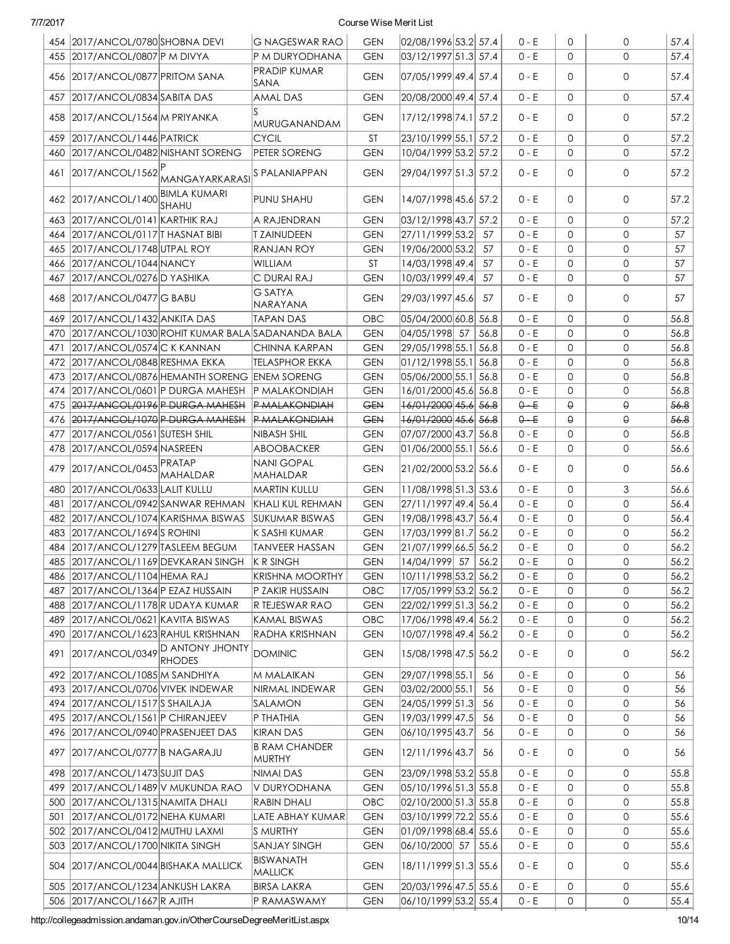|     | 454 2017/ANCOL/0780 SHOBNA DEVI                                             |                                                      | <b>G NAGESWAR RAO</b>                   | <b>GEN</b>               | 02/08/1996 53.2 57.4                  |      | $0 - E$          | 0            | $\mathbf 0$  | 57.4         |
|-----|-----------------------------------------------------------------------------|------------------------------------------------------|-----------------------------------------|--------------------------|---------------------------------------|------|------------------|--------------|--------------|--------------|
|     | 455 2017/ANCOL/0807 P M DIVYA                                               |                                                      | P M DURYODHANA                          | <b>GEN</b>               | 03/12/1997 51.3 57.4                  |      | $0 - E$          | $\Omega$     | $\Omega$     | 57.4         |
|     | 456   2017/ANCOL/0877   PRITOM SANA                                         |                                                      | <b>PRADIP KUMAR</b><br>SANA             | <b>GEN</b>               | 07/05/1999 49.4 57.4                  |      | $0 - E$          | 0            | $\mathbf{0}$ | 57.4         |
| 457 | 2017/ANCOL/0834 SABITA DAS                                                  |                                                      | <b>AMAL DAS</b>                         | <b>GEN</b>               | 20/08/2000 49.4 57.4                  |      | 0 - E            | $\Omega$     | $\mathbf{0}$ | 57.4         |
|     | 458 2017/ANCOL/1564 M PRIYANKA                                              |                                                      | MURUGANANDAM                            | <b>GEN</b>               | 17/12/1998 74.1 57.2                  |      | $0 - E$          | $\Omega$     | $\mathbf{0}$ | 57.2         |
| 459 | 2017/ANCOL/1446 PATRICK                                                     |                                                      | <b>CYCIL</b>                            | ST                       | 23/10/1999 55.1 57.2                  |      | $0 - E$          | $\mathbf{O}$ | $\mathbf{0}$ | 57.2         |
| 460 | 2017/ANCOL/0482 NISHANT SORENG                                              |                                                      | <b>PETER SORENG</b>                     | <b>GEN</b>               | 10/04/1999 53.2 57.2                  |      | $0 - E$          | $\Omega$     | $\mathbf{0}$ | 57.2         |
| 461 |                                                                             | 2017/ANCOL/1562 MANGAYARKARASI                       | <b>S PALANIAPPAN</b>                    | <b>GEN</b>               | 29/04/1997 51.3 57.2                  |      | 0 - E            | $\Omega$     | $\mathbf{0}$ | 57.2         |
|     | 462 2017/ANCOL/1400                                                         | <b>BIMLA KUMARI</b><br><b>SHAHU</b>                  | PUNU SHAHU                              | <b>GEN</b>               | 14/07/1998 45.6 57.2                  |      | $0 - E$          | $\Omega$     | $\mathbf{0}$ | 57.2         |
| 463 | 2017/ANCOL/0141 KARTHIK RAJ                                                 |                                                      | A RAJENDRAN                             | <b>GEN</b>               | 03/12/1998 43.7                       | 57.2 | $0 - E$          | $\mathbf{O}$ | $\mathbf{0}$ | 57.2         |
| 464 | 2017/ANCOL/0117 THASNAT BIBI                                                |                                                      | <b>T ZAINUDEEN</b>                      | <b>GEN</b>               | 27/11/1999 53.2                       | 57   | $0 - E$          | 0            | $\mathbf{O}$ | 57           |
| 465 | 2017/ANCOL/1748 UTPAL ROY                                                   |                                                      | <b>RANJAN ROY</b>                       | <b>GEN</b>               | 19/06/2000 53.2                       | 57   | $0 - E$          | 0            | $\mathbf 0$  | 57           |
|     | 466 2017/ANCOL/1044 NANCY                                                   |                                                      | <b>WILLIAM</b>                          | ST                       | 14/03/1998 49.4                       | 57   | $0 - E$          | 0            | $\mathbf{O}$ | 57           |
| 467 | 2017/ANCOL/0276 D YASHIKA                                                   |                                                      | C DURAI RAJ                             | <b>GEN</b>               | 10/03/1999 49.4                       | 57   | $0 - E$          | $\mathbf{O}$ | $\mathbf 0$  | 57           |
|     | 468 2017/ANCOL/0477 G BABU                                                  |                                                      | <b>G SATYA</b><br>NARAYANA              | <b>GEN</b>               | 29/03/1997 45.6                       | 57   | 0 - E            | 0            | 0            | 57           |
| 469 | 2017/ANCOL/1432 ANKITA DAS                                                  |                                                      | TAPAN DAS                               | OBC                      | 05/04/2000 60.8 56.8                  |      | 0 - E            | $\Omega$     | $\mathbf{0}$ | 56.8         |
| 470 |                                                                             | 2017/ANCOL/1030 ROHIT KUMAR BALA SADANANDA BALA      |                                         | <b>GEN</b>               | 04/05/1998 57                         | 56.8 | $0 - E$          | $\Omega$     | $\mathbf{0}$ | 56.8         |
| 471 | 2017/ANCOL/0574 C K KANNAN                                                  |                                                      | CHINNA KARPAN                           | <b>GEN</b>               | 29/05/1998 55.1 56.8                  |      | $0 - E$          | 0            | $\mathbf{0}$ | 56.8         |
| 472 | 2017/ANCOL/0848 RESHMA EKKA                                                 |                                                      | <b>TELASPHOR EKKA</b>                   | <b>GEN</b>               | $01/12/1998$ 55.1 56.8                |      | $0 - E$          | $\mathsf{O}$ | $\mathbf{0}$ | 56.8         |
| 473 |                                                                             | 2017/ANCOL/0876 HEMANTH SORENG ENEM SORENG           |                                         | <b>GEN</b>               | 05/06/2000 55.1                       | 56.8 | $0 - E$          | 0            | $\mathbf{0}$ | 56.8         |
| 474 | 2017/ANCOL/0601 P DURGA MAHESH                                              |                                                      | P MALAKONDIAH                           | <b>GEN</b>               | 16/01/2000 45.6 56.8                  |      | $0 - E$          | $\mathsf{O}$ | $\mathbf{0}$ | 56.8         |
| 475 | 2017/ANCOL/0196 P DURGA MAHESH                                              |                                                      | <b>P MALAKONDIAH</b>                    | <b>GEN</b>               | 16/01/2000 45.6                       | 56.8 | $0 - E$          | θ            | $\Theta$     | 56.8         |
| 476 | 2017/ANCOL/1070 P DURGA MAHESH                                              |                                                      | <b>P MALAKONDIAH</b>                    | <b>GEN</b>               | 16/01/2000 45.6                       | 56.8 | $0 - E$          | θ            | $\Theta$     | 56.8         |
| 477 | 2017/ANCOL/0561 SUTESH SHIL                                                 |                                                      | NIBASH SHIL                             | <b>GEN</b>               | 07/07/2000 43.7                       | 56.8 | $0 - E$          | 0            | $\mathbf{0}$ | 56.8         |
| 478 | 2017/ANCOL/0594 NASREEN                                                     |                                                      | ABOOBACKER                              | <b>GEN</b>               | 01/06/2000 55.1 56.6                  |      | 0 - E            | 0            | $\mathbf{0}$ | 56.6         |
|     |                                                                             |                                                      | <b>NANI GOPAL</b>                       |                          |                                       |      |                  |              |              |              |
| 479 | 2017/ANCOL/0453 PRATAP                                                      | MAHALDAR                                             | MAHALDAR                                | <b>GEN</b>               | 21/02/2000 53.2 56.6                  |      | 0 - E            | 0            | $\mathbf{0}$ | 56.6         |
| 480 | 2017/ANCOL/0633 LALIT KULLU                                                 |                                                      | MARTIN KULLU                            | <b>GEN</b>               | 11/08/1998 51.3 53.6                  |      | $0 - E$          | $\Omega$     | 3            | 56.6         |
| 481 | 2017/ANCOL/0942 SANWAR REHMAN                                               |                                                      | KHALI KUL REHMAN                        | <b>GEN</b>               | 27/11/1997 49.4 56.4                  |      | $0 - E$          | $\Omega$     | $\mathbf{0}$ | 56.4         |
| 482 | 2017/ANCOL/1074 KARISHMA BISWAS                                             |                                                      | <b>SUKUMAR BISWAS</b>                   | <b>GEN</b>               | 19/08/1998 43.7 56.4                  |      | $0 - E$          | 0            | $\mathsf{O}$ | 56.4         |
| 483 | 2017/ANCOL/1694S ROHINI                                                     |                                                      | K SASHI KUMAR                           | <b>GEN</b>               | 17/03/1999 81.7 56.2                  |      | 0 - E            | 0            | $\mathbf 0$  | 56.2         |
|     | 484 2017/ANCOL/1279 TASLEEM BEGUM                                           |                                                      | <b>TANVEER HASSAN</b>                   | <b>GEN</b>               | 21/07/1999 66.5 56.2                  |      | $0 - E$          | 0            | 0            | 56.2         |
|     |                                                                             | 485 2017/ANCOL/1169 DEVKARAN SINGH K R SINGH         |                                         | <b>GEN</b>               | 14/04/1999 57                         | 56.2 | $0 - E$          | 0            | $\mathbf{O}$ | 56.2         |
|     | 486   2017/ANCOL/1104 HEMA RAJ                                              |                                                      | KRISHNA MOORTHY                         | <b>GEN</b>               | 10/11/1998 53.2 56.2                  |      | 0 - E            | 0            | 0            | 56.2         |
|     | 487 2017/ANCOL/1364 P EZAZ HUSSAIN                                          |                                                      | P ZAKIR HUSSAIN                         | OBC                      | 17/05/1999 53.2 56.2                  |      | $0 - E$          | 0            | 0            | 56.2         |
|     | 488 2017/ANCOL/1178 R UDAYA KUMAR                                           |                                                      | R TEJESWAR RAO                          | <b>GEN</b>               | 22/02/1999 51.3 56.2                  |      | $0 - E$          | 0            | 0            | 56.2         |
|     | 489 2017/ANCOL/0621 KAVITA BISWAS                                           |                                                      | <b>KAMAL BISWAS</b>                     | OBC                      | 17/06/1998 49.4 56.2                  |      | $0 - E$          | 0            | 0            | 56.2         |
|     | 490 2017/ANCOL/1623 RAHUL KRISHNAN                                          |                                                      | RADHA KRISHNAN                          | <b>GEN</b>               | 10/07/1998 49.4 56.2                  |      | $0 - E$          | 0            | 0            | 56.2         |
|     |                                                                             | 491 2017/ANCOL/0349 D ANTONY JHONTY<br><b>RHODES</b> | <b>DOMINIC</b>                          | <b>GEN</b>               | 15/08/1998 47.5 56.2                  |      | 0 - E            | 0            | 0            | 56.2         |
|     | 492 2017/ANCOL/1085 M SANDHIYA                                              |                                                      | <b>M MALAIKAN</b>                       | <b>GEN</b>               | 29/07/1998 55.1                       | -56  | 0 - E            | 0            | 0            | 56           |
|     | 493 2017/ANCOL/0706 VIVEK INDEWAR                                           |                                                      | NIRMAL INDEWAR                          | <b>GEN</b>               | 03/02/2000 55.1                       | -56  | $0 - E$          | 0            | 0            | 56           |
|     | 494 2017/ANCOL/1517 SHAILAJA                                                |                                                      | SALAMON                                 | <b>GEN</b>               | 24/05/1999 51.3                       | -56  | $0 - E$          | 0            | 0            | 56           |
|     | 495 2017/ANCOL/1561 P CHIRANJEEV                                            |                                                      | P THATHIA                               | <b>GEN</b>               | 19/03/1999 47.5 56                    |      | $0 - E$          | 0            | 0            | 56           |
|     | 496 2017/ANCOL/0940 PRASENJEET DAS                                          |                                                      | <b>KIRAN DAS</b>                        | <b>GEN</b>               | 06/10/1995 43.7                       | 56   | $0 - E$          | 0            | $\mathbf 0$  | 56           |
|     | 497   2017/ANCOL/0777   BNAGARAJU                                           |                                                      | <b>B RAM CHANDER</b><br>MURTHY          | <b>GEN</b>               | 12/11/1996 43.7                       | -56  | 0 - E            | 0            | 0            | 56           |
|     | 498 2017/ANCOL/1473 SUJIT DAS                                               |                                                      | NIMAI DAS                               | <b>GEN</b>               | 23/09/1998 53.2 55.8                  |      | $0 - E$          | 0            | 0            | 55.8         |
|     | 499 2017/ANCOL/1489 V MUKUNDA RAO                                           |                                                      | V DURYODHANA                            | <b>GEN</b>               | 05/10/1996 51.3 55.8                  |      | 0 - E            | 0            | 0            | 55.8         |
|     | 500   2017/ANCOL/1315   NAMITA DHALI                                        |                                                      | <b>RABIN DHALI</b>                      | OBC                      | 02/10/2000 51.3 55.8                  |      | $0 - E$          | 0            | 0            | 55.8         |
|     |                                                                             |                                                      |                                         |                          |                                       |      |                  |              |              |              |
|     | 501 2017/ANCOL/0172 NEHA KUMARI                                             |                                                      | LATE ABHAY KUMAR                        | <b>GEN</b>               | 03/10/1999 72.2 55.6                  |      | $0 - E$          | 0            | 0            | 55.6         |
|     | 502 2017/ANCOL/0412 MUTHU LAXMI                                             |                                                      | S MURTHY                                | <b>GEN</b>               | 01/09/1998 68.4 55.6                  |      | $0 - E$          | 0            | 0            | 55.6         |
|     | 503 2017/ANCOL/1700 NIKITA SINGH<br>504   2017/ANCOL/0044   BISHAKA MALLICK |                                                      | <b>SANJAY SINGH</b><br><b>BISWANATH</b> | <b>GEN</b><br><b>GEN</b> | 06/10/2000 57<br>18/11/1999 51.3 55.6 | 55.6 | $0 - E$<br>0 - E | 0<br>0       | 0<br>0       | 55.6<br>55.6 |
|     | 505   2017/ANCOL/1234 ANKUSH LAKRA                                          |                                                      | MALLICK<br><b>BIRSA LAKRA</b>           | <b>GEN</b>               | 20/03/1996 47.5 55.6                  |      | $0 - E$          | 0            | 0            | 55.6         |
|     | 506 2017/ANCOL/1667 R AJITH                                                 |                                                      | P RAMASWAMY                             | <b>GEN</b>               | 06/10/1999 53.2 55.4                  |      | $0 - E$          | 0            | 0            | 55.4         |
|     |                                                                             |                                                      |                                         |                          |                                       |      |                  |              |              |              |

http://collegeadmission.andaman.gov.in/OtherCourseDegreeMeritList.aspx 10/14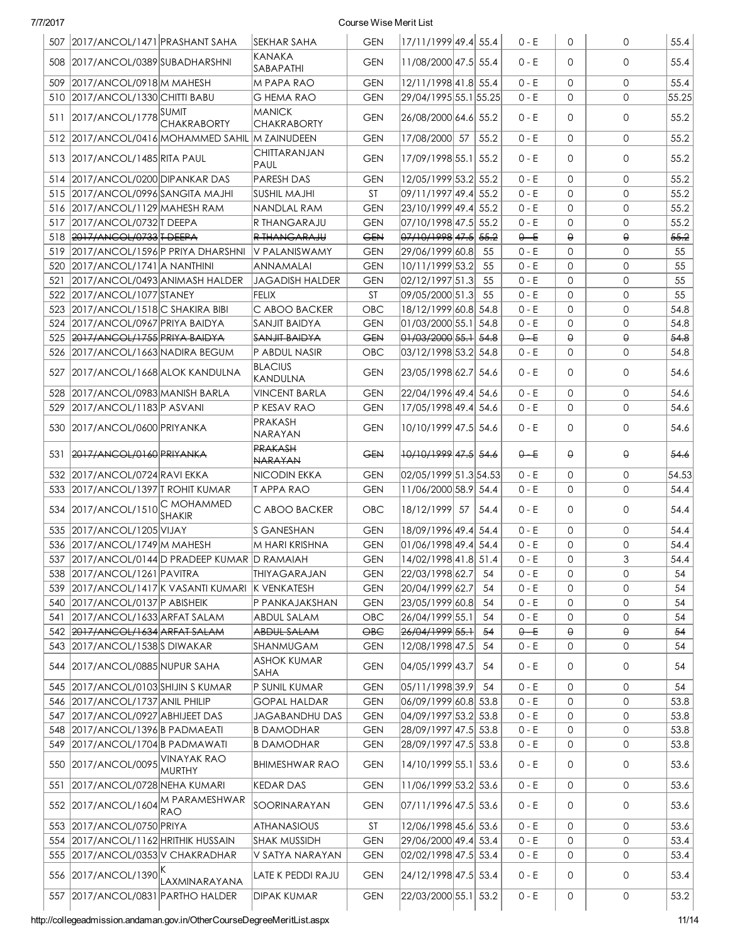|     | 507   2017/ANCOL/1471   PRASHANT SAHA                   |                                                    | SEKHAR SAHA                          | <b>GEN</b>               | 17/11/1999 49.4  55.4                        |      | 0 - E              | 0                   | 0            | 55.4         |
|-----|---------------------------------------------------------|----------------------------------------------------|--------------------------------------|--------------------------|----------------------------------------------|------|--------------------|---------------------|--------------|--------------|
|     | 508 2017/ANCOL/0389 SUBADHARSHNI                        |                                                    | <b>KANAKA</b><br>SABAPATHI           | <b>GEN</b>               | 11/08/2000 47.5 55.4                         |      | $0 - E$            | 0                   | $\mathbf{O}$ | 55.4         |
| 509 | 2017/ANCOL/0918 M MAHESH                                |                                                    | M PAPA RAO                           | <b>GEN</b>               | 12/11/1998 41.8 55.4                         |      | $0 - E$            | 0                   | $\mathbf{0}$ | 55.4         |
|     | 510 2017/ANCOL/1330 CHITTI BABU                         |                                                    | G HEMA RAO                           | <b>GEN</b>               | 29/04/1995 55.1 55.25                        |      | 0 - E              | $\mathbf{O}$        | $\mathbf{0}$ | 55.25        |
|     | 511 2017/ANCOL/1778                                     | <b>CHAKRABORTY</b>                                 | <b>MANICK</b><br><b>CHAKRABORTY</b>  | <b>GEN</b>               | 26/08/2000 64.6 55.2                         |      | 0 - E              | $\mathbf{O}$        | 0            | 55.2         |
|     |                                                         | 512 2017/ANCOL/0416 MOHAMMED SAHIL M ZAINUDEEN     |                                      | <b>GEN</b>               | 17/08/2000 57                                | 55.2 | $0 - E$            | 0                   | 0            | 55.2         |
|     | 513 2017/ANCOL/1485 RITA PAUL                           |                                                    | CHITTARANJAN<br>PAUL                 | <b>GEN</b>               | 17/09/1998 55.1 55.2                         |      | $0 - E$            | $\mathbf{O}$        | $\mathbf{O}$ | 55.2         |
|     | 514 2017/ANCOL/0200 DIPANKAR DAS                        |                                                    | <b>PARESH DAS</b>                    | <b>GEN</b>               | 12/05/1999 53.2 55.2                         |      | $0 - E$            | $\mathbf{O}$        | $\mathsf{O}$ | 55.2         |
|     | 515 2017/ANCOL/0996 SANGITA MAJHI                       |                                                    | <b>SUSHIL MAJHI</b>                  | <b>ST</b>                | 09/11/1997 49.4 55.2                         |      | $0 - E$            | $\mathbf{O}$        | $\mathbf{0}$ | 55.2         |
|     | 516 2017/ANCOL/1129 MAHESH RAM                          |                                                    | NANDLAL RAM                          | <b>GEN</b>               | 23/10/1999 49.4 55.2                         |      | $0 - E$            | $\mathbf{O}$        | $\mathbf{0}$ | 55.2         |
| 517 | 2017/ANCOL/0732 T DEEPA                                 |                                                    | R THANGARAJU                         | <b>GEN</b>               | 07/10/1998 47.5 55.2                         |      | $0 - E$            | 0                   | $\mathbf{0}$ | 55.2         |
|     | 518 2017/ANCOL/0733 T DEEPA                             |                                                    | <b>R THANGARAJU</b>                  | <b>GEN</b>               | 07/10/1998 47.5 55.2                         |      | $0 - E$            | θ                   | θ.           | 55.2         |
|     | 519 2017/ANCOL/1596 P PRIYA DHARSHNI                    |                                                    | V PALANISWAMY                        | <b>GEN</b>               | 29/06/1999 60.8 55                           |      | $0 - E$            | 0                   | $\mathbf{O}$ | 55           |
|     | 520 2017/ANCOL/1741 A NANTHINI                          |                                                    | ANNAMALAI                            | <b>GEN</b>               | 10/11/1999 53.2                              | 55   | $0 - E$            | $\mathbf 0$         | $\mathbf 0$  | 55           |
| 521 | 2017/ANCOL/0493 ANIMASH HALDER                          |                                                    | <b>JAGADISH HALDER</b>               | <b>GEN</b>               | 02/12/1997 51.3                              | 55   | $0 - E$            | $\mathbf 0$         | $\mathbf 0$  | 55           |
|     | 522 2017/ANCOL/1077 STANEY                              |                                                    | <b>FELIX</b>                         | <b>ST</b>                | 09/05/2000 51.3                              | 55   | $0 - E$            | $\mathbf 0$         | 0            | 55           |
|     | 523 2017/ANCOL/1518 C SHAKIRA BIBI                      |                                                    | C ABOO BACKER                        | OBC                      | 18/12/1999 60.8 54.8                         |      | $0 - E$            | $\mathbf 0$         | $\mathbf 0$  | 54.8         |
|     | 524 2017/ANCOL/0967 PRIYA BAIDYA                        |                                                    | <b>SANJIT BAIDYA</b>                 | <b>GEN</b>               | 01/03/2000 55.1 54.8                         |      | $0 - E$            | $\mathbf 0$         | $\mathbf 0$  | 54.8         |
|     | 525 2017/ANCOL/1755 PRIYA BAIDYA                        |                                                    | <b>SANJIT BAIDYA</b>                 | <del>GEN</del>           | 01/03/2000 55.1 54.8                         |      | $0 - E$            | $\theta$            | θ            | 54.8         |
|     | 526 2017/ANCOL/1663 NADIRA BEGUM                        |                                                    | P ABDUL NASIR                        |                          |                                              |      |                    | 0                   | 0            | 54.8         |
|     |                                                         |                                                    |                                      | OBC                      | 03/12/1998 53.2 54.8                         |      | 0 - E              |                     |              |              |
|     | 527   2017/ANCOL/1668 ALOK KANDULNA                     |                                                    | <b>BLACIUS</b><br>KANDULNA           | <b>GEN</b>               | 23/05/1998 62.7 54.6                         |      | $0 - E$            | $\mathbf{O}$        | $\Omega$     | 54.6         |
| 528 | 2017/ANCOL/0983 MANISH BARLA                            |                                                    | <b>VINCENT BARLA</b>                 | <b>GEN</b>               | 22/04/1996 49.4 54.6                         |      | $0 - E$            | $\mathbf{O}$        | $\mathbf{0}$ | 54.6         |
| 529 | 2017/ANCOL/1183 P ASVANI                                |                                                    | P KESAV RAO                          | <b>GEN</b>               | 17/05/1998 49.4 54.6                         |      | $0 - E$            | 0                   | $\mathbf{0}$ | 54.6         |
|     | 530 2017/ANCOL/0600 PRIYANKA                            |                                                    | <b>PRAKASH</b><br>NARAYAN            | <b>GEN</b>               | 10/10/1999 47.5 54.6                         |      | $0 - E$            | 0                   | 0            | 54.6         |
|     | 531 2017/ANCOL/0160 PRIYANKA                            |                                                    | <b>PRAKASH</b><br><b>NARAYAN</b>     | <b>GEN</b>               | <del>10/10/1999</del> 47.5 54.6              |      | $0 - E$            | θ                   | θ            | 54.6         |
|     | 532 2017/ANCOL/0724 RAVI EKKA                           |                                                    | NICODIN EKKA                         | <b>GEN</b>               | 02/05/1999 51.3 54.53                        |      | $0 - E$            | 0                   | 0            | 54.53        |
|     | 533 2017/ANCOL/1397 T ROHIT KUMAR                       |                                                    | <b>TAPPARAO</b>                      | <b>GEN</b>               | 11/06/2000 58.9 54.4                         |      | $0 - E$            | 0                   | 0            | 54.4         |
|     | 534 2017/ANCOL/1510 C MOHAMMED                          | <b>SHAKIR</b>                                      | C ABOO BACKER                        | <b>OBC</b>               | 18/12/1999 57                                | 54.4 | $0 - E$            | $\Omega$            | $\mathbf{O}$ | 54.4         |
|     | 535 2017/ANCOL/1205 VIJAY                               |                                                    | <b>S GANESHAN</b>                    | <b>GEN</b>               | 18/09/1996 49.4 54.4                         |      | $0 - E$            | $\mathbf{O}$        | $\mathsf{O}$ | 54.4         |
|     | 536 2017/ANCOL/1749 M MAHESH                            |                                                    | M HARI KRISHNA                       | <b>GEN</b>               | 01/06/1998 49.4 54.4                         |      | $0 - E$            | $\mathbf 0$         | $\mathsf{O}$ | 54.4         |
|     |                                                         | 537 2017/ANCOL/0144 D PRADEEP KUMAR D RAMAIAH      |                                      | <b>GEN</b>               | 14/02/1998 41.8 51.4                         |      | $0 - E$            | $\mathbf 0$         | 3            | 54.4         |
|     | 538 2017/ANCOL/1261 PAVITRA                             |                                                    | THIYAGARAJAN                         | $\mathsf{GEN}$           | 22/03/1998 62.7 54                           |      | $0 - E$            | $\mathsf{O}\xspace$ | 0            | 54           |
|     |                                                         | 539   2017/ANCOL/1417 K VASANTI KUMARI K VENKATESH |                                      | <b>GEN</b>               | 20/04/1999 62.7                              | 54   | 0 - E              | 0                   | 0            | 54           |
|     | 540 2017/ANCOL/0137 P ABISHEIK                          |                                                    | P PANKAJAKSHAN                       | <b>GEN</b>               | 23/05/1999 60.8                              | 54   | $0 - E$            | 0                   | 0            | 54           |
|     | 541 2017/ANCOL/1633 ARFAT SALAM                         |                                                    | <b>ABDUL SALAM</b>                   | OBC                      | 26/04/1999 55.1                              | 54   | $0 - E$            | 0                   | 0            | 54           |
|     | 542 2017/ANCOL/1634 ARFAT SALAM                         |                                                    | ABDUL SALAM                          | $\Theta$ B $\Theta$      | 26/04/1999 55.1                              | 54   | $0 - E$            | θ                   | θ            | $-54$        |
|     | 543 2017/ANCOL/1538 SDIWAKAR                            |                                                    | SHANMUGAM                            | <b>GEN</b>               | 12/08/1998 47.5                              | 54   | $0 - E$            | 0                   | 0            | 54           |
|     | 544   2017/ANCOL/0885   NUPUR SAHA                      |                                                    | <b>ASHOK KUMAR</b><br><b>SAHA</b>    | <b>GEN</b>               | 04/05/1999 43.7                              | 54   | 0 - E              | 0                   | 0            | 54           |
| 545 | 2017/ANCOL/0103 SHIJIN S KUMAR                          |                                                    | P SUNIL KUMAR                        | <b>GEN</b>               | 05/11/1998 39.9                              | 54   | $0 - E$            | 0                   | 0            | 54           |
|     | 546 2017/ANCOL/1737 ANIL PHILIP                         |                                                    | <b>GOPAL HALDAR</b>                  | <b>GEN</b>               | 06/09/1999 60.8 53.8                         |      | $0 - E$            | 0                   | 0            | 53.8         |
|     | 547 2017/ANCOL/0927 ABHIJEET DAS                        |                                                    | <b>JAGABANDHU DAS</b>                | <b>GEN</b>               | 04/09/1997 53.2 53.8                         |      | $0 - E$            | 0                   | 0            | 53.8         |
|     | 548 2017/ANCOL/1396 B PADMAEATI                         |                                                    | <b>B DAMODHAR</b>                    | <b>GEN</b>               | 28/09/1997 47.5 53.8                         |      | $0 - E$            | 0                   | 0            | 53.8         |
|     | 549 2017/ANCOL/1704 B PADMAWATI                         |                                                    | <b>B DAMODHAR</b>                    | <b>GEN</b>               | 28/09/1997 47.5 53.8                         |      | $0 - E$            | 0                   | 0            | 53.8         |
|     | 550 2017/ANCOL/0095 VINAYAK RAO                         | MURTHY                                             | <b>BHIMESHWAR RAO</b>                | <b>GEN</b>               | 14/10/1999 55.1 53.6                         |      | 0 - E              | 0                   | 0            | 53.6         |
| 551 | 2017/ANCOL/0728 NEHA KUMARI                             |                                                    | <b>KEDAR DAS</b>                     | <b>GEN</b>               | 11/06/1999 53.2 53.6                         |      | 0 - E              | 0                   | 0            | 53.6         |
| 552 | 2017/ANCOL/1604 M PARAMESHWAR                           |                                                    | SOORINARAYAN                         | <b>GEN</b>               | 07/11/1996 47.5 53.6                         |      | 0 - E              | 0                   | 0            | 53.6         |
|     |                                                         | IRAO                                               |                                      |                          |                                              |      |                    |                     |              |              |
|     | 553 2017/ANCOL/0750 PRIYA                               |                                                    | <b>ATHANASIOUS</b>                   | ST                       | 12/06/1998 45.6 53.6                         |      | $0 - E$            | 0                   | 0            | 53.6         |
|     | 554 2017/ANCOL/1162 HRITHIK HUSSAIN                     |                                                    | <b>SHAK MUSSIDH</b>                  | <b>GEN</b>               | 29/06/2000 49.4 53.4                         |      | $0 - E$            | 0                   | 0            | 53.4         |
|     | 555 2017/ANCOL/0353 V CHAKRADHAR<br>556 2017/ANCOL/1390 |                                                    | V SATYA NARAYAN<br>LATE K PEDDI RAJU | <b>GEN</b><br><b>GEN</b> | 02/02/1998 47.5 53.4<br>24/12/1998 47.5 53.4 |      | $0 - E$<br>$0 - E$ | 0<br>0              | 0<br>0       | 53.4<br>53.4 |
|     | 557   2017/ANCOL/0831   PARTHO HALDER                   | LAXMINARAYANA                                      | <b>DIPAK KUMAR</b>                   | <b>GEN</b>               | 22/03/2000 55.1 53.2                         |      | $0 - E$            | 0                   | 0            | 53.2         |
|     |                                                         |                                                    |                                      |                          |                                              |      |                    |                     |              |              |

http://collegeadmission.andaman.gov.in/OtherCourseDegreeMeritList.aspx 11/14

I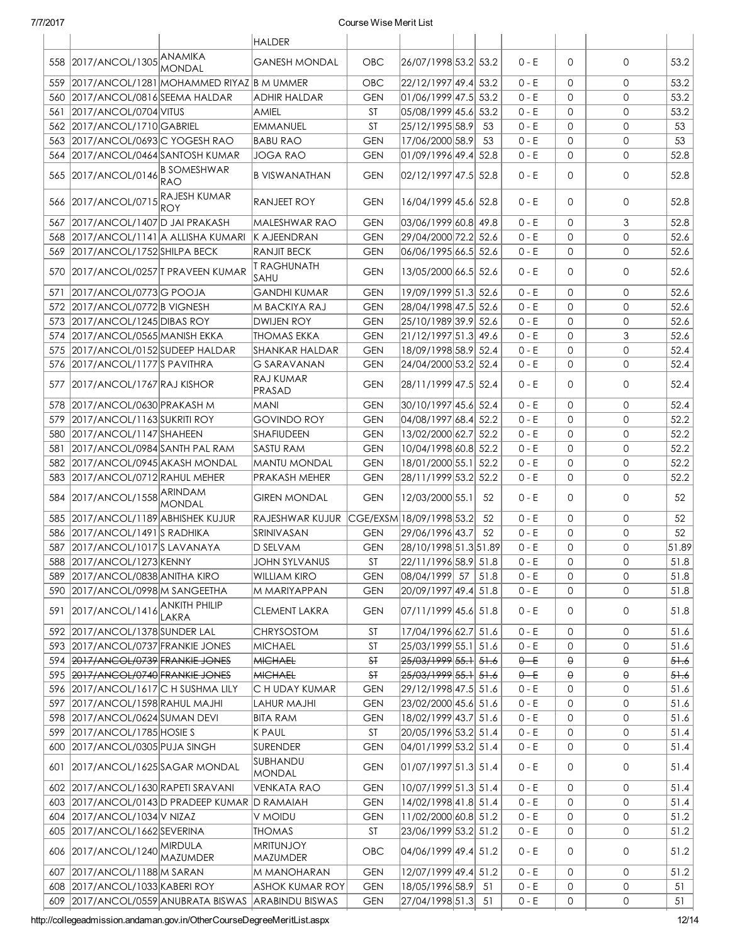|     |                                         |                                                     | <b>HALDER</b>                       |                        |                          |      |         |              |   |       |
|-----|-----------------------------------------|-----------------------------------------------------|-------------------------------------|------------------------|--------------------------|------|---------|--------------|---|-------|
|     | 558 2017/ANCOL/1305 ANAMIKA             | <b>MONDAL</b>                                       | GANESH MONDAL                       | OBC                    | 26/07/1998 53.2 53.2     |      | $0 - E$ | $\Omega$     | 0 | 53.2  |
| 559 |                                         | 2017/ANCOL/1281 MOHAMMED RIYAZ B M UMMER            |                                     | OBC                    | 22/12/1997 49.4 53.2     |      | $0 - E$ | 0            | 0 | 53.2  |
| 560 | 2017/ANCOL/0816 SEEMA HALDAR            |                                                     | <b>ADHIR HALDAR</b>                 | <b>GEN</b>             | 01/06/1999 47.5 53.2     |      | $0 - E$ | $\Omega$     | 0 | 53.2  |
| 561 | 2017/ANCOL/0704 VITUS                   |                                                     | AMIEL                               | ST                     | 05/08/1999 45.6 53.2     |      | 0 - E   | $\mathbf 0$  | 0 | 53.2  |
|     | 562 2017/ANCOL/1710 GABRIEL             |                                                     | <b>EMMANUEL</b>                     | ST                     | 25/12/1995 58.9          | 53   | $0 - E$ | $\mathbf 0$  | 0 | 53    |
|     | 563 2017/ANCOL/0693 C YOGESH RAO        |                                                     | <b>BABU RAO</b>                     | <b>GEN</b>             | 17/06/2000 58.9          | 53   | $0 - E$ | $\mathbf 0$  | 0 | 53    |
|     | 564   2017/ANCOL/0464   SANTOSH KUMAR   |                                                     | <b>JOGA RAO</b>                     | <b>GEN</b>             | 01/09/1996 49.4  52.8    |      | 0 - E   | 0            | 0 | 52.8  |
|     | 565 2017/ANCOL/0146                     | B SOMESHWAR<br>RAO                                  | <b>B VISWANATHAN</b>                | <b>GEN</b>             | 02/12/1997 47.5 52.8     |      | $0 - E$ | 0            | 0 | 52.8  |
|     | 566 2017/ANCOL/0715                     | RAJESH KUMAR<br><b>ROY</b>                          | RANJEET ROY                         | <b>GEN</b>             | 16/04/1999 45.6 52.8     |      | $0 - E$ | $\Omega$     | 0 | 52.8  |
| 567 | 2017/ANCOL/1407 D JAI PRAKASH           |                                                     | MALESHWAR RAO                       | <b>GEN</b>             | 03/06/1999 60.8 49.8     |      | $0 - E$ | 0            | 3 | 52.8  |
|     | 568 2017/ANCOL/1141 A ALLISHA KUMARI    |                                                     | <b>K AJEENDRAN</b>                  | <b>GEN</b>             | 29/04/2000 72.2 52.6     |      | $0 - E$ | $\mathbf 0$  | 0 | 52.6  |
|     | 569 2017/ANCOL/1752 SHILPA BECK         |                                                     | RANJIT BECK                         | <b>GEN</b>             | 06/06/1995 66.5  52.6    |      | $0 - E$ | $\mathbf 0$  | 0 | 52.6  |
|     | 570   2017/ANCOL/0257   T PRAVEEN KUMAR |                                                     | <b>T RAGHUNATH</b><br>SAHU          | <b>GEN</b>             | 13/05/2000 66.5 52.6     |      | $0 - E$ | $\Omega$     | 0 | 52.6  |
| 571 | 2017/ANCOL/0773 G POOJA                 |                                                     | <b>GANDHI KUMAR</b>                 | GEN                    | 19/09/1999 51.3 52.6     |      | $0 - E$ | $\mathbf{0}$ | 0 | 52.6  |
|     | 572 2017/ANCOL/0772 B VIGNESH           |                                                     | M BACKIYA RAJ                       | <b>GEN</b>             | 28/04/1998 47.5 52.6     |      | $0 - E$ | $\mathbf{0}$ | 0 | 52.6  |
| 573 | 2017/ANCOL/1245 DIBAS ROY               |                                                     | <b>DWIJEN ROY</b>                   | <b>GEN</b>             | 25/10/1989 39.9 52.6     |      | $0 - E$ | $\mathbf{0}$ | 0 | 52.6  |
|     | 574   2017/ANCOL/0565   MANISH EKKA     |                                                     | <b>THOMAS EKKA</b>                  | <b>GEN</b>             | 21/12/1997 51.3 49.6     |      | $0 - E$ | $\mathbf{0}$ | 3 | 52.6  |
| 575 | 2017/ANCOL/0152 SUDEEP HALDAR           |                                                     | SHANKAR HALDAR                      | <b>GEN</b>             | 18/09/1998 58.9 52.4     |      | $0 - E$ | 0            | 0 | 52.4  |
|     | 576 2017/ANCOL/1177 S PAVITHRA          |                                                     | <b>G SARAVANAN</b>                  | <b>GEN</b>             | 24/04/2000 53.2 52.4     |      | 0 - E   | $\mathbf{0}$ | 0 | 52.4  |
|     | 577 2017/ANCOL/1767 RAJ KISHOR          |                                                     | RAJ KUMAR<br>PRASAD                 | <b>GEN</b>             | 28/11/1999 47.5 52.4     |      | 0 - E   | 0            | 0 | 52.4  |
|     | 578   2017/ANCOL/0630   PRAKASH M       |                                                     | MANI                                | <b>GEN</b>             | 30/10/1997 45.6 52.4     |      | $0 - E$ | $\mathbf{0}$ | 0 | 52.4  |
| 579 | 2017/ANCOL/1163 SUKRITI ROY             |                                                     | <b>GOVINDO ROY</b>                  | <b>GEN</b>             | 04/08/1997 68.4 52.2     |      | $0 - E$ | $\mathbf 0$  | 0 | 52.2  |
| 580 | 2017/ANCOL/1147 SHAHEEN                 |                                                     | SHAFIUDEEN                          | <b>GEN</b>             | 13/02/2000 62.7 52.2     |      | $0 - E$ | $\mathbf 0$  | 0 | 52.2  |
| 581 | 2017/ANCOL/0984 SANTH PAL RAM           |                                                     | SASTU RAM                           | <b>GEN</b>             | 10/04/1998 60.8 52.2     |      | 0 - E   | $\mathbf 0$  | 0 | 52.2  |
|     | 582 2017/ANCOL/0945 AKASH MONDAL        |                                                     | <b>MANTU MONDAL</b>                 | <b>GEN</b>             | 18/01/2000 55.1 52.2     |      | 0 - E   | $\mathbf 0$  | 0 | 52.2  |
|     | 583 2017/ANCOL/0712 RAHUL MEHER         |                                                     | PRAKASH MEHER                       | <b>GEN</b>             | 28/11/1999 53.2 52.2     |      | $0 - E$ | $\mathbf{0}$ | 0 | 52.2  |
|     | 584 2017/ANCOL/1558 ARINDAM             | <b>MONDAL</b>                                       | <b>GIREN MONDAL</b>                 | <b>GEN</b>             | 12/03/2000 55.1          | 52   | 0 - E   | 0            | 0 | 52    |
| 585 | 2017/ANCOL/1189 ABHISHEK KUJUR          |                                                     | RAJESHWAR KUJUR                     |                        | CGE/EXSM 18/09/1998 53.2 | 52   | 0 - E   | $\mathbf{0}$ | 0 | 52    |
| 586 | 2017/ANCOL/1491   SRADHIKA              |                                                     | SRINIVASAN                          | <b>GEN</b>             | 29/06/1996 43.7          | 52   | 0 - E   | $\mathbf{0}$ | 0 | 52    |
| 587 | 2017/ANCOL/1017 S LAVANAYA              |                                                     | D SELVAM                            | GEN                    | 28/10/1998 51.3 51.89    |      | $0 - E$ | $\mathbf 0$  | 0 | 51.89 |
|     | 588 2017/ANCOL/1273 KENNY               |                                                     | <b>JOHN SYLVANUS</b>                | $\mathsf{ST}\xspace$   | 22/11/1996 58.9 51.8     |      | $0 - E$ | $\mathbf 0$  | 0 | 51.8  |
| 589 | 2017/ANCOL/0838 ANITHA KIRO             |                                                     | <b>WILLIAM KIRO</b>                 | <b>GEN</b>             | 08/04/1999 57            | 51.8 | 0 - E   | 0            | 0 | 51.8  |
| 590 | 2017/ANCOL/0998 M SANGEETHA             |                                                     | M MARIYAPPAN                        | <b>GEN</b>             | 20/09/1997 49.4 51.8     |      | $0 - E$ | 0            | 0 | 51.8  |
| 591 | 2017/ANCOL/1416                         | <b>ANKITH PHILIP</b><br>LAKRA                       | <b>CLEMENT LAKRA</b>                | <b>GEN</b>             | 07/11/1999 45.6 51.8     |      | $0 - E$ | 0            | 0 | 51.8  |
|     | 592 2017/ANCOL/1378 SUNDER LAL          |                                                     | <b>CHRYSOSTOM</b>                   | ST                     | 17/04/1996 62.7 51.6     |      | $0 - E$ | $\mathbf{0}$ | 0 | 51.6  |
|     | 593 2017/ANCOL/0737 FRANKIE JONES       |                                                     | <b>MICHAEL</b>                      | ST                     | 25/03/1999 55.1 51.6     |      | $0 - E$ | $\mathbf 0$  | 0 | 51.6  |
|     | 594 2017/ANCOL/0739 FRANKIE JONES       |                                                     | <b>MICHAEL</b>                      | <b>ST</b>              | 25/03/1999 55.1 51.6     |      | $0 - E$ | θ            | θ | 51.6  |
|     | 595 2017/ANCOL/0740 FRANKIE JONES       |                                                     | <b>MICHAEL</b>                      | $\mathbb{S}\mathbb{T}$ | 25/03/1999 55.1 51.6     |      | $0 - E$ | $\Theta$     | θ | 51.6  |
|     | 596   2017/ANCOL/1617 C H SUSHMA LILY   |                                                     | C H UDAY KUMAR                      | <b>GEN</b>             | 29/12/1998 47.5 51.6     |      | $0 - E$ | 0            | 0 | 51.6  |
| 597 | 2017/ANCOL/1598 RAHUL MAJHI             |                                                     | LAHUR MAJHI                         | GEN                    | 23/02/2000 45.6 51.6     |      | $0 - E$ | 0            | 0 | 51.6  |
|     | 598 2017/ANCOL/0624 SUMAN DEVI          |                                                     | <b>BITA RAM</b>                     | <b>GEN</b>             | 18/02/1999 43.7 51.6     |      | $0 - E$ | 0            | 0 | 51.6  |
|     | 599 2017/ANCOL/1785 HOSIE S             |                                                     | <b>K PAUL</b>                       | ST                     | 20/05/1996 53.2 51.4     |      | $0 - E$ | 0            | 0 | 51.4  |
| 600 | 2017/ANCOL/0305 PUJA SINGH              |                                                     | SURENDER                            | <b>GEN</b>             | 04/01/1999 53.2 51.4     |      | $0 - E$ | 0            | 0 | 51.4  |
|     | 601   2017/ANCOL/1625   SAGAR MONDAL    |                                                     | SUBHANDU<br><b>MONDAL</b>           | <b>GEN</b>             | 01/07/1997 51.3 51.4     |      | $0 - E$ | 0            | 0 | 51.4  |
|     | 602 2017/ANCOL/1630 RAPETI SRAVANI      |                                                     | <b>VENKATA RAO</b>                  | <b>GEN</b>             | 10/07/1999 51.3 51.4     |      | $0 - E$ | 0            | 0 | 51.4  |
|     |                                         | 603   2017/ANCOL/0143   D PRADEEP KUMAR   D RAMAIAH |                                     | <b>GEN</b>             | 14/02/1998 41.8 51.4     |      | $0 - E$ | $\mathbf 0$  | 0 | 51.4  |
|     | 604 2017/ANCOL/1034 V NIZAZ             |                                                     | V MOIDU                             | <b>GEN</b>             | 11/02/2000 60.8 51.2     |      | $0 - E$ | $\mathbf 0$  | 0 | 51.2  |
|     | 605 2017/ANCOL/1662 SEVERINA            |                                                     | <b>THOMAS</b>                       | ST                     | 23/06/1999 53.2 51.2     |      | $0 - E$ | $\mathbf 0$  | 0 | 51.2  |
| 606 | 2017/ANCOL/1240 MIRDULA                 | MAZUMDER                                            | <b>MRITUNJOY</b><br><b>MAZUMDER</b> | OBC                    | 04/06/1999 49.4 51.2     |      | 0 - E   | 0            | 0 | 51.2  |
|     |                                         |                                                     |                                     |                        |                          |      |         |              |   |       |
| 607 | 2017/ANCOL/1188 M SARAN                 |                                                     | M MANOHARAN                         | <b>GEN</b>             | 12/07/1999 49.4 51.2     |      | $0 - E$ | 0            | 0 | 51.2  |
| 608 | 2017/ANCOL/1033 KABERI ROY              |                                                     | <b>ASHOK KUMAR ROY</b>              | <b>GEN</b>             | 18/05/1996 58.9          | 51   | $0 - E$ | $\mathsf{O}$ | 0 | 51    |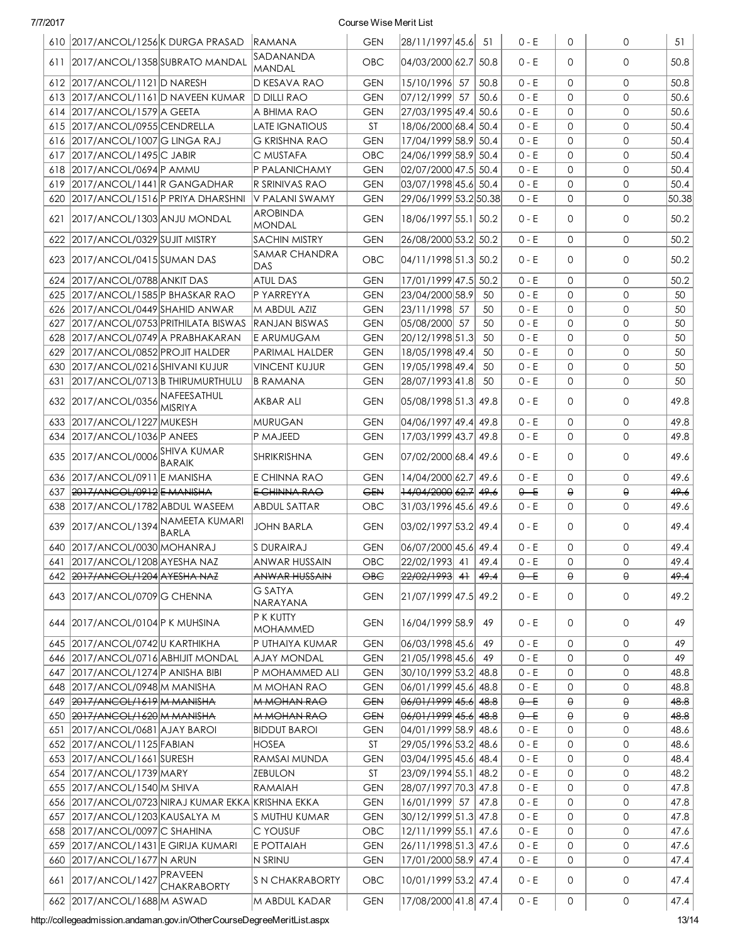|     | 610 2017/ANCOL/1256 K DURGA PRASAD                  |                                   | <b>RAMANA</b>          | <b>GEN</b> | 28/11/1997 45.6                                           | 51   | $0 - E$ | $\Omega$ | $\mathbf 0$  | 51    |
|-----|-----------------------------------------------------|-----------------------------------|------------------------|------------|-----------------------------------------------------------|------|---------|----------|--------------|-------|
|     | 611 2017/ANCOL/1358 SUBRATO MANDAL                  |                                   | SADANANDA<br>MANDAL    | OBC        | 04/03/2000 62.7 50.8                                      |      | $0 - E$ | $\Omega$ | $\mathbf 0$  | 50.8  |
|     | 612 2017/ANCOL/1121 D NARESH                        |                                   | D KESAVA RAO           | <b>GEN</b> | 15/10/1996 57                                             | 50.8 | $0 - E$ | $\Omega$ | $\mathbf{0}$ | 50.8  |
|     | 613 2017/ANCOL/1161D NAVEEN KUMAR                   |                                   | <b>D DILLI RAO</b>     | <b>GEN</b> | 07/12/1999  57                                            | 50.6 | $0 - E$ | $\Omega$ | $\mathbf{0}$ | 50.6  |
|     | 614 2017/ANCOL/1579 A GEETA                         |                                   | A BHIMA RAO            | <b>GEN</b> | 27/03/1995 49.4 50.6                                      |      | $0 - E$ | $\Omega$ | $\mathbf 0$  | 50.6  |
|     | 615 2017/ANCOL/0955 CENDRELLA                       |                                   | LATE IGNATIOUS         | <b>ST</b>  | 18/06/2000 68.4 50.4                                      |      | $0 - E$ | $\Omega$ | $\mathbf 0$  | 50.4  |
|     | 616 2017/ANCOL/1007 G LINGA RAJ                     |                                   | G KRISHNA RAO          | <b>GEN</b> | 17/04/1999 58.9 50.4                                      |      | $0 - E$ | $\Omega$ | $\mathbf 0$  | 50.4  |
|     | 617 2017/ANCOL/1495 C JABIR                         |                                   | C MUSTAFA              | OBC        | 24/06/1999 58.9 50.4                                      |      | $0 - E$ | $\Omega$ | $\mathbf 0$  | 50.4  |
|     | 618 2017/ANCOL/0694 P AMMU                          |                                   | P PALANICHAMY          | <b>GEN</b> | 02/07/2000 47.5 50.4                                      |      | $0 - E$ | $\Omega$ | $\mathbf{0}$ | 50.4  |
|     | 619 2017/ANCOL/1441 R GANGADHAR                     |                                   | R SRINIVAS RAO         | <b>GEN</b> | 03/07/1998 45.6 50.4                                      |      | $0 - E$ | $\Omega$ | $\mathbf{0}$ | 50.4  |
|     | 620 2017/ANCOL/1516 P PRIYA DHARSHNI                |                                   | V PALANI SWAMY         | <b>GEN</b> | 29/06/1999 53.2 50.38                                     |      | $0 - E$ | $\Omega$ | $\mathbf 0$  | 50.38 |
|     | 621 2017/ANCOL/1303 ANJU MONDAL                     |                                   | AROBINDA<br>MONDAL     | <b>GEN</b> | 18/06/1997 55.1 50.2                                      |      | 0 - E   | 0        | $\mathsf{O}$ | 50.2  |
|     | 622 2017/ANCOL/0329 SUJIT MISTRY                    |                                   | <b>SACHIN MISTRY</b>   | <b>GEN</b> | 26/08/2000 53.2 50.2                                      |      | $0 - E$ | $\Omega$ | $\mathbf 0$  | 50.2  |
|     | 623 2017/ANCOL/0415 SUMAN DAS                       |                                   | <b>SAMAR CHANDRA</b>   | OBC        | 04/11/1998 51.3 50.2                                      |      | 0 - E   | $\Omega$ | $\mathbf 0$  | 50.2  |
|     |                                                     |                                   | DAS                    |            |                                                           |      |         |          |              |       |
|     | 624 2017/ANCOL/0788 ANKIT DAS                       |                                   | <b>ATUL DAS</b>        | <b>GEN</b> | 17/01/1999 47.5 50.2                                      |      | $0 - E$ | $\Omega$ | $\mathbf{0}$ | 50.2  |
|     | 625 2017/ANCOL/1585 P BHASKAR RAO                   |                                   | P YARREYYA             | <b>GEN</b> | 23/04/2000 58.9                                           | 50   | $0 - E$ | $\Omega$ | $\mathbf 0$  | 50    |
|     | 626 2017/ANCOL/0449 SHAHID ANWAR                    |                                   | M ABDUL AZIZ           | <b>GEN</b> | 23/11/1998 57                                             | 50   | $0 - E$ | $\Omega$ | $\mathbf 0$  | 50    |
| 627 |                                                     | 2017/ANCOL/0753 PRITHILATA BISWAS | <b>RANJAN BISWAS</b>   | <b>GEN</b> | 05/08/2000 57                                             | 50   | $0 - E$ | $\Omega$ | $\mathbf 0$  | 50    |
|     | 628 2017/ANCOL/0749 A PRABHAKARAN                   |                                   | E ARUMUGAM             | <b>GEN</b> | 20/12/1998 51.3                                           | 50   | $0 - E$ | $\Omega$ | $\mathbf 0$  | 50    |
| 629 | 2017/ANCOL/0852 PROJIT HALDER                       |                                   | PARIMAL HALDER         | <b>GEN</b> | 18/05/1998 49.4                                           | 50   | $0 - E$ | $\Omega$ | $\mathbf 0$  | 50    |
|     | 630 2017/ANCOL/0216 SHIVANI KUJUR                   |                                   | <b>VINCENT KUJUR</b>   | <b>GEN</b> | 19/05/1998 49.4                                           | 50   | $0 - E$ | $\Omega$ | $\mathbf 0$  | 50    |
|     | 631 2017/ANCOL/0713 B THIRUMURTHULU                 |                                   | <b>B RAMANA</b>        | <b>GEN</b> | 28/07/1993 41.8                                           | 50   | $0 - E$ | $\Omega$ | $\mathbf{0}$ | 50    |
|     | 632 2017/ANCOL/0356 NAFEESATHUL                     |                                   | AKBAR ALI              | <b>GEN</b> | 05/08/1998 51.3 49.8                                      |      | $0 - E$ | $\Omega$ | $\mathbf 0$  | 49.8  |
|     | 633   2017/ANCOL/1227   MUKESH                      |                                   | MURUGAN                | <b>GEN</b> | 04/06/1997 49.4 49.8                                      |      | $0 - E$ | $\Omega$ | 0            | 49.8  |
|     | 634 2017/ANCOL/1036 P ANEES                         |                                   | P MAJEED               | <b>GEN</b> | 17/03/1999 43.7 49.8                                      |      | $0 - E$ | $\Omega$ | $\mathbf{0}$ | 49.8  |
|     | 635 2017/ANCOL/0006 SHIVA KUMAR                     | BARAIK                            | SHRIKRISHNA            | <b>GEN</b> | 07/02/2000 68.4 49.6                                      |      | $0 - E$ | $\Omega$ | 0            | 49.6  |
|     | 636 2017/ANCOL/0911 E MANISHA                       |                                   | E CHINNA RAO           | <b>GEN</b> | 14/04/2000 62.7 49.6                                      |      | $0 - E$ | $\Omega$ | $\mathbf 0$  | 49.6  |
|     | 637 2017/ANCOL/0912 E MANISHA                       |                                   | E CHINNA RAO           | <b>GEN</b> | $ 14/04/2000 $ 62.7 $ 49.6 $                              |      | $0 - E$ | $\Theta$ | $\Theta$     | 49.6  |
|     | 638 2017/ANCOL/1782 ABDUL WASEEM                    |                                   | <b>ABDUL SATTAR</b>    | OBC        | 31/03/1996 45.6 49.6                                      |      | 0 - E   | $\Omega$ | 0            | 49.6  |
|     | 639 2017/ANCOL/1394 NAMEETA KUMARI                  | <b>BARLA</b>                      | JOHN BARLA             | <b>GEN</b> | 03/02/1997 53.2 49.4                                      |      | $0 - E$ | $\Omega$ | $\mathbf 0$  | 49.4  |
|     | 640 2017/ANCOL/0030 MOHANRAJ                        |                                   | S DURAIRAJ             | <b>GEN</b> | 06/07/2000 45.6 49.4                                      |      | $0 - E$ | 0        | $\mathbf{0}$ | 49.4  |
|     | 641 2017/ANCOL/1208 AYESHA NAZ                      |                                   | ANWAR HUSSAIN          | OBC        | 22/02/1993 41                                             | 49.4 | $0 - E$ | $\Omega$ | $\mathbf{0}$ | 49.4  |
|     | 642 2017/ANCOL/1204 AYESHA NAZ                      |                                   | ANWAR HUSSAIN          | OBC        | <del>22/02/1993</del>   <del>41</del>                     | 49.4 | $0 - E$ | θ        | $\Theta$     | 49.4  |
|     | 643 2017/ANCOL/0709 G CHENNA                        |                                   | G SATYA.<br>NARAYANA   | <b>GEN</b> | 21/07/1999 47.5 49.2                                      |      | 0 - E   | 0        | $\mathbf 0$  | 49.2  |
|     | 644 2017/ANCOL/0104 P K MUHSINA                     |                                   | P K KUTTY<br>MOHAMMED  | <b>GEN</b> | 16/04/1999 58.9                                           | 49   | 0 - E   | 0        | 0            | 49    |
|     | 645   2017/ANCOL/0742 U KARTHIKHA                   |                                   | P UTHAIYA KUMAR        | <b>GEN</b> | 06/03/1998 45.6                                           | 49   | 0 - E   | 0        | 0            | 49    |
|     | 646 2017/ANCOL/0716 ABHIJIT MONDAL                  |                                   | AJAY MONDAL            | <b>GEN</b> | 21/05/1998 45.6                                           | 49   | $0 - E$ | 0        | 0            | 49    |
|     | 647 2017/ANCOL/1274 P ANISHA BIBI                   |                                   | P MOHAMMED ALI         | <b>GEN</b> | 30/10/1999 53.2 48.8                                      |      | 0 - E   | 0        | 0            | 48.8  |
|     | 648 2017/ANCOL/0948 M MANISHA                       |                                   | M MOHAN RAO            | <b>GEN</b> | 06/01/1999 45.6                                           | 48.8 | $0 - E$ | 0        | 0            | 48.8  |
|     | 649 2017/ANCOL/1619 M MANISHA                       |                                   | <b>M MOHAN RAO</b>     | <b>GEN</b> | 06/01/1999 45.6                                           | 48.8 | $0 - E$ | θ        | $\Theta$     | 48.8  |
|     | 650 2017/ANCOL/1620 M MANISHA                       |                                   | <b>M MOHAN RAO</b>     | <b>GEN</b> | <del>06/01/1999</del>  4 <del>5.6</del>   <del>48.8</del> |      | $0 - E$ | $\Theta$ | $\Theta$     | 48.8  |
| 651 | 2017/ANCOL/0681 AJAY BAROI                          |                                   | <b>BIDDUT BAROI</b>    | <b>GEN</b> | 04/01/1999 58.9  48.6                                     |      | $0 - E$ | 0        | 0            | 48.6  |
|     | 652 2017/ANCOL/1125 FABIAN                          |                                   | HOSEA                  | <b>ST</b>  | 29/05/1996 53.2 48.6                                      |      | 0 - E   | 0        | 0            | 48.6  |
|     | 653 2017/ANCOL/1661 SURESH                          |                                   | RAMSAI MUNDA           | <b>GEN</b> | 03/04/1995 45.6 48.4                                      |      | 0 - E   | 0        | 0            | 48.4  |
|     | 654 2017/ANCOL/1739 MARY                            |                                   | ZEBULON                | <b>ST</b>  | 23/09/1994 55.1 48.2                                      |      | 0 - E   | $\Omega$ | 0            | 48.2  |
|     | 655 2017/ANCOL/1540 M SHIVA                         |                                   | RAMAIAH                | <b>GEN</b> | 28/07/1997 70.3 47.8                                      |      | $0 - E$ | $\Omega$ | 0            | 47.8  |
|     | 656   2017/ANCOL/0723 NIRAJ KUMAR EKKA KRISHNA EKKA |                                   |                        | <b>GEN</b> | 16/01/1999 57   47.8                                      |      | $0 - E$ | 0        | 0            | 47.8  |
|     | 657   2017/ANCOL/1203   KAUSALYA M                  |                                   | S MUTHU KUMAR          | <b>GEN</b> | 30/12/1999 51.3 47.8                                      |      | $0 - E$ | 0        | 0            | 47.8  |
|     | 658 2017/ANCOL/0097 C SHAHINA                       |                                   | C YOUSUF               | OBC        | 12/11/1999 55.1 47.6                                      |      | 0 - E   | 0        | $\mathsf{O}$ | 47.6  |
|     | 659   2017/ANCOL/1431 E GIRIJA KUMARI               |                                   | E POTTAIAH             | <b>GEN</b> | 26/11/1998 51.3 47.6                                      |      | $0 - E$ | 0        | $\mathsf{O}$ | 47.6  |
|     | 660 2017/ANCOL/1677 N ARUN                          |                                   | N SRINU                | <b>GEN</b> | 17/01/2000 58.9 47.4                                      |      | 0 - E   | 0        | 0            | 47.4  |
|     | 661 2017/ANCOL/1427 PRAVEEN                         | <b>CHAKRABORTY</b>                | <b>S N CHAKRABORTY</b> | OBC        | 10/01/1999 53.2 47.4                                      |      | $0 - E$ | 0        | $\mathsf{O}$ | 47.4  |
|     | 662 2017/ANCOL/1688 M ASWAD                         |                                   | M ABDUL KADAR          | <b>GEN</b> | 17/08/2000 41.8 47.4                                      |      | $0 - E$ | 0        | $\circ$      | 47.4  |

http://collegeadmission.andaman.gov.in/OtherCourseDegreeMeritList.aspx 13/14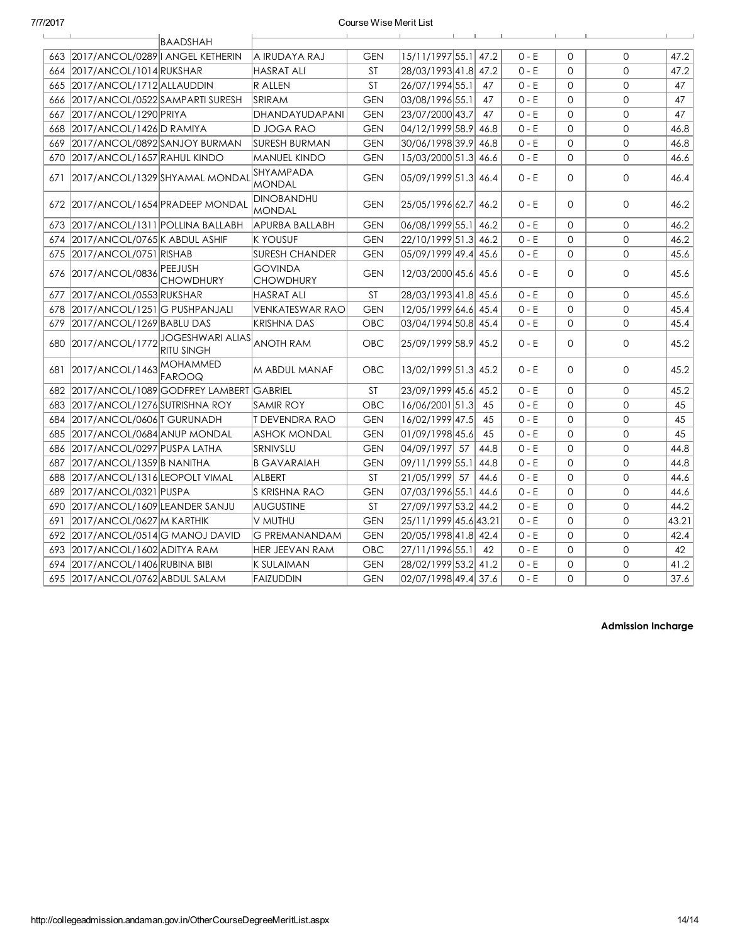|     |                                     | BAADSHAH                                                  |                                    |            |                       |      |         |              |                |       |
|-----|-------------------------------------|-----------------------------------------------------------|------------------------------------|------------|-----------------------|------|---------|--------------|----------------|-------|
| 663 | 2017/ANCOL/0289   ANGEL KETHERIN    |                                                           | IA IRUDAYA RAJ                     | <b>GEN</b> | 15/11/1997 55.1 47.2  |      | $0 - E$ | $\Omega$     | $\Omega$       | 47.2  |
|     | 664 2017/ANCOL/1014 RUKSHAR         |                                                           | <b>HASRAT ALI</b>                  | <b>ST</b>  | 28/03/1993 41.8 47.2  |      | $0 - E$ | $\Omega$     | 0              | 47.2  |
|     | 665 2017/ANCOL/1712 ALLAUDDIN       |                                                           | R ALLEN                            | <b>ST</b>  | 26/07/1994 55.1       | 47   | $0 - E$ | $\mathbf{0}$ | $\Omega$       | 47    |
|     | 666 2017/ANCOL/0522 SAMPARTI SURESH |                                                           | <b>SRIRAM</b>                      | <b>GEN</b> | 03/08/1996 55.1       | 47   | $0 - E$ | $\mathbf{O}$ | $\mathsf{O}$   | 47    |
| 667 | 2017/ANCOL/1290 PRIYA               |                                                           | DHANDAYUDAPANI                     | <b>GEN</b> | 23/07/2000 43.7       | 47   | $0 - E$ | $\mathbf{O}$ | $\mathsf{O}$   | 47    |
| 668 | 2017/ANCOL/1426 D RAMIYA            |                                                           | D JOGA RAO                         | <b>GEN</b> | 04/12/1999 58.9 46.8  |      | $0 - E$ | $\mathbf{O}$ | $\mathsf{O}$   | 46.8  |
| 669 | 2017/ANCOL/0892 SANJOY BURMAN       |                                                           | <b>SURESH BURMAN</b>               | <b>GEN</b> | 30/06/1998 39.9 46.8  |      | $0 - E$ | $\mathbf{O}$ | $\mathbf{O}$   | 46.8  |
| 670 | 2017/ANCOL/1657 RAHUL KINDO         |                                                           | <b>MANUEL KINDO</b>                | <b>GEN</b> | 15/03/2000 51.3 46.6  |      | $0 - E$ | $\mathbf{0}$ | $\mathbf{O}$   | 46.6  |
| 671 |                                     | 2017/ANCOL/1329 SHYAMAL MONDAL                            | <b>SHYAMPADA</b><br><b>MONDAL</b>  | <b>GEN</b> | 05/09/1999 51.3 46.4  |      | $0 - E$ | $\mathbf{O}$ | 0              | 46.4  |
|     |                                     | 672 2017/ANCOL/1654 PRADEEP MONDAL                        | <b>DINOBANDHU</b><br><b>MONDAL</b> | <b>GEN</b> | 25/05/1996 62.7 46.2  |      | $0 - E$ | $\Omega$     | 0              | 46.2  |
|     | 673 2017/ANCOL/1311 POLLINA BALLABH |                                                           | APURBA BALLABH                     | <b>GEN</b> | 06/08/1999 55.1 46.2  |      | $0 - E$ | $\mathbf{0}$ | $\mathbf{O}$   | 46.2  |
|     | 674 2017/ANCOL/0765 K ABDUL ASHIF   |                                                           | <b>K YOUSUF</b>                    | <b>GEN</b> | 22/10/1999 51.3 46.2  |      | $0 - E$ | $\mathbf{0}$ | $\overline{0}$ | 46.2  |
|     | 675 2017/ANCOL/0751 RISHAB          |                                                           | <b>SURESH CHANDER</b>              | <b>GEN</b> | 05/09/1999 49.4 45.6  |      | $0 - E$ | $\mathbf{O}$ | 0              | 45.6  |
| 676 | 2017/ANCOL/0836 PEEJUSH             | <b>CHOWDHURY</b>                                          | <b>GOVINDA</b><br><b>CHOWDHURY</b> | <b>GEN</b> | 12/03/2000 45.6 45.6  |      | $0 - E$ | $\mathbf{0}$ | 0              | 45.6  |
| 677 | 2017/ANCOL/0553 RUKSHAR             |                                                           | <b>HASRAT ALI</b>                  | <b>ST</b>  | 28/03/1993 41.8 45.6  |      | $0 - E$ | $\Omega$     | $\Omega$       | 45.6  |
|     | 678   2017/ANCOL/1251 G PUSHPANJALI |                                                           | <b>VENKATESWAR RAO</b>             | <b>GEN</b> | 12/05/1999 64.6 45.4  |      | $0 - E$ | $\Omega$     | $\mathbf{O}$   | 45.4  |
| 679 | 2017/ANCOL/1269 BABLU DAS           |                                                           | KRISHNA DAS                        | OBC        | 03/04/1994 50.8 45.4  |      | $0 - E$ | $\Omega$     | $\mathbf{O}$   | 45.4  |
|     |                                     | 680 2017/ANCOL/1772 JOGESHWARI ALIAS<br><b>RITU SINGH</b> | <b>ANOTH RAM</b>                   | <b>OBC</b> | 25/09/1999 58.9 45.2  |      | $0 - E$ | $\Omega$     | 0              | 45.2  |
| 681 | 2017/ANCOL/1463 MOHAMMED            | <b>FAROOQ</b>                                             | M ABDUL MANAF                      | <b>OBC</b> | 13/02/1999 51.3 45.2  |      | $0 - E$ | $\Omega$     | 0              | 45.2  |
| 682 |                                     | 2017/ANCOL/1089 GODFREY LAMBERT GABRIEL                   |                                    | <b>ST</b>  | 23/09/1999 45.6 45.2  |      | $0 - E$ | $\Omega$     | $\Omega$       | 45.2  |
| 683 | 2017/ANCOL/1276 SUTRISHNA ROY       |                                                           | <b>SAMIR ROY</b>                   | <b>OBC</b> | 16/06/2001 51.3       | 45   | $0 - E$ | $\Omega$     | $\Omega$       | 45    |
| 684 | 2017/ANCOL/0606 T GURUNADH          |                                                           | IT DEVENDRA RAO                    | <b>GEN</b> | 16/02/1999 47.5       | 45   | $0 - E$ | $\Omega$     | $\mathbf{O}$   | 45    |
| 685 | 2017/ANCOL/0684 ANUP MONDAL         |                                                           | <b>ASHOK MONDAL</b>                | <b>GEN</b> | 01/09/1998 45.6       | 45   | $0 - E$ | $\Omega$     | $\mathbf{O}$   | 45    |
| 686 | 2017/ANCOL/0297 PUSPA LATHA         |                                                           | SRNIVSLU                           | <b>GEN</b> | 04/09/1997 57         | 44.8 | $0 - E$ | $\Omega$     | $\mathsf{O}$   | 44.8  |
| 687 | 2017/ANCOL/1359 B NANITHA           |                                                           | <b>B GAVARAIAH</b>                 | <b>GEN</b> | 09/11/1999 55.1       | 44.8 | $0 - E$ | $\mathbf{0}$ | $\mathbf{O}$   | 44.8  |
| 688 | 2017/ANCOL/1316LEOPOLT VIMAL        |                                                           | <b>ALBERT</b>                      | ST         | 21/05/1999 57         | 44.6 | $0 - E$ | $\mathbf{O}$ | 0              | 44.6  |
| 689 | 2017/ANCOL/0321 PUSPA               |                                                           | S KRISHNA RAO                      | <b>GEN</b> | 07/03/1996 55.1       | 44.6 | $0 - E$ | $\mathbf{O}$ | $\mathsf{O}$   | 44.6  |
|     | 690 2017/ANCOL/1609 LEANDER SANJU   |                                                           | <b>AUGUSTINE</b>                   | <b>ST</b>  | 27/09/1997 53.2 44.2  |      | $0 - E$ | $\mathbf{0}$ | $\mathbf{O}$   | 44.2  |
| 691 | 2017/ANCOL/0627 M KARTHIK           |                                                           | V MUTHU                            | <b>GEN</b> | 25/11/1999 45.6 43.21 |      | $0 - E$ | $\mathbf{0}$ | 0              | 43.21 |
|     | 692 2017/ANCOL/0514 G MANOJ DAVID   |                                                           | <b>G PREMANANDAM</b>               | <b>GEN</b> | 20/05/1998 41.8 42.4  |      | $0 - E$ | $\Omega$     | $\Omega$       | 42.4  |
|     | 693 2017/ANCOL/1602 ADITYA RAM      |                                                           | <b>HER JEEVAN RAM</b>              | <b>OBC</b> | 27/11/1996 55.1       | 42   | $0 - E$ | $\Omega$     | $\Omega$       | 42    |
|     | 694 2017/ANCOL/1406 RUBINA BIBI     |                                                           | <b>K SULAIMAN</b>                  | <b>GEN</b> | 28/02/1999 53.2 41.2  |      | $0 - E$ | $\mathbf{O}$ | 0              | 41.2  |
|     | 695 2017/ANCOL/0762 ABDUL SALAM     |                                                           | <b>FAIZUDDIN</b>                   | <b>GEN</b> | 02/07/1998 49.4 37.6  |      | $0 - E$ | $\Omega$     | $\Omega$       | 37.6  |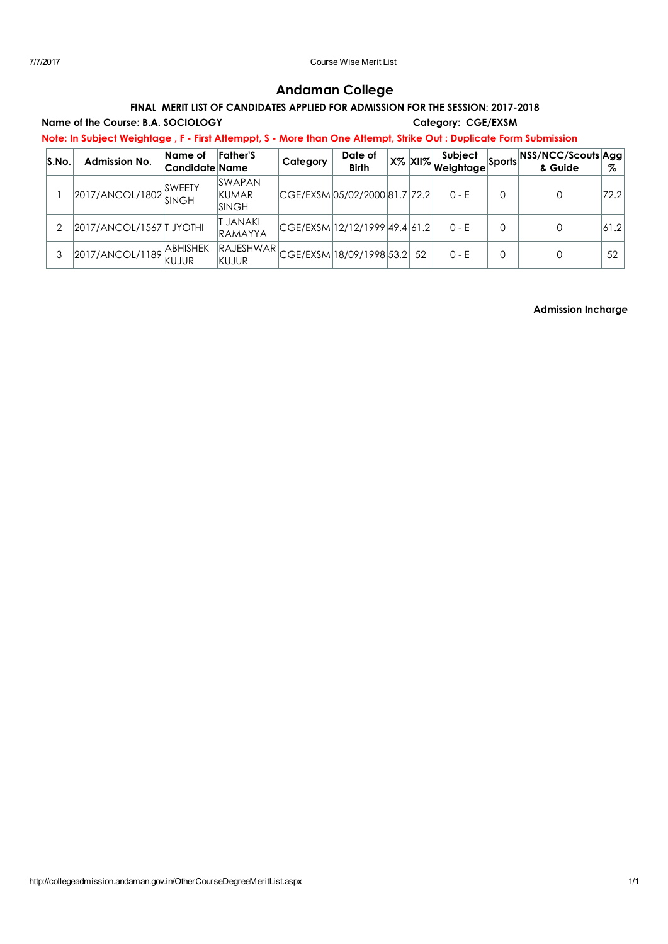# Andaman College

# FINAL MERIT LIST OF CANDIDATES APPLIED FOR ADMISSION FOR THE SESSION: 2017-2018

Name of the Course: B.A. SOCIOLOGY Category: CGE/EXSM

Note: In Subject Weightage , F - First Attemppt, S - More than One Attempt, Strike Out : Duplicate Form Submission

| S.No. | <b>Admission No.</b>     | Name of<br> Candidate Name | <b>Father'S</b>                                     | Category | Date of<br><b>Birth</b>        |    | Subject<br>∣ X% <mark>XII% <sub>Weightag</sub></mark> e  ାିଁ | Sports NSS/NCC/Scouts Agg<br>& Guide | %    |
|-------|--------------------------|----------------------------|-----------------------------------------------------|----------|--------------------------------|----|--------------------------------------------------------------|--------------------------------------|------|
|       | 2017/ANCOL/1802          | <b>SWEETY</b>              | <b>SWAPAN</b><br><b>KUMAR</b><br>ISINGH             |          | CGE/EXSM 05/02/2000 81.7  72.2 |    | $0 - E$                                                      | 0                                    | 72.2 |
|       | 2017/ANCOL/1567   JYOTHI |                            | JANAKI<br><b>RAMAYYA</b>                            |          | CGE/EXSM 12/12/1999 49.4 61.2  |    | $0 - E$                                                      | 0                                    | 61.2 |
|       | 2017/ANCOL/1189          | <b>ABHISHEK</b><br>KUJUR   | $ RAJESHWAR _{CGE/EXSM} 18/09/1998 53.2 $<br>KUJUR. |          |                                | 52 | $0 - E$                                                      | 0                                    | 52   |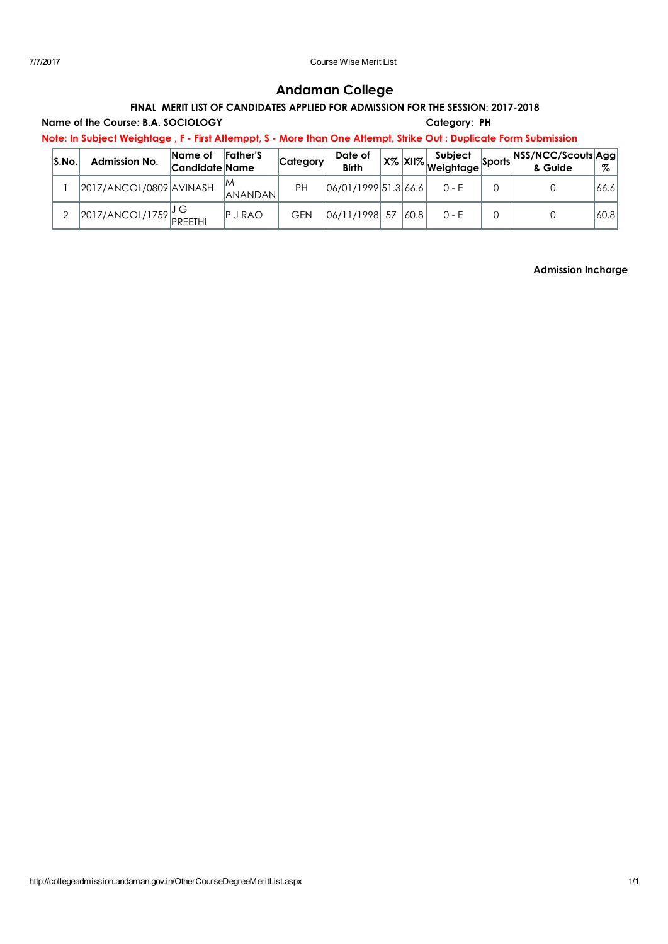# Andaman College

# FINAL MERIT LIST OF CANDIDATES APPLIED FOR ADMISSION FOR THE SESSION: 2017-2018

### Name of the Course: B.A. SOCIOLOGY Category: PH

Note: In Subject Weightage , F - First Attemppt, S - More than One Attempt, Strike Out : Duplicate Form Submission

| S.No | <b>Admission No.</b>      | Name of<br> Candidate Name | <b>Father'S</b>      | Category   | Date of<br><b>Birth</b> |      | <b>Subject</b><br>$\sim$ X% XII% Weightage $\sim$ | <b>horts NSS/NCC/Scouts Agg.</b><br>& Guide | Z     |
|------|---------------------------|----------------------------|----------------------|------------|-------------------------|------|---------------------------------------------------|---------------------------------------------|-------|
|      | 2017/ANCOL/0809 AVINASH   |                            | ΙM<br><b>ANANDAN</b> | PН         | 06/01/1999 51.3 66.6    |      | $0 - F$                                           |                                             | 66.6  |
|      | $2017/ANCOL/1759$ PREETHI |                            | <b>P</b> J RAO       | <b>GEN</b> | 06/11/1998 57           | 60.8 | $0 - F$                                           |                                             | 60.81 |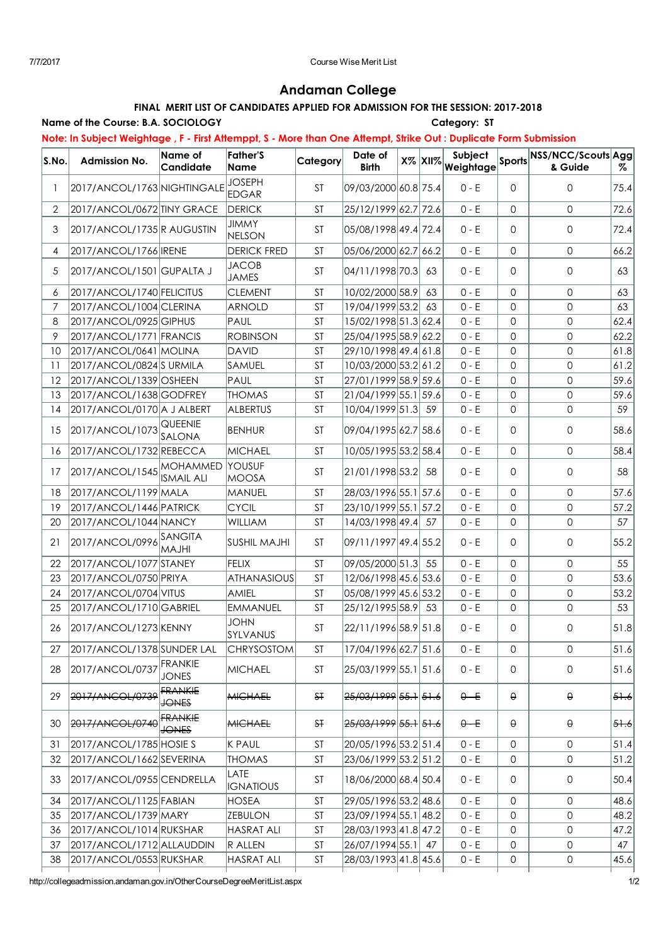# Andaman College

# FINAL MERIT LIST OF CANDIDATES APPLIED FOR ADMISSION FOR THE SESSION: 2017-2018

#### Name of the Course: B.A. SOCIOLOGY Category: ST

Note: In Subject Weightage , F - First Attemppt, S - More than One Attempt, Strike Out : Duplicate Form Submission

| S.No.          | <b>Admission No.</b>        | <b>Name of</b><br><b>Candidate</b> | <b>Father'S</b><br>Name       | Category      | Date of<br><b>Birth</b>                                   | $X\%$ $XII\%$ | Subject<br>Weightage | <b>Sports</b>       | NSS/NCC/Scouts Agg<br>& Guide | Z                 |
|----------------|-----------------------------|------------------------------------|-------------------------------|---------------|-----------------------------------------------------------|---------------|----------------------|---------------------|-------------------------------|-------------------|
| $\mathbf{1}$   | 2017/ANCOL/1763 NIGHTINGALE |                                    | <b>JOSEPH</b><br><b>EDGAR</b> | <b>ST</b>     | 09/03/2000 60.8 75.4                                      |               | $0 - E$              | $\Omega$            | 0                             | 75.4              |
| $\overline{2}$ | 2017/ANCOL/0672 TINY GRACE  |                                    | <b>DERICK</b>                 | <b>ST</b>     | 25/12/1999 62.7 72.6                                      |               | $0 - E$              | $\Omega$            | $\Omega$                      | 72.6              |
| 3              | 2017/ANCOL/1735 R AUGUSTIN  |                                    | <b>YMMIL</b><br><b>NELSON</b> | <b>ST</b>     | 05/08/1998 49.4 72.4                                      |               | $0 - E$              | $\Omega$            | $\mathbf 0$                   | 72.4              |
| 4              | 2017/ANCOL/1766 IRENE       |                                    | <b>DERICK FRED</b>            | <b>ST</b>     | 05/06/2000 62.7 66.2                                      |               | $0 - E$              | $\Omega$            | 0                             | 66.2              |
| 5              | 2017/ANCOL/1501 GUPALTA J   |                                    | <b>JACOB</b><br><b>JAMES</b>  | <b>ST</b>     | 04/11/1998 70.3                                           | 63            | $0 - E$              | $\Omega$            | 0                             | 63                |
| 6              | 2017/ANCOL/1740 FELICITUS   |                                    | <b>CLEMENT</b>                | <b>ST</b>     | 10/02/2000 58.9                                           | 63            | $0 - E$              | $\Omega$            | $\mathsf{O}$                  | 63                |
| 7              | 2017/ANCOL/1004 CLERINA     |                                    | <b>ARNOLD</b>                 | <b>ST</b>     | 19/04/1999 53.2                                           | 63            | $0 - E$              | $\Omega$            | $\mathbf 0$                   | 63                |
| 8              | 2017/ANCOL/0925 GIPHUS      |                                    | PAUL                          | <b>ST</b>     | 15/02/1998 51.3 62.4                                      |               | $0 - E$              | $\Omega$            | 0                             | 62.4              |
| 9              | 2017/ANCOL/1771 FRANCIS     |                                    | <b>ROBINSON</b>               | <b>ST</b>     | 25/04/1995 58.9 62.2                                      |               | $0 - E$              | $\Omega$            | 0                             | 62.2              |
| 10             | 2017/ANCOL/0641 MOLINA      |                                    | <b>DAVID</b>                  | <b>ST</b>     | 29/10/1998 49.4 61.8                                      |               | $0 - E$              | $\mathsf{O}$        | 0                             | 61.8              |
| 11             | 2017/ANCOL/0824 SURMILA     |                                    | <b>SAMUEL</b>                 | <b>ST</b>     | 10/03/2000 53.2 61.2                                      |               | $0 - E$              | $\Omega$            | $\mathbf{0}$                  | 61.2              |
| 12             | 2017/ANCOL/1339 OSHEEN      |                                    | PAUL                          | <b>ST</b>     | 27/01/1999 58.9 59.6                                      |               | $0 - E$              | $\Omega$            | $\mathbf{0}$                  | 59.6              |
| 13             | 2017/ANCOL/1638 GODFREY     |                                    | <b>THOMAS</b>                 | <b>ST</b>     | 21/04/1999 55.1 59.6                                      |               | $0 - E$              | $\Omega$            | 0                             | 59.6              |
| 14             | 2017/ANCOL/0170 A J ALBERT  |                                    | <b>ALBERTUS</b>               | <b>ST</b>     | 10/04/1999 51.3                                           | 59            | $0 - E$              | $\mathbf{0}$        | $\mathbf{0}$                  | 59                |
| 15             | 2017/ANCOL/1073             | QUEENIE<br><b>SALONA</b>           | <b>BENHUR</b>                 | <b>ST</b>     | 09/04/1995 62.7 58.6                                      |               | 0 - E                | $\Omega$            | $\mathbf 0$                   | 58.6              |
| 16             | 2017/ANCOL/1732 REBECCA     |                                    | <b>MICHAEL</b>                | <b>ST</b>     | 10/05/1995 53.2 58.4                                      |               | $0 - E$              | $\Omega$            | $\Omega$                      | 58.4              |
| 17             | 2017/ANCOL/1545 MOHAMMED    | <b>ISMAIL ALI</b>                  | <b>YOUSUF</b><br><b>MOOSA</b> | <b>ST</b>     | 21/01/1998 53.2                                           | 58            | 0 - E                | $\Omega$            | 0                             | 58                |
| 18             | 2017/ANCOL/1199 MALA        |                                    | <b>MANUEL</b>                 | <b>ST</b>     | 28/03/1996 55.1 57.6                                      |               | $0 - E$              | $\Omega$            | 0                             | 57.6              |
| 19             | 2017/ANCOL/1446 PATRICK     |                                    | <b>CYCIL</b>                  | <b>ST</b>     | 23/10/1999 55.1 57.2                                      |               | $0 - E$              | $\Omega$            | $\mathbf 0$                   | 57.2              |
| 20             | 2017/ANCOL/1044 NANCY       |                                    | <b>WILLIAM</b>                | <b>ST</b>     | 14/03/1998 49.4                                           | 57            | $0 - E$              | $\Omega$            | 0                             | 57                |
| 21             | 2017/ANCOL/0996 SANGITA     | <b>MAJHI</b>                       | SUSHIL MAJHI                  | <b>ST</b>     | 09/11/1997 49.4 55.2                                      |               | $0 - E$              | $\Omega$            | 0                             | 55.2              |
| 22             | 2017/ANCOL/1077 STANEY      |                                    | <b>FELIX</b>                  | <b>ST</b>     | 09/05/2000 51.3 55                                        |               | $0 - E$              | $\mathbf{0}$        | 0                             | 55                |
| 23             | 2017/ANCOL/0750 PRIYA       |                                    | <b>ATHANASIOUS</b>            | <b>ST</b>     | 12/06/1998 45.6 53.6                                      |               | $0 - E$              | $\Omega$            | $\mathbf{0}$                  | 53.6              |
| 24             | 2017/ANCOL/0704 VITUS       |                                    | <b>AMIEL</b>                  | <b>ST</b>     | 05/08/1999 45.6 53.2                                      |               | $0 - E$              | $\mathsf{O}$        | 0                             | 53.2              |
| 25             | 2017/ANCOL/1710 GABRIEL     |                                    | <b>EMMANUEL</b>               | <b>ST</b>     | 25/12/1995 58.9                                           | -53           | $0 - E$              | $\mathsf{O}$        | $\mathbf{0}$                  | 53                |
| 26             | 2017/ANCOL/1273 KENNY       |                                    | <b>JOHN</b><br>SYLVANUS       | <b>ST</b>     | 22/11/1996 58.9 51.8                                      |               | 0 - E                | $\Omega$            | 0                             | 51.8              |
| 27             | 2017/ANCOL/1378 SUNDER LAL  |                                    | <b>CHRYSOSTOM</b>             | ST            | 17/04/1996 62.7 51.6                                      |               | $0 - E$              | $\mathsf{O}$        | 0                             | $\overline{51.6}$ |
| 28             | 2017/ANCOL/0737             | <b>FRANKIE</b><br><b>JONES</b>     | <b>MICHAEL</b>                | <b>ST</b>     | 25/03/1999 55.1 51.6                                      |               | $0 - E$              | $\mathbf{0}$        | $\mathbf 0$                   | 51.6              |
| 29             | 2017/ANCOL/0739             | <b>FRANKIE</b><br><b>JONES</b>     | <b>MICHAEL</b>                | <b>ST</b>     | 25/03/1999 55.1 51.6                                      |               | $0 - E$              | $\Theta$            | $\Theta$                      | 51.6              |
| 30             | 2017/ANCOL/0740             | <b>FRANKIE</b><br><b>JONES</b>     | <b>MICHAEL</b>                | <del>ST</del> | <del>25/03/1999</del>   <del>55.1</del>   <del>51.6</del> |               | $0 - E$              | $\Theta$            | $\Theta$                      | 51.6              |
| 31             | 2017/ANCOL/1785 HOSIE S     |                                    | <b>K PAUL</b>                 | ST            | 20/05/1996 53.2 51.4                                      |               | $0 - E$              | $\mathbf{0}$        | $\mathsf{O}$                  | 51.4              |
| 32             | 2017/ANCOL/1662 SEVERINA    |                                    | <b>THOMAS</b>                 | ST            | 23/06/1999 53.2 51.2                                      |               | $0 - E$              | $\mathbf{0}$        | 0                             | 51.2              |
| 33             | 2017/ANCOL/0955 CENDRELLA   |                                    | LATE<br><b>IGNATIOUS</b>      | ST            | 18/06/2000 68.4 50.4                                      |               | $0 - E$              | 0                   | 0                             | 50.4              |
| 34             | 2017/ANCOL/1125 FABIAN      |                                    | <b>HOSEA</b>                  | <b>ST</b>     | 29/05/1996 53.2 48.6                                      |               | $0 - E$              | $\mathsf{O}$        | $\mathbf{0}$                  | 48.6              |
| 35             | 2017/ANCOL/1739 MARY        |                                    | <b>ZEBULON</b>                | <b>ST</b>     | 23/09/1994 55.1 48.2                                      |               | $0 - E$              | $\mathbf{0}$        | 0                             | 48.2              |
| 36             | 2017/ANCOL/1014 RUKSHAR     |                                    | <b>HASRAT ALI</b>             | ST            | 28/03/1993 41.8 47.2                                      |               | $0 - E$              | $\mathsf{O}$        | $\mathsf{O}\xspace$           | 47.2              |
| 37             | 2017/ANCOL/1712 ALLAUDDIN   |                                    | R ALLEN                       | ST            | 26/07/1994 55.1 47                                        |               | $0 - E$              | 0                   | 0                             | 47                |
| 38             | 2017/ANCOL/0553 RUKSHAR     |                                    | <b>HASRAT ALI</b>             | ST            | 28/03/1993 41.8 45.6                                      |               | $0 - E$              | $\mathsf{O}\xspace$ | 0                             | 45.6              |
|                |                             |                                    |                               |               |                                                           |               |                      |                     |                               |                   |

http://collegeadmission.andaman.gov.in/OtherCourseDegreeMeritList.aspx 1/2